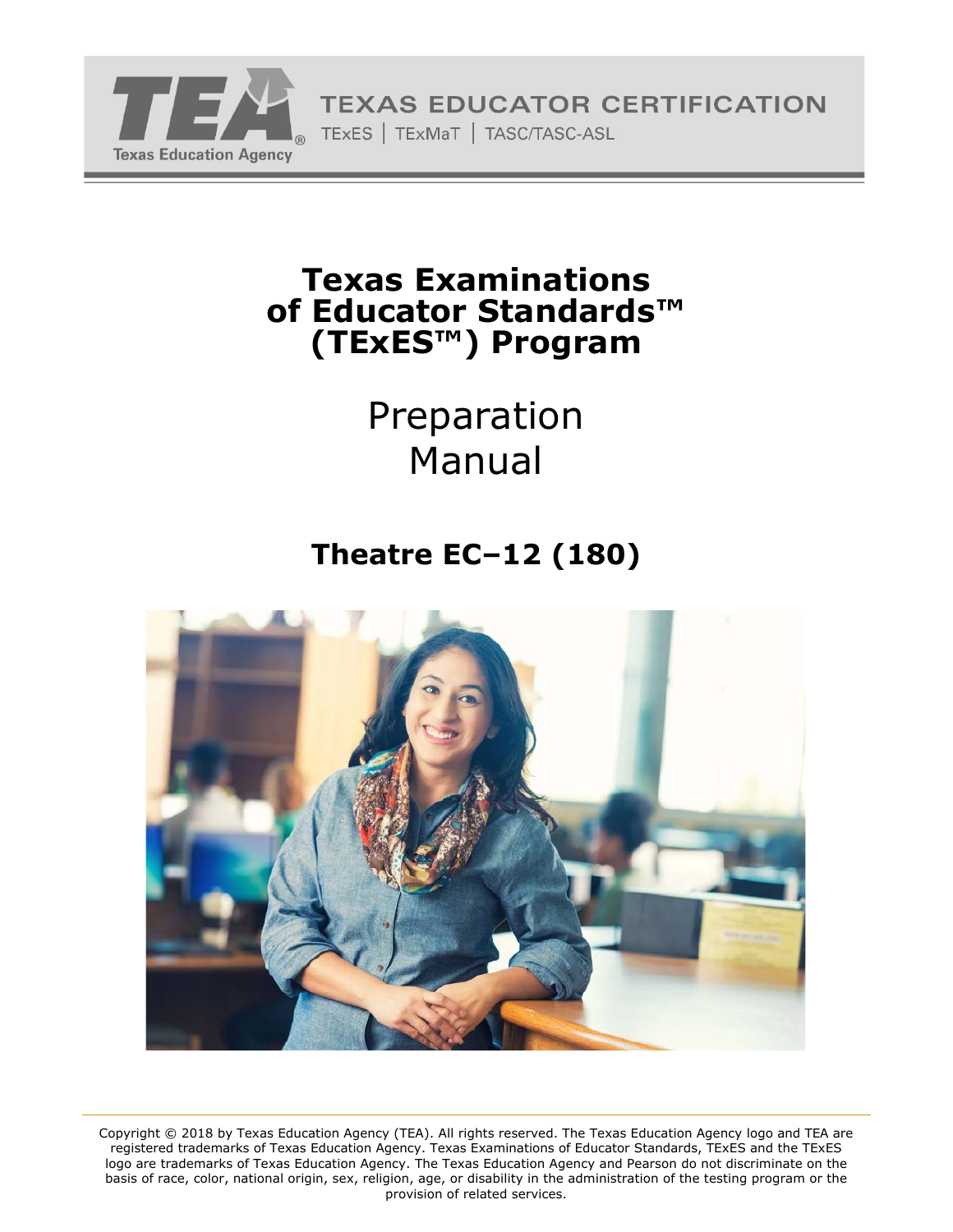

# **Texas Examinations of Educator Standards™ (TExES™) Program**

# Preparation Manual

# **Theatre EC–12 (180)**



Copyright © 2018 by Texas Education Agency (TEA). All rights reserved. The Texas Education Agency logo and TEA are registered trademarks of Texas Education Agency. Texas Examinations of Educator Standards, TExES and the TExES logo are trademarks of Texas Education Agency. The Texas Education Agency and Pearson do not discriminate on the basis of race, color, national origin, sex, religion, age, or disability in the administration of the testing program or the provision of related services.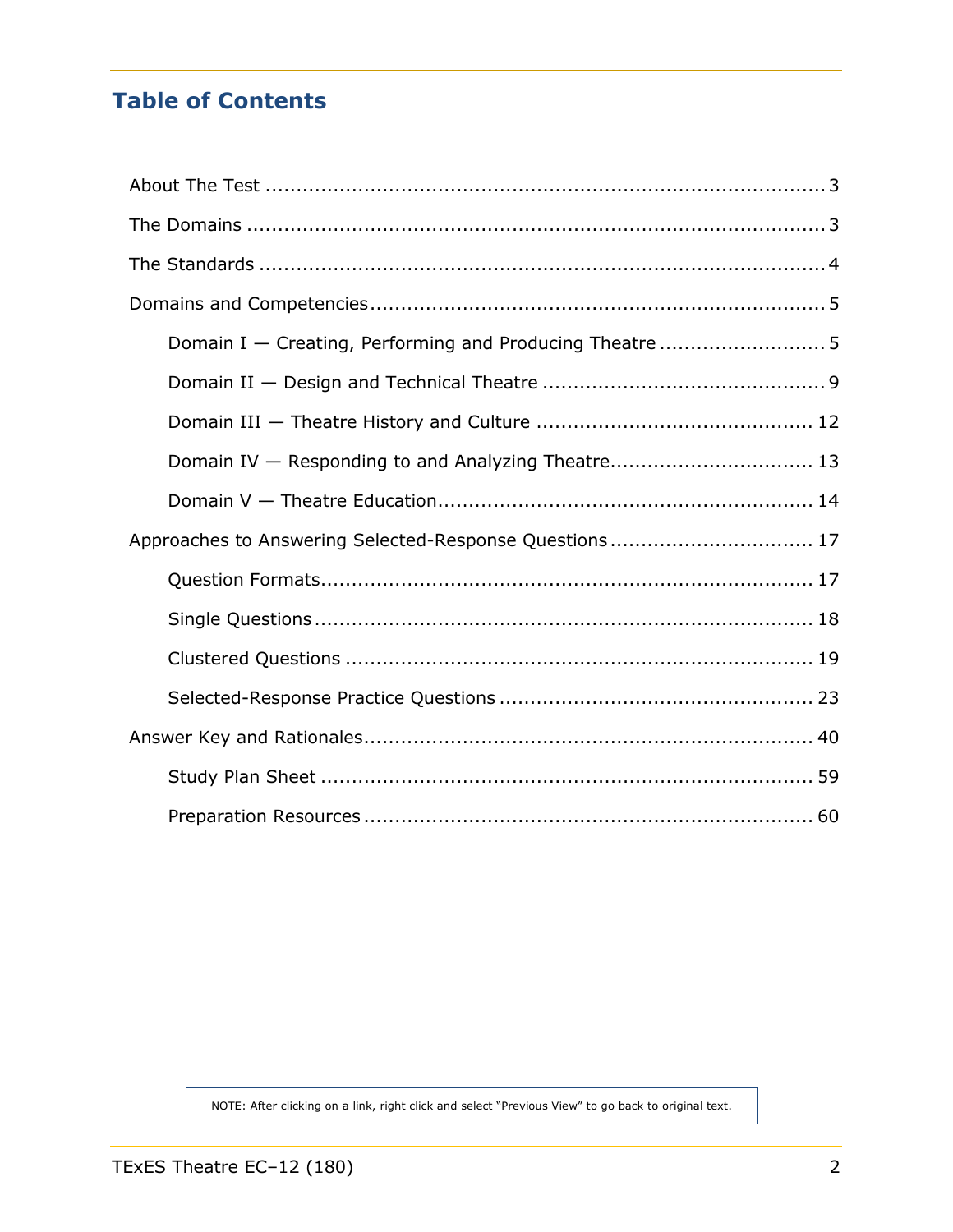# **Table of Contents**

| Domain IV - Responding to and Analyzing Theatre 13     |  |
|--------------------------------------------------------|--|
|                                                        |  |
| Approaches to Answering Selected-Response Questions 17 |  |
|                                                        |  |
|                                                        |  |
|                                                        |  |
|                                                        |  |
|                                                        |  |
|                                                        |  |
|                                                        |  |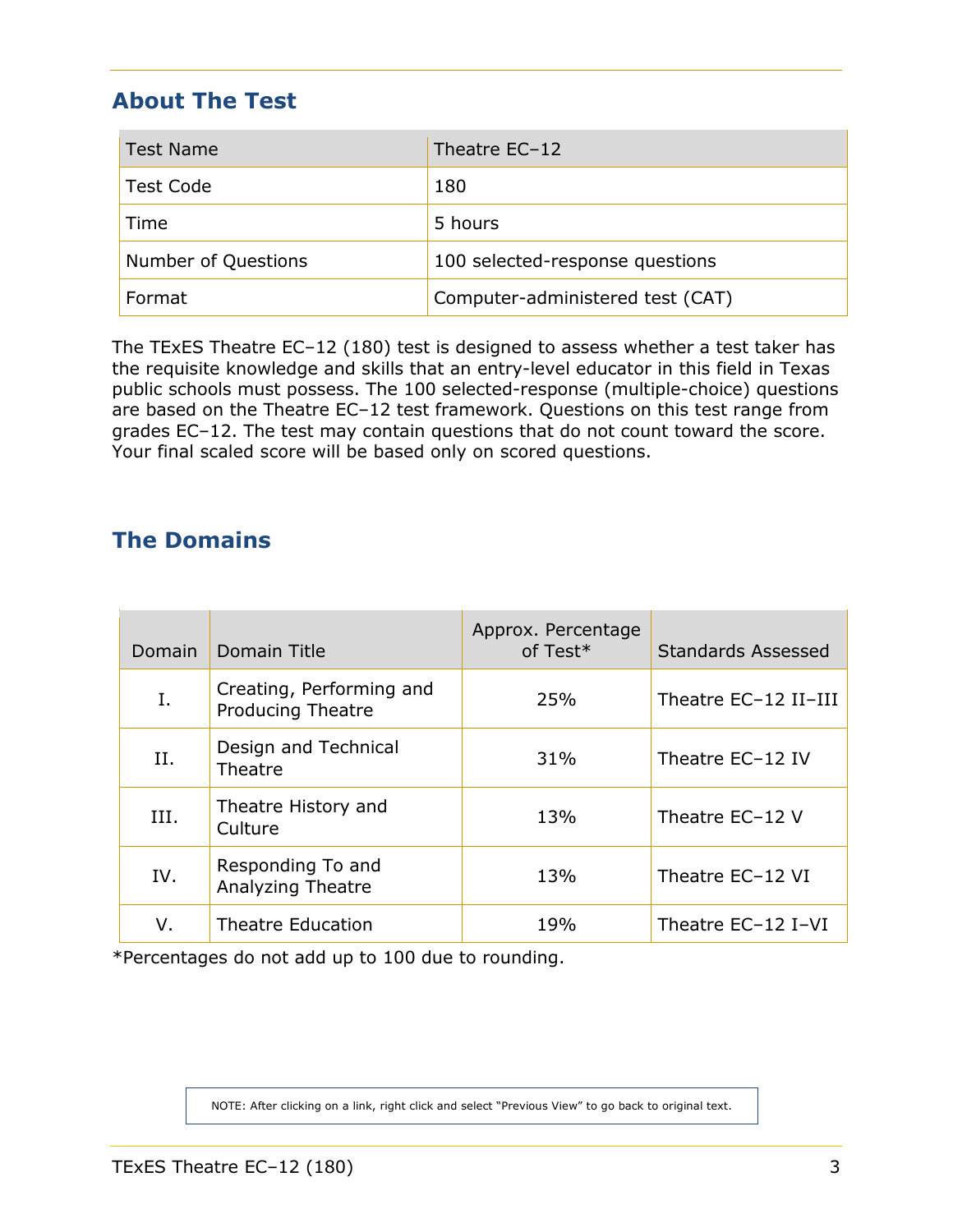# <span id="page-2-0"></span>**About The Test**

| <b>Test Name</b>    | Theatre EC-12                    |
|---------------------|----------------------------------|
| <b>Test Code</b>    | 180                              |
| Time                | 5 hours                          |
| Number of Questions | 100 selected-response questions  |
| Format              | Computer-administered test (CAT) |

The TExES Theatre EC–12 (180) test is designed to assess whether a test taker has the requisite knowledge and skills that an entry-level educator in this field in Texas public schools must possess. The 100 selected-response (multiple-choice) questions are based on the Theatre EC–12 test framework. Questions on this test range from grades EC–12. The test may contain questions that do not count toward the score. Your final scaled score will be based only on scored questions.

# <span id="page-2-1"></span>**The Domains**

| <b>Domain</b> | Domain Title                                  | Approx. Percentage<br>of Test* | <b>Standards Assessed</b> |
|---------------|-----------------------------------------------|--------------------------------|---------------------------|
| Ι.            | Creating, Performing and<br>Producing Theatre | 25%                            | Theatre EC-12 II-III      |
| II.           | Design and Technical<br>Theatre               | 31%                            | Theatre EC-12 IV          |
| III.          | Theatre History and<br>Culture                | 13%                            | Theatre EC-12 V           |
| IV.           | Responding To and<br><b>Analyzing Theatre</b> | 13%                            | Theatre EC-12 VI          |
| v.            | <b>Theatre Education</b>                      | 19%                            | Theatre EC-12 I-VI        |

\*Percentages do not add up to 100 due to rounding.

NOTE: After clicking on a link, right click and select "Previous View" to go back to original text.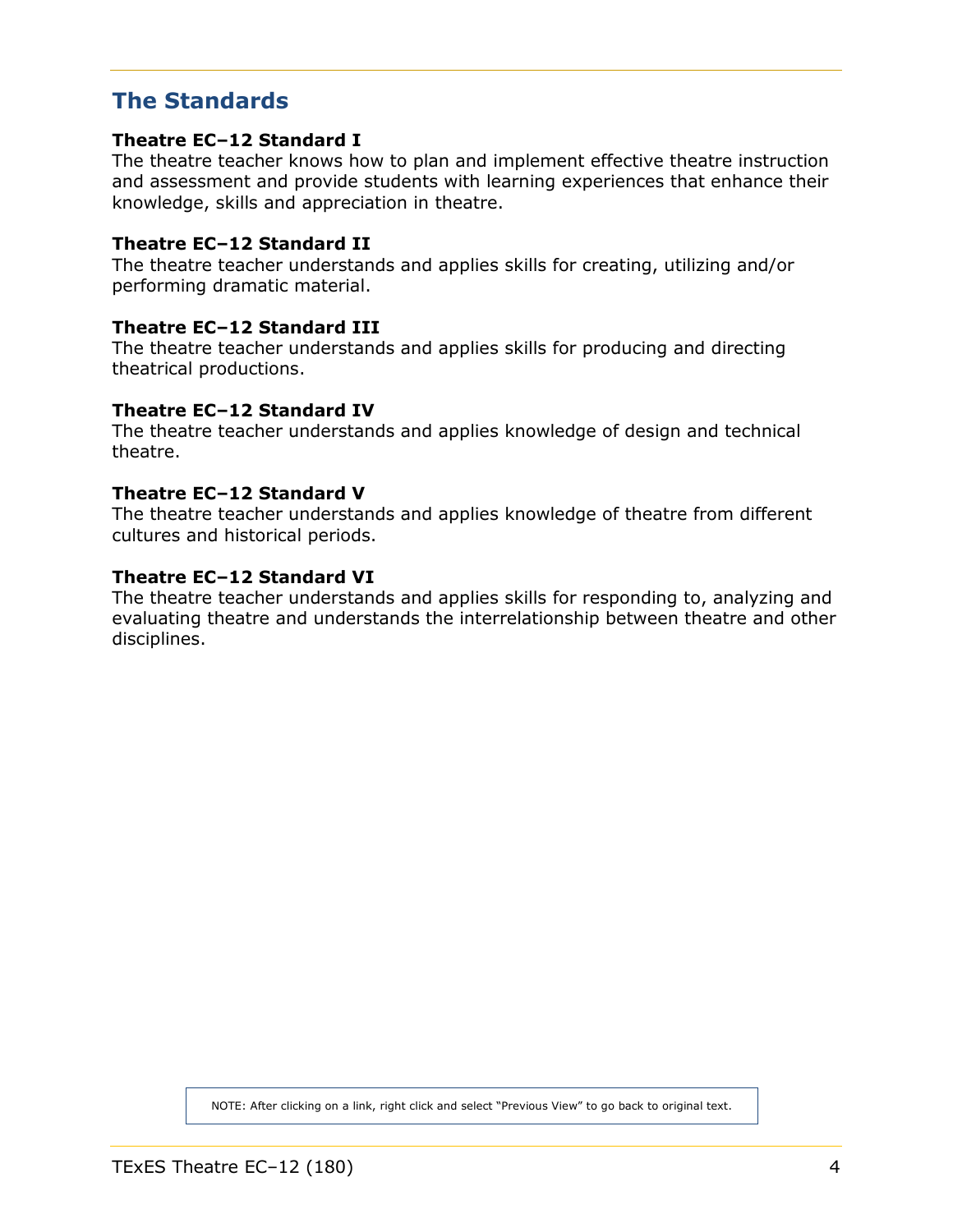# <span id="page-3-0"></span>**The Standards**

## **Theatre EC–12 Standard I**

The theatre teacher knows how to plan and implement effective theatre instruction and assessment and provide students with learning experiences that enhance their knowledge, skills and appreciation in theatre.

# **Theatre EC–12 Standard II**

The theatre teacher understands and applies skills for creating, utilizing and/or performing dramatic material.

# **Theatre EC–12 Standard III**

The theatre teacher understands and applies skills for producing and directing theatrical productions.

#### **Theatre EC–12 Standard IV**

The theatre teacher understands and applies knowledge of design and technical theatre.

#### **Theatre EC–12 Standard V**

The theatre teacher understands and applies knowledge of theatre from different cultures and historical periods.

# **Theatre EC–12 Standard VI**

The theatre teacher understands and applies skills for responding to, analyzing and evaluating theatre and understands the interrelationship between theatre and other disciplines.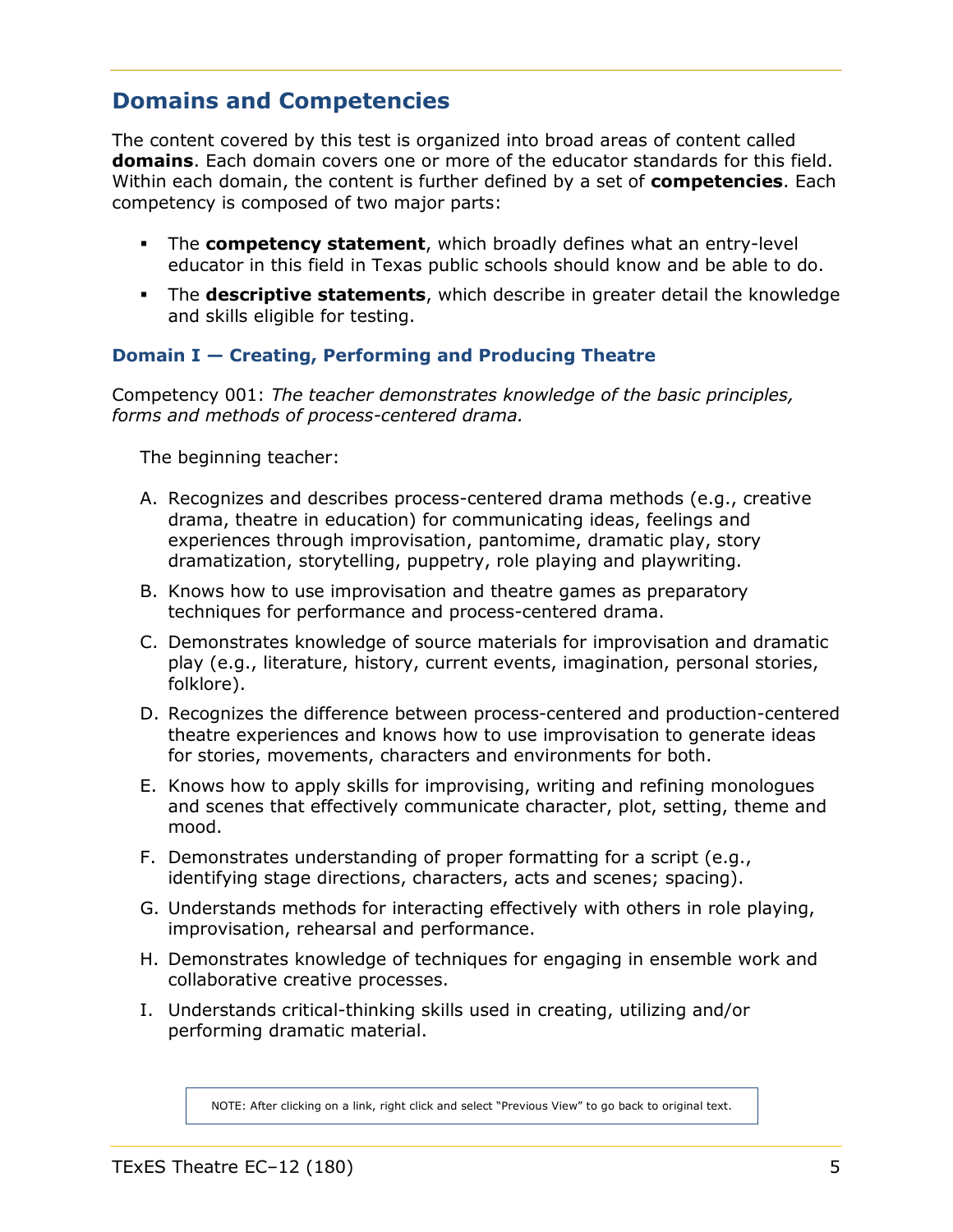# <span id="page-4-2"></span><span id="page-4-0"></span>**Domains and Competencies**

The content covered by this test is organized into broad areas of content called **domains**. Each domain covers one or more of the educator standards for this field. Within each domain, the content is further defined by a set of **competencies**. Each competency is composed of two major parts:

- The **competency statement**, which broadly defines what an entry-level educator in this field in Texas public schools should know and be able to do.
- The **descriptive statements**, which describe in greater detail the knowledge and skills eligible for testing.

# <span id="page-4-1"></span>**Domain I — Creating, Performing and Producing Theatre**

Competency 001: *The teacher demonstrates knowledge of the basic principles, forms and methods of process-centered drama.*

The beginning teacher:

- A. Recognizes and describes process-centered drama methods (e.g., creative drama, theatre in education) for communicating ideas, feelings and experiences through improvisation, pantomime, dramatic play, story dramatization, storytelling, puppetry, role playing and playwriting.
- B. Knows how to use improvisation and theatre games as preparatory techniques for performance and process-centered drama.
- C. Demonstrates knowledge of source materials for improvisation and dramatic play (e.g., literature, history, current events, imagination, personal stories, folklore).
- D. Recognizes the difference between process-centered and production-centered theatre experiences and knows how to use improvisation to generate ideas for stories, movements, characters and environments for both.
- E. Knows how to apply skills for improvising, writing and refining monologues and scenes that effectively communicate character, plot, setting, theme and mood.
- F. Demonstrates understanding of proper formatting for a script (e.g., identifying stage directions, characters, acts and scenes; spacing).
- G. Understands methods for interacting effectively with others in role playing, improvisation, rehearsal and performance.
- H. Demonstrates knowledge of techniques for engaging in ensemble work and collaborative creative processes.
- I. Understands critical-thinking skills used in creating, utilizing and/or performing dramatic material.

NOTE: After clicking on a link, right click and select "Previous View" to go back to original text.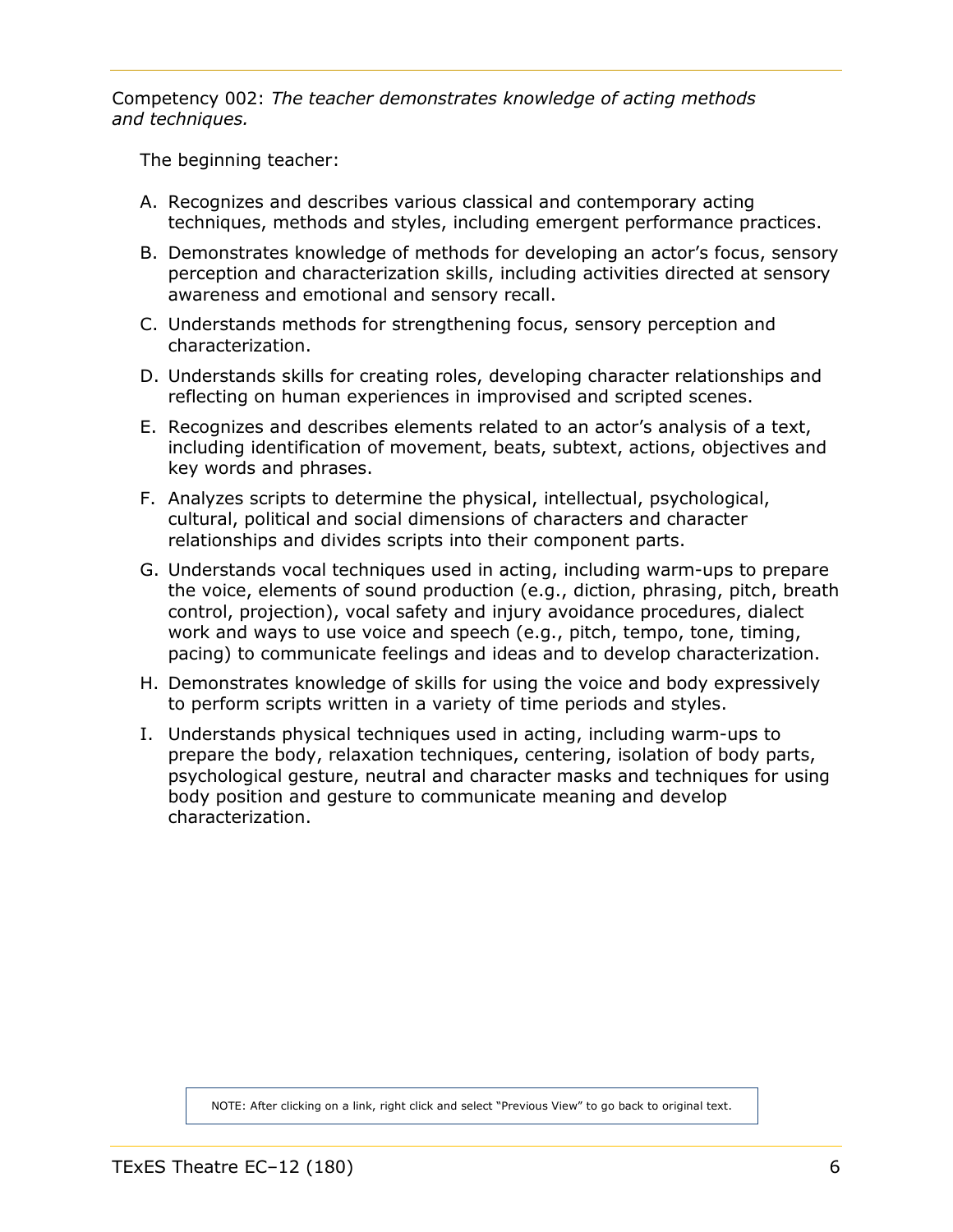<span id="page-5-0"></span>Competency 002: *The teacher demonstrates knowledge of acting methods and techniques.*

The beginning teacher:

- A. Recognizes and describes various classical and contemporary acting techniques, methods and styles, including emergent performance practices.
- B. Demonstrates knowledge of methods for developing an actor's focus, sensory perception and characterization skills, including activities directed at sensory awareness and emotional and sensory recall.
- C. Understands methods for strengthening focus, sensory perception and characterization.
- D. Understands skills for creating roles, developing character relationships and reflecting on human experiences in improvised and scripted scenes.
- E. Recognizes and describes elements related to an actor's analysis of a text, including identification of movement, beats, subtext, actions, objectives and key words and phrases.
- F. Analyzes scripts to determine the physical, intellectual, psychological, cultural, political and social dimensions of characters and character relationships and divides scripts into their component parts.
- G. Understands vocal techniques used in acting, including warm-ups to prepare the voice, elements of sound production (e.g., diction, phrasing, pitch, breath control, projection), vocal safety and injury avoidance procedures, dialect work and ways to use voice and speech (e.g., pitch, tempo, tone, timing, pacing) to communicate feelings and ideas and to develop characterization.
- H. Demonstrates knowledge of skills for using the voice and body expressively to perform scripts written in a variety of time periods and styles.
- I. Understands physical techniques used in acting, including warm-ups to prepare the body, relaxation techniques, centering, isolation of body parts, psychological gesture, neutral and character masks and techniques for using body position and gesture to communicate meaning and develop characterization.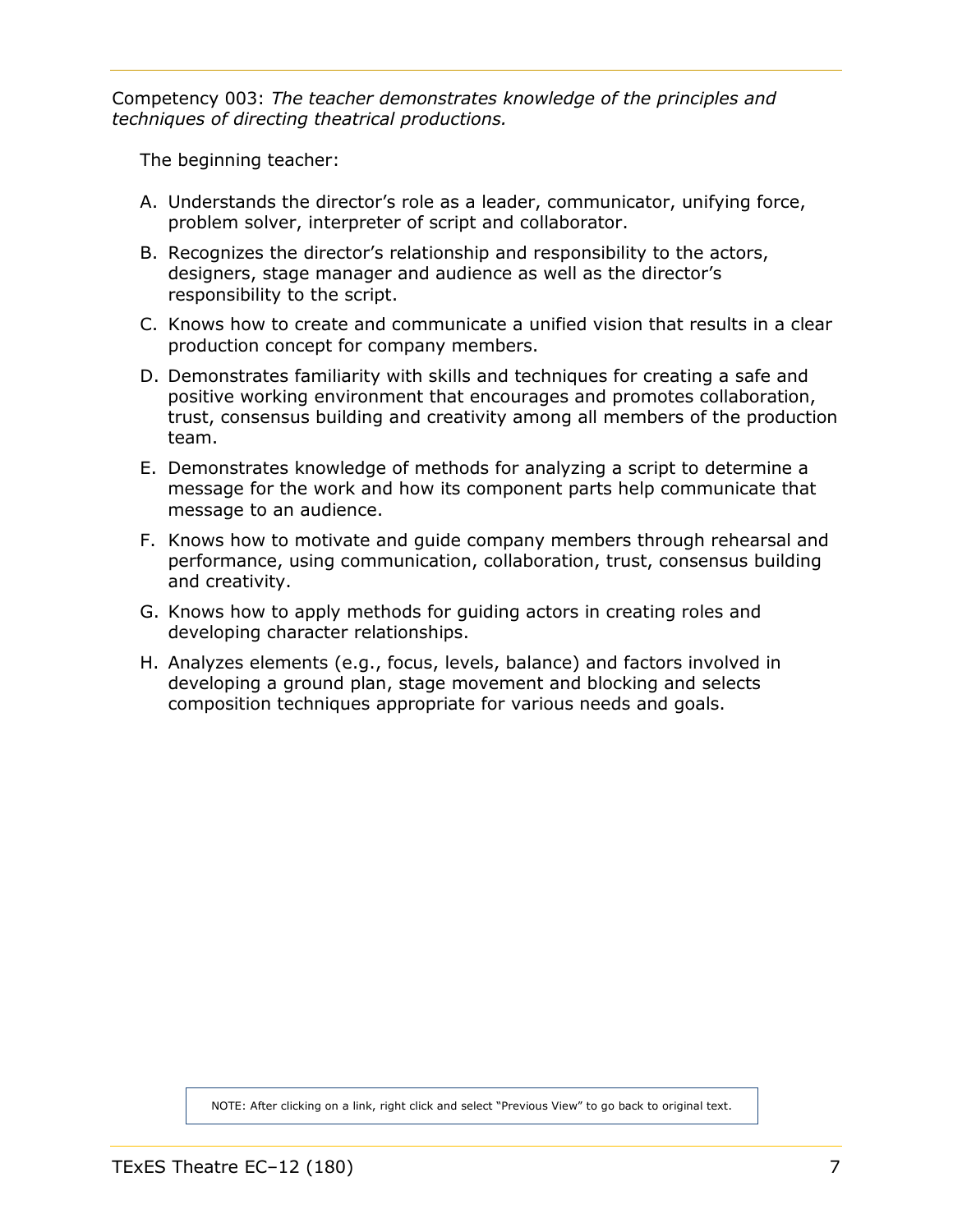<span id="page-6-0"></span>Competency 003: *The teacher demonstrates knowledge of the principles and techniques of directing theatrical productions.*

The beginning teacher:

- A. Understands the director's role as a leader, communicator, unifying force, problem solver, interpreter of script and collaborator.
- B. Recognizes the director's relationship and responsibility to the actors, designers, stage manager and audience as well as the director's responsibility to the script.
- C. Knows how to create and communicate a unified vision that results in a clear production concept for company members.
- D. Demonstrates familiarity with skills and techniques for creating a safe and positive working environment that encourages and promotes collaboration, trust, consensus building and creativity among all members of the production team.
- E. Demonstrates knowledge of methods for analyzing a script to determine a message for the work and how its component parts help communicate that message to an audience.
- F. Knows how to motivate and guide company members through rehearsal and performance, using communication, collaboration, trust, consensus building and creativity.
- G. Knows how to apply methods for guiding actors in creating roles and developing character relationships.
- H. Analyzes elements (e.g., focus, levels, balance) and factors involved in developing a ground plan, stage movement and blocking and selects composition techniques appropriate for various needs and goals.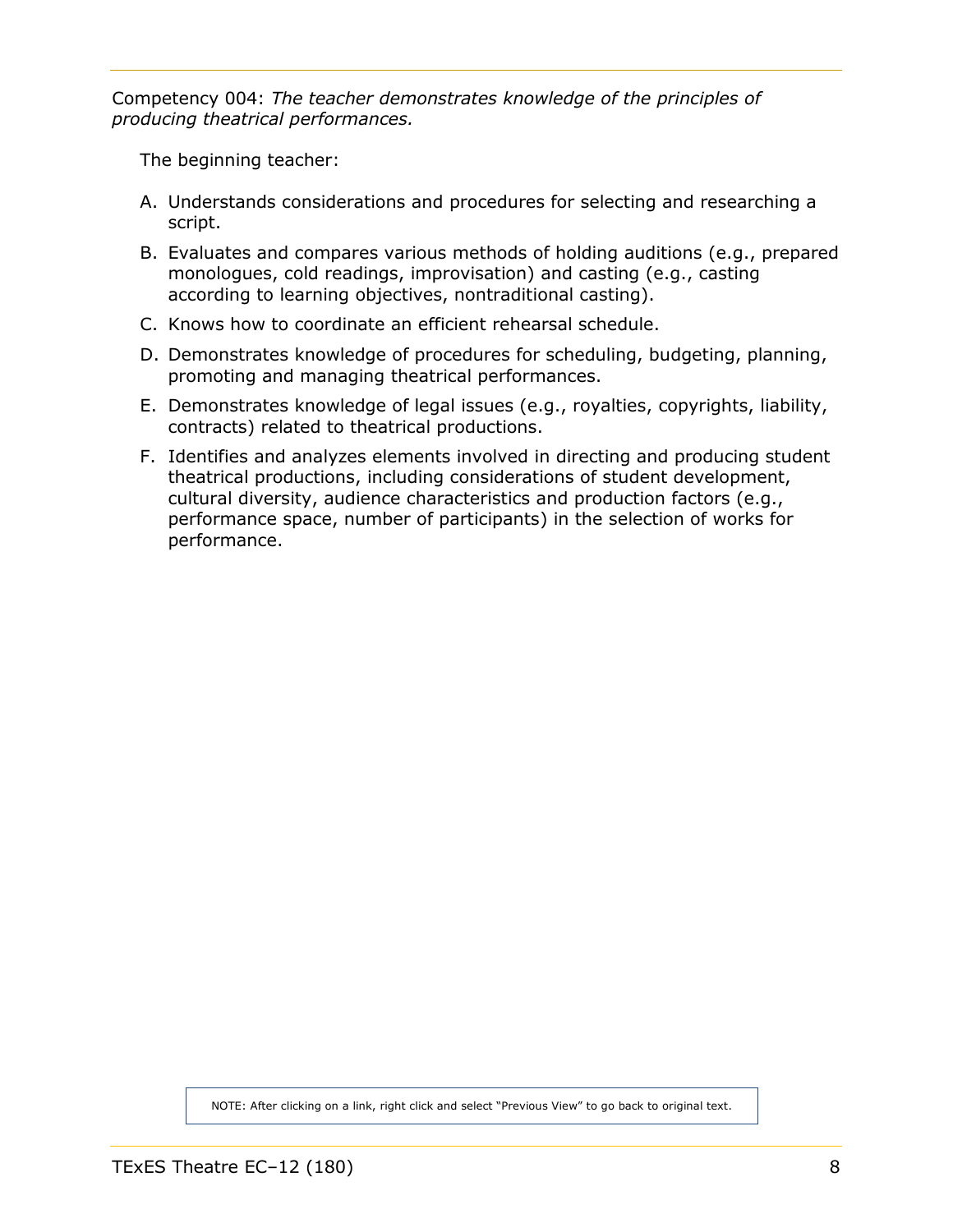<span id="page-7-0"></span>Competency 004: *The teacher demonstrates knowledge of the principles of producing theatrical performances.*

The beginning teacher:

- A. Understands considerations and procedures for selecting and researching a script.
- B. Evaluates and compares various methods of holding auditions (e.g., prepared monologues, cold readings, improvisation) and casting (e.g., casting according to learning objectives, nontraditional casting).
- C. Knows how to coordinate an efficient rehearsal schedule.
- D. Demonstrates knowledge of procedures for scheduling, budgeting, planning, promoting and managing theatrical performances.
- E. Demonstrates knowledge of legal issues (e.g., royalties, copyrights, liability, contracts) related to theatrical productions.
- F. Identifies and analyzes elements involved in directing and producing student theatrical productions, including considerations of student development, cultural diversity, audience characteristics and production factors (e.g., performance space, number of participants) in the selection of works for performance.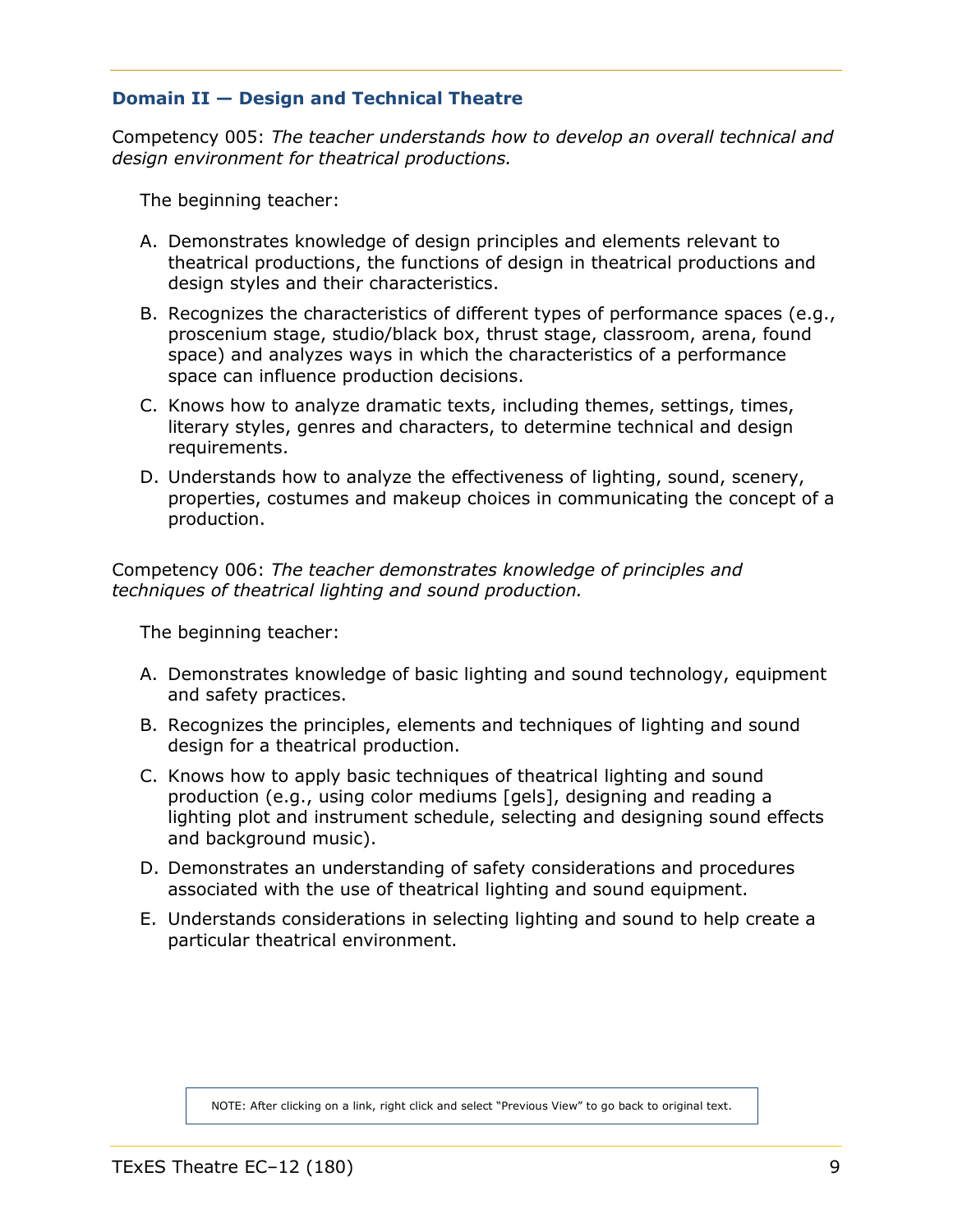# <span id="page-8-1"></span><span id="page-8-0"></span>**Domain II — Design and Technical Theatre**

Competency 005: *The teacher understands how to develop an overall technical and design environment for theatrical productions.*

The beginning teacher:

- A. Demonstrates knowledge of design principles and elements relevant to theatrical productions, the functions of design in theatrical productions and design styles and their characteristics.
- B. Recognizes the characteristics of different types of performance spaces (e.g., proscenium stage, studio/black box, thrust stage, classroom, arena, found space) and analyzes ways in which the characteristics of a performance space can influence production decisions.
- C. Knows how to analyze dramatic texts, including themes, settings, times, literary styles, genres and characters, to determine technical and design requirements.
- D. Understands how to analyze the effectiveness of lighting, sound, scenery, properties, costumes and makeup choices in communicating the concept of a production.

Competency 006: *The teacher demonstrates knowledge of principles and techniques of theatrical lighting and sound production.*

The beginning teacher:

- A. Demonstrates knowledge of basic lighting and sound technology, equipment and safety practices.
- B. Recognizes the principles, elements and techniques of lighting and sound design for a theatrical production.
- C. Knows how to apply basic techniques of theatrical lighting and sound production (e.g., using color mediums [gels], designing and reading a lighting plot and instrument schedule, selecting and designing sound effects and background music).
- D. Demonstrates an understanding of safety considerations and procedures associated with the use of theatrical lighting and sound equipment.
- E. Understands considerations in selecting lighting and sound to help create a particular theatrical environment.

NOTE: After clicking on a link, right click and select "Previous View" to go back to original text.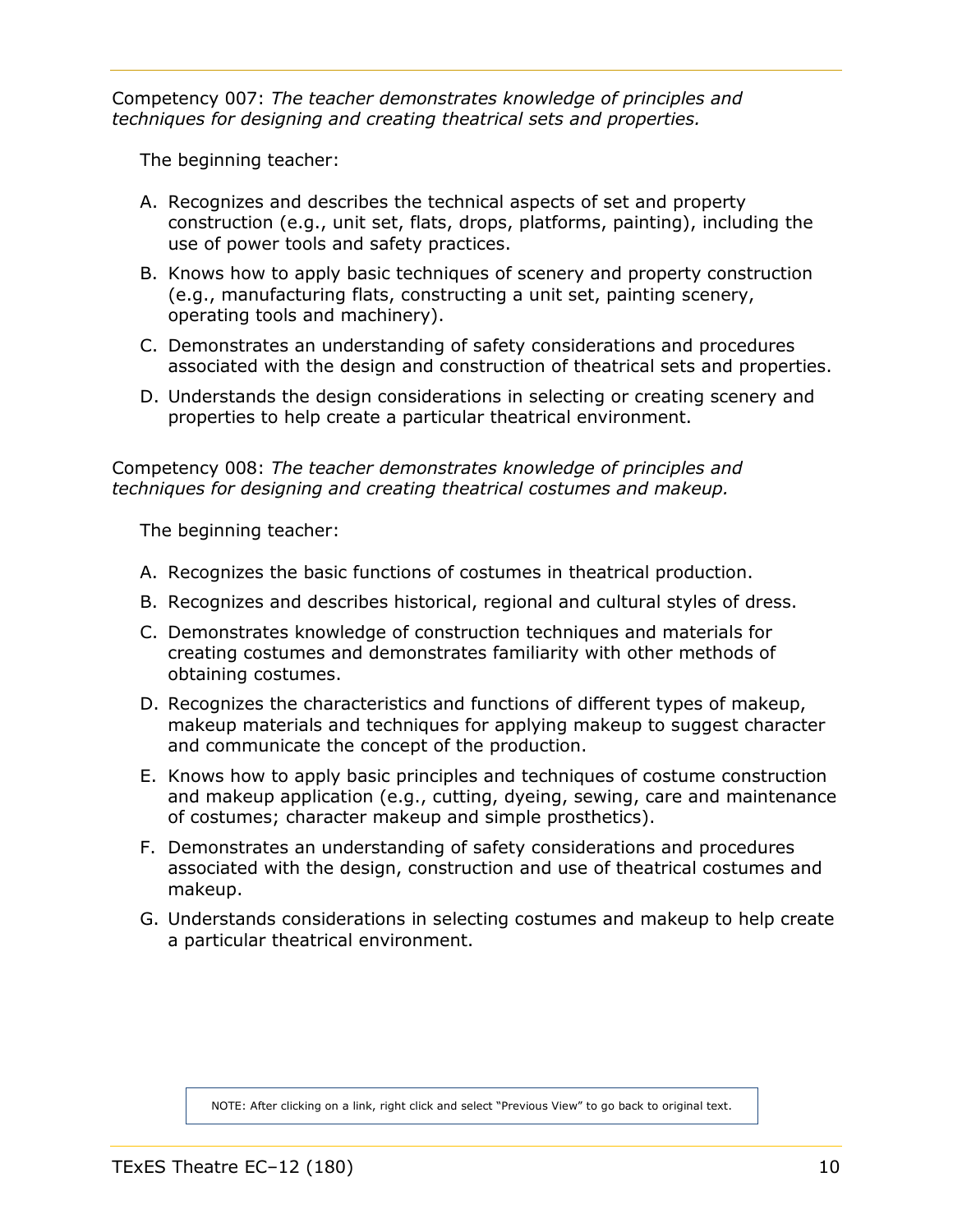<span id="page-9-0"></span>Competency 007: *The teacher demonstrates knowledge of principles and techniques for designing and creating theatrical sets and properties.*

The beginning teacher:

- A. Recognizes and describes the technical aspects of set and property construction (e.g., unit set, flats, drops, platforms, painting), including the use of power tools and safety practices.
- B. Knows how to apply basic techniques of scenery and property construction (e.g., manufacturing flats, constructing a unit set, painting scenery, operating tools and machinery).
- C. Demonstrates an understanding of safety considerations and procedures associated with the design and construction of theatrical sets and properties.
- D. Understands the design considerations in selecting or creating scenery and properties to help create a particular theatrical environment.

Competency 008: *The teacher demonstrates knowledge of principles and techniques for designing and creating theatrical costumes and makeup.*

The beginning teacher:

- A. Recognizes the basic functions of costumes in theatrical production.
- B. Recognizes and describes historical, regional and cultural styles of dress.
- C. Demonstrates knowledge of construction techniques and materials for creating costumes and demonstrates familiarity with other methods of obtaining costumes.
- D. Recognizes the characteristics and functions of different types of makeup, makeup materials and techniques for applying makeup to suggest character and communicate the concept of the production.
- E. Knows how to apply basic principles and techniques of costume construction and makeup application (e.g., cutting, dyeing, sewing, care and maintenance of costumes; character makeup and simple prosthetics).
- F. Demonstrates an understanding of safety considerations and procedures associated with the design, construction and use of theatrical costumes and makeup.
- G. Understands considerations in selecting costumes and makeup to help create a particular theatrical environment.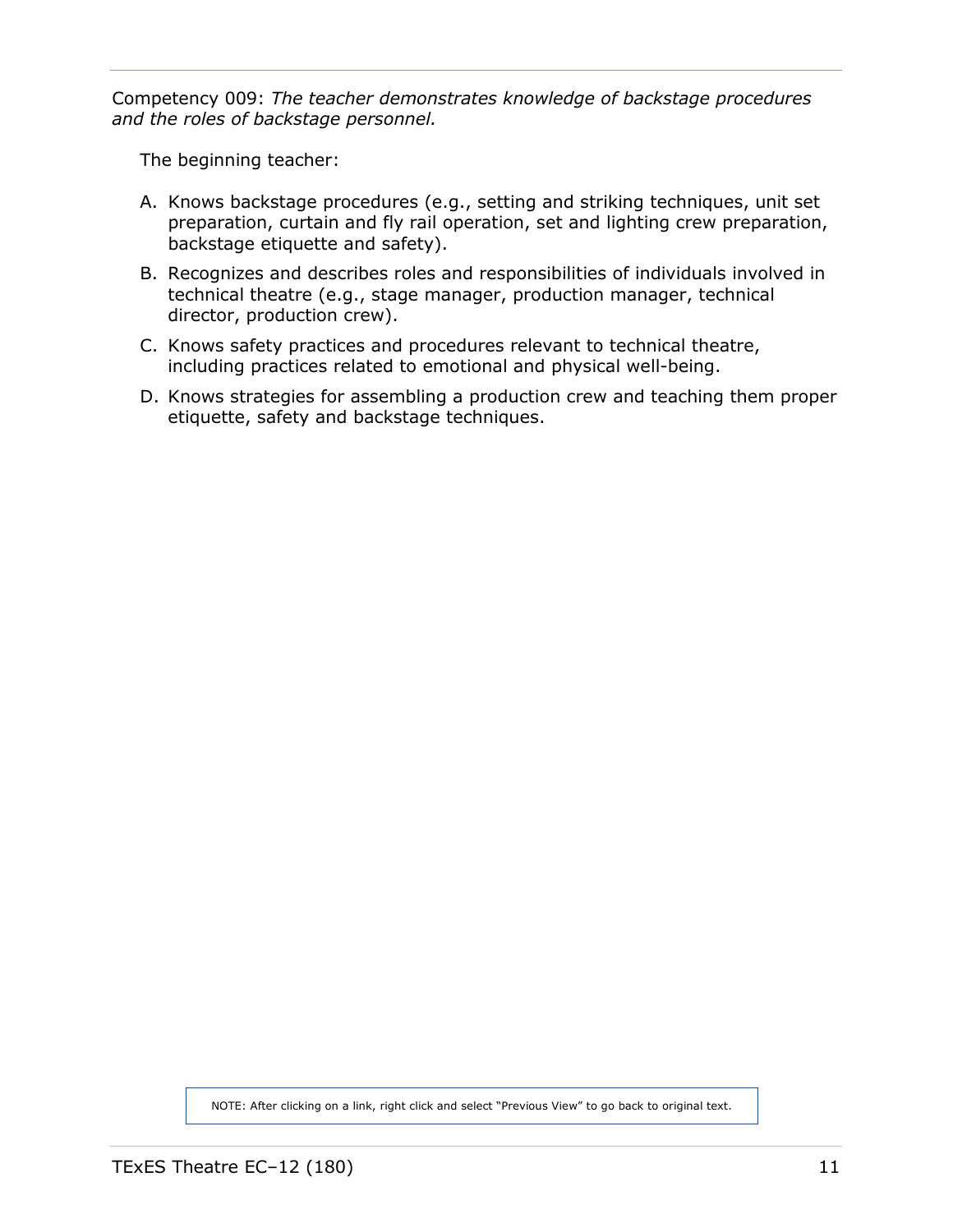<span id="page-10-0"></span>Competency 009: *The teacher demonstrates knowledge of backstage procedures and the roles of backstage personnel.*

The beginning teacher:

- A. Knows backstage procedures (e.g., setting and striking techniques, unit set preparation, curtain and fly rail operation, set and lighting crew preparation, backstage etiquette and safety).
- B. Recognizes and describes roles and responsibilities of individuals involved in technical theatre (e.g., stage manager, production manager, technical director, production crew).
- C. Knows safety practices and procedures relevant to technical theatre, including practices related to emotional and physical well-being.
- D. Knows strategies for assembling a production crew and teaching them proper etiquette, safety and backstage techniques.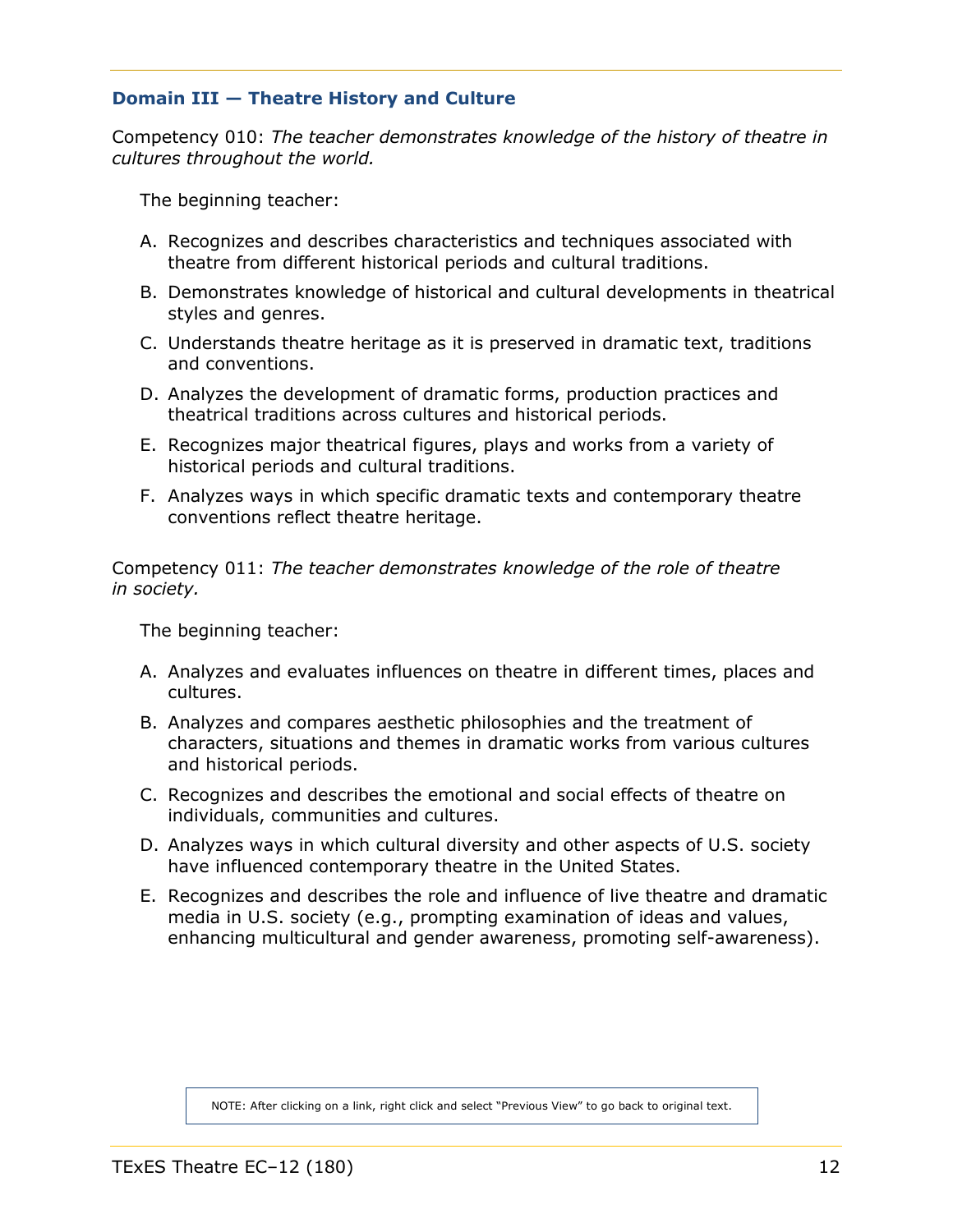# <span id="page-11-1"></span><span id="page-11-0"></span>**Domain III — Theatre History and Culture**

Competency 010: *The teacher demonstrates knowledge of the history of theatre in cultures throughout the world.*

The beginning teacher:

- A. Recognizes and describes characteristics and techniques associated with theatre from different historical periods and cultural traditions.
- B. Demonstrates knowledge of historical and cultural developments in theatrical styles and genres.
- C. Understands theatre heritage as it is preserved in dramatic text, traditions and conventions.
- D. Analyzes the development of dramatic forms, production practices and theatrical traditions across cultures and historical periods.
- E. Recognizes major theatrical figures, plays and works from a variety of historical periods and cultural traditions.
- F. Analyzes ways in which specific dramatic texts and contemporary theatre conventions reflect theatre heritage.

Competency 011: *The teacher demonstrates knowledge of the role of theatre in society.*

The beginning teacher:

- A. Analyzes and evaluates influences on theatre in different times, places and cultures.
- B. Analyzes and compares aesthetic philosophies and the treatment of characters, situations and themes in dramatic works from various cultures and historical periods.
- C. Recognizes and describes the emotional and social effects of theatre on individuals, communities and cultures.
- D. Analyzes ways in which cultural diversity and other aspects of U.S. society have influenced contemporary theatre in the United States.
- E. Recognizes and describes the role and influence of live theatre and dramatic media in U.S. society (e.g., prompting examination of ideas and values, enhancing multicultural and gender awareness, promoting self-awareness).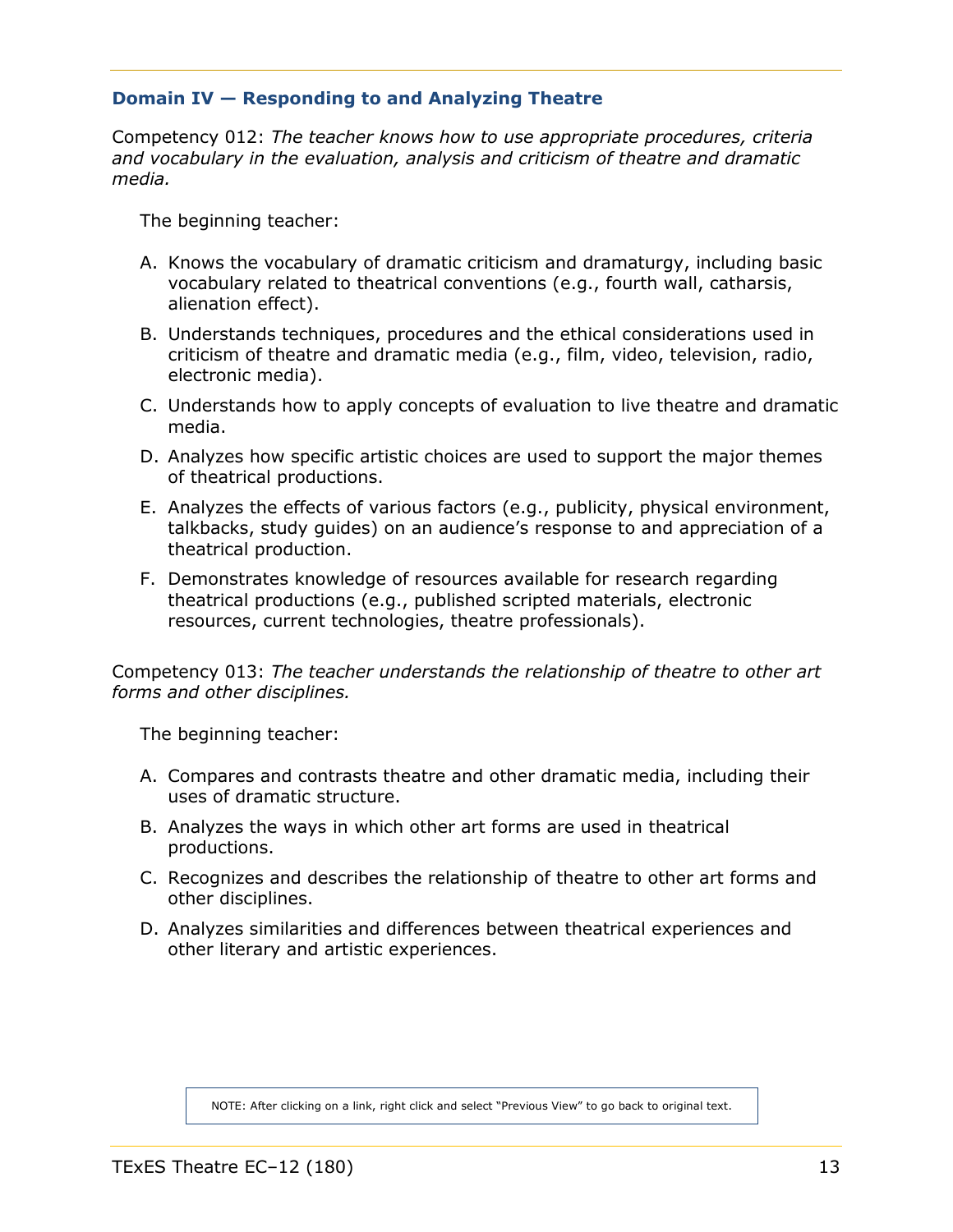# <span id="page-12-1"></span><span id="page-12-0"></span>**Domain IV — Responding to and Analyzing Theatre**

Competency 012: *The teacher knows how to use appropriate procedures, criteria and vocabulary in the evaluation, analysis and criticism of theatre and dramatic media.*

The beginning teacher:

- A. Knows the vocabulary of dramatic criticism and dramaturgy, including basic vocabulary related to theatrical conventions (e.g., fourth wall, catharsis, alienation effect).
- B. Understands techniques, procedures and the ethical considerations used in criticism of theatre and dramatic media (e.g., film, video, television, radio, electronic media).
- C. Understands how to apply concepts of evaluation to live theatre and dramatic media.
- D. Analyzes how specific artistic choices are used to support the major themes of theatrical productions.
- E. Analyzes the effects of various factors (e.g., publicity, physical environment, talkbacks, study guides) on an audience's response to and appreciation of a theatrical production.
- F. Demonstrates knowledge of resources available for research regarding theatrical productions (e.g., published scripted materials, electronic resources, current technologies, theatre professionals).

Competency 013: *The teacher understands the relationship of theatre to other art forms and other disciplines.*

The beginning teacher:

- A. Compares and contrasts theatre and other dramatic media, including their uses of dramatic structure.
- B. Analyzes the ways in which other art forms are used in theatrical productions.
- C. Recognizes and describes the relationship of theatre to other art forms and other disciplines.
- D. Analyzes similarities and differences between theatrical experiences and other literary and artistic experiences.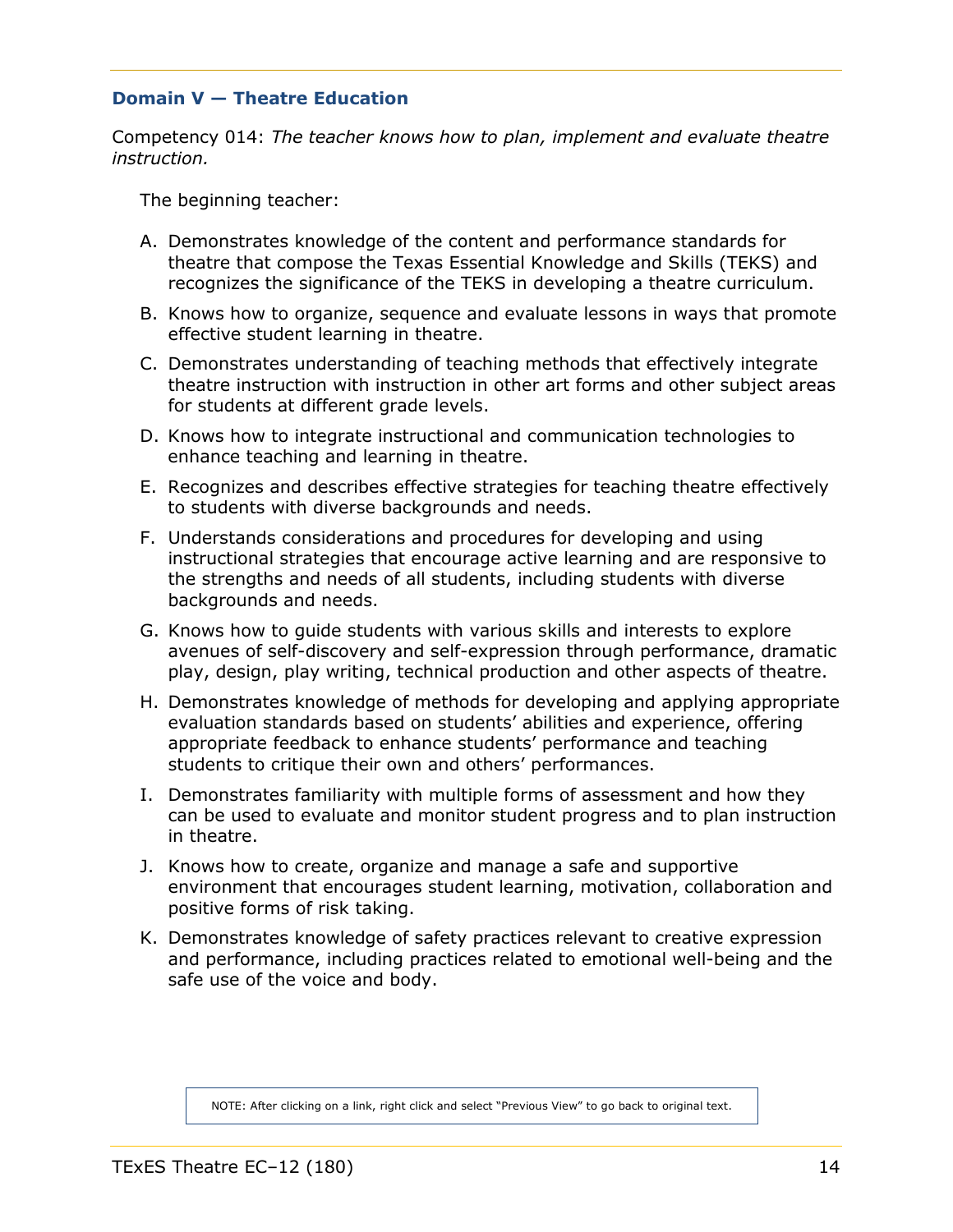# <span id="page-13-1"></span><span id="page-13-0"></span>**Domain V — Theatre Education**

Competency 014: *The teacher knows how to plan, implement and evaluate theatre instruction.*

The beginning teacher:

- A. Demonstrates knowledge of the content and performance standards for theatre that compose the Texas Essential Knowledge and Skills (TEKS) and recognizes the significance of the TEKS in developing a theatre curriculum.
- B. Knows how to organize, sequence and evaluate lessons in ways that promote effective student learning in theatre.
- C. Demonstrates understanding of teaching methods that effectively integrate theatre instruction with instruction in other art forms and other subject areas for students at different grade levels.
- D. Knows how to integrate instructional and communication technologies to enhance teaching and learning in theatre.
- E. Recognizes and describes effective strategies for teaching theatre effectively to students with diverse backgrounds and needs.
- F. Understands considerations and procedures for developing and using instructional strategies that encourage active learning and are responsive to the strengths and needs of all students, including students with diverse backgrounds and needs.
- G. Knows how to guide students with various skills and interests to explore avenues of self-discovery and self-expression through performance, dramatic play, design, play writing, technical production and other aspects of theatre.
- H. Demonstrates knowledge of methods for developing and applying appropriate evaluation standards based on students' abilities and experience, offering appropriate feedback to enhance students' performance and teaching students to critique their own and others' performances.
- I. Demonstrates familiarity with multiple forms of assessment and how they can be used to evaluate and monitor student progress and to plan instruction in theatre.
- J. Knows how to create, organize and manage a safe and supportive environment that encourages student learning, motivation, collaboration and positive forms of risk taking.
- K. Demonstrates knowledge of safety practices relevant to creative expression and performance, including practices related to emotional well-being and the safe use of the voice and body.

NOTE: After clicking on a link, right click and select "Previous View" to go back to original text.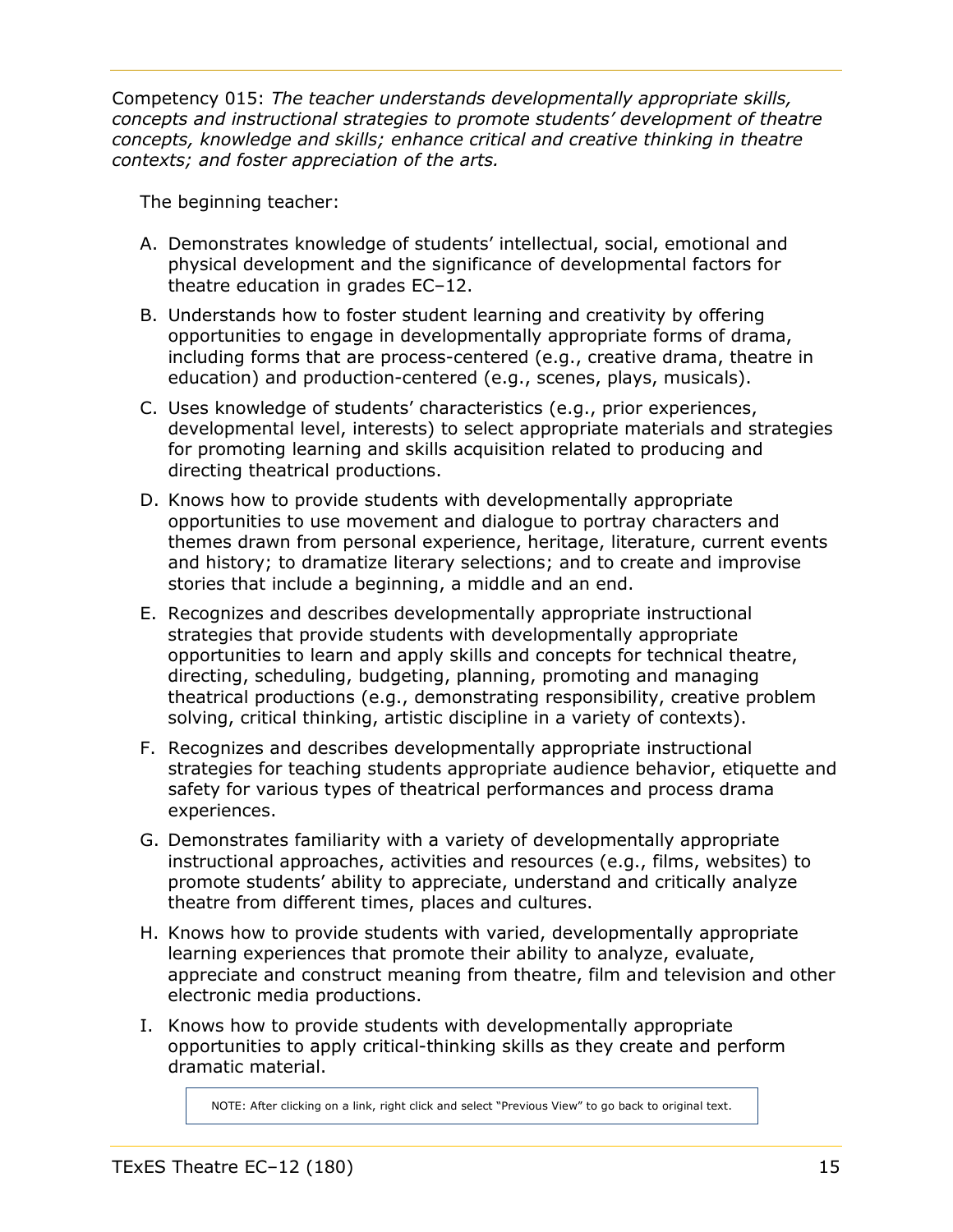<span id="page-14-0"></span>Competency 015: *The teacher understands developmentally appropriate skills, concepts and instructional strategies to promote students' development of theatre concepts, knowledge and skills; enhance critical and creative thinking in theatre contexts; and foster appreciation of the arts.*

The beginning teacher:

- A. Demonstrates knowledge of students' intellectual, social, emotional and physical development and the significance of developmental factors for theatre education in grades EC–12.
- B. Understands how to foster student learning and creativity by offering opportunities to engage in developmentally appropriate forms of drama, including forms that are process-centered (e.g., creative drama, theatre in education) and production-centered (e.g., scenes, plays, musicals).
- C. Uses knowledge of students' characteristics (e.g., prior experiences, developmental level, interests) to select appropriate materials and strategies for promoting learning and skills acquisition related to producing and directing theatrical productions.
- D. Knows how to provide students with developmentally appropriate opportunities to use movement and dialogue to portray characters and themes drawn from personal experience, heritage, literature, current events and history; to dramatize literary selections; and to create and improvise stories that include a beginning, a middle and an end.
- E. Recognizes and describes developmentally appropriate instructional strategies that provide students with developmentally appropriate opportunities to learn and apply skills and concepts for technical theatre, directing, scheduling, budgeting, planning, promoting and managing theatrical productions (e.g., demonstrating responsibility, creative problem solving, critical thinking, artistic discipline in a variety of contexts).
- F. Recognizes and describes developmentally appropriate instructional strategies for teaching students appropriate audience behavior, etiquette and safety for various types of theatrical performances and process drama experiences.
- G. Demonstrates familiarity with a variety of developmentally appropriate instructional approaches, activities and resources (e.g., films, websites) to promote students' ability to appreciate, understand and critically analyze theatre from different times, places and cultures.
- H. Knows how to provide students with varied, developmentally appropriate learning experiences that promote their ability to analyze, evaluate, appreciate and construct meaning from theatre, film and television and other electronic media productions.
- I. Knows how to provide students with developmentally appropriate opportunities to apply critical-thinking skills as they create and perform dramatic material.

NOTE: After clicking on a link, right click and select "Previous View" to go back to original text.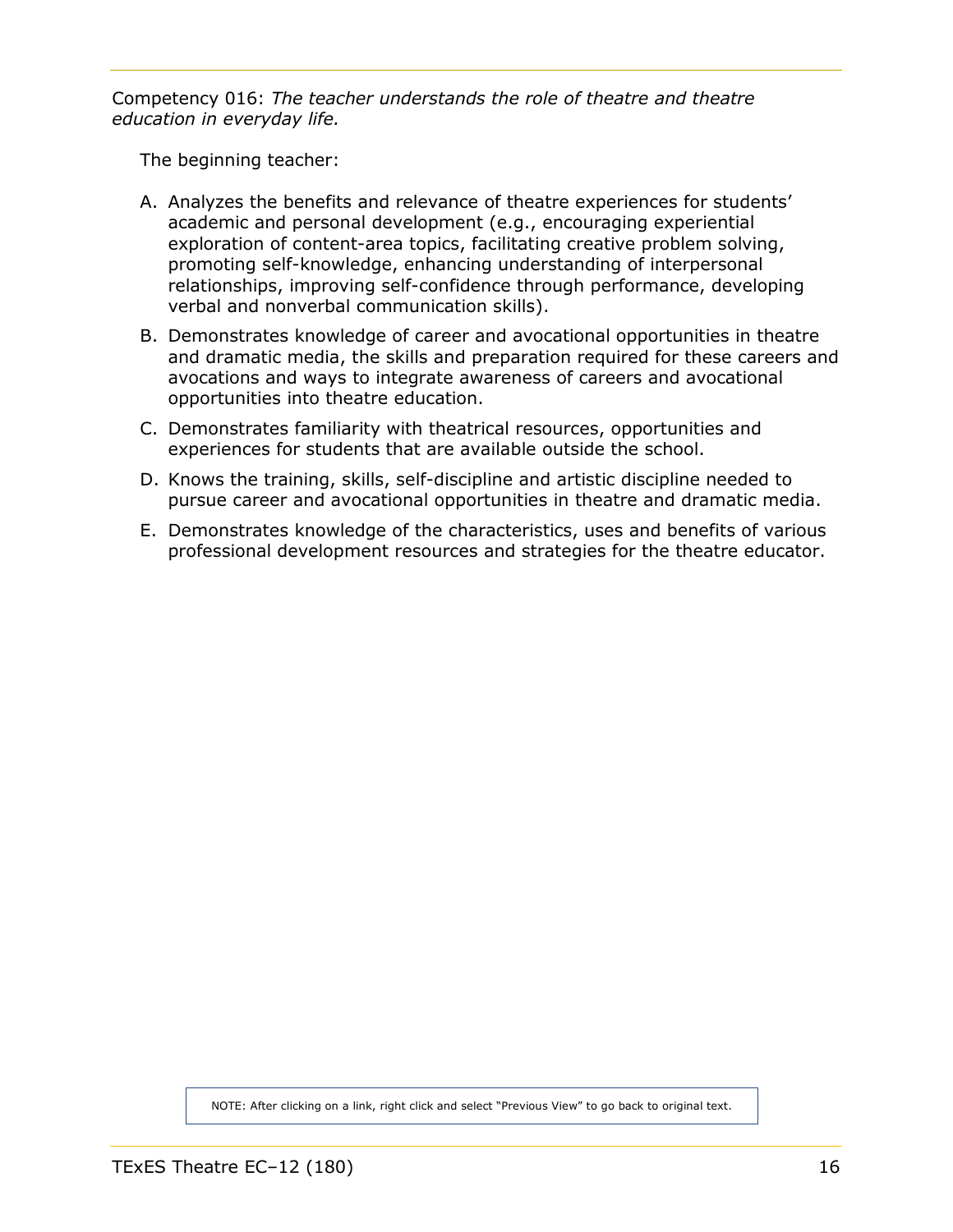<span id="page-15-0"></span>Competency 016: *The teacher understands the role of theatre and theatre education in everyday life.*

The beginning teacher:

- A. Analyzes the benefits and relevance of theatre experiences for students' academic and personal development (e.g., encouraging experiential exploration of content-area topics, facilitating creative problem solving, promoting self-knowledge, enhancing understanding of interpersonal relationships, improving self-confidence through performance, developing verbal and nonverbal communication skills).
- B. Demonstrates knowledge of career and avocational opportunities in theatre and dramatic media, the skills and preparation required for these careers and avocations and ways to integrate awareness of careers and avocational opportunities into theatre education.
- C. Demonstrates familiarity with theatrical resources, opportunities and experiences for students that are available outside the school.
- D. Knows the training, skills, self-discipline and artistic discipline needed to pursue career and avocational opportunities in theatre and dramatic media.
- E. Demonstrates knowledge of the characteristics, uses and benefits of various professional development resources and strategies for the theatre educator.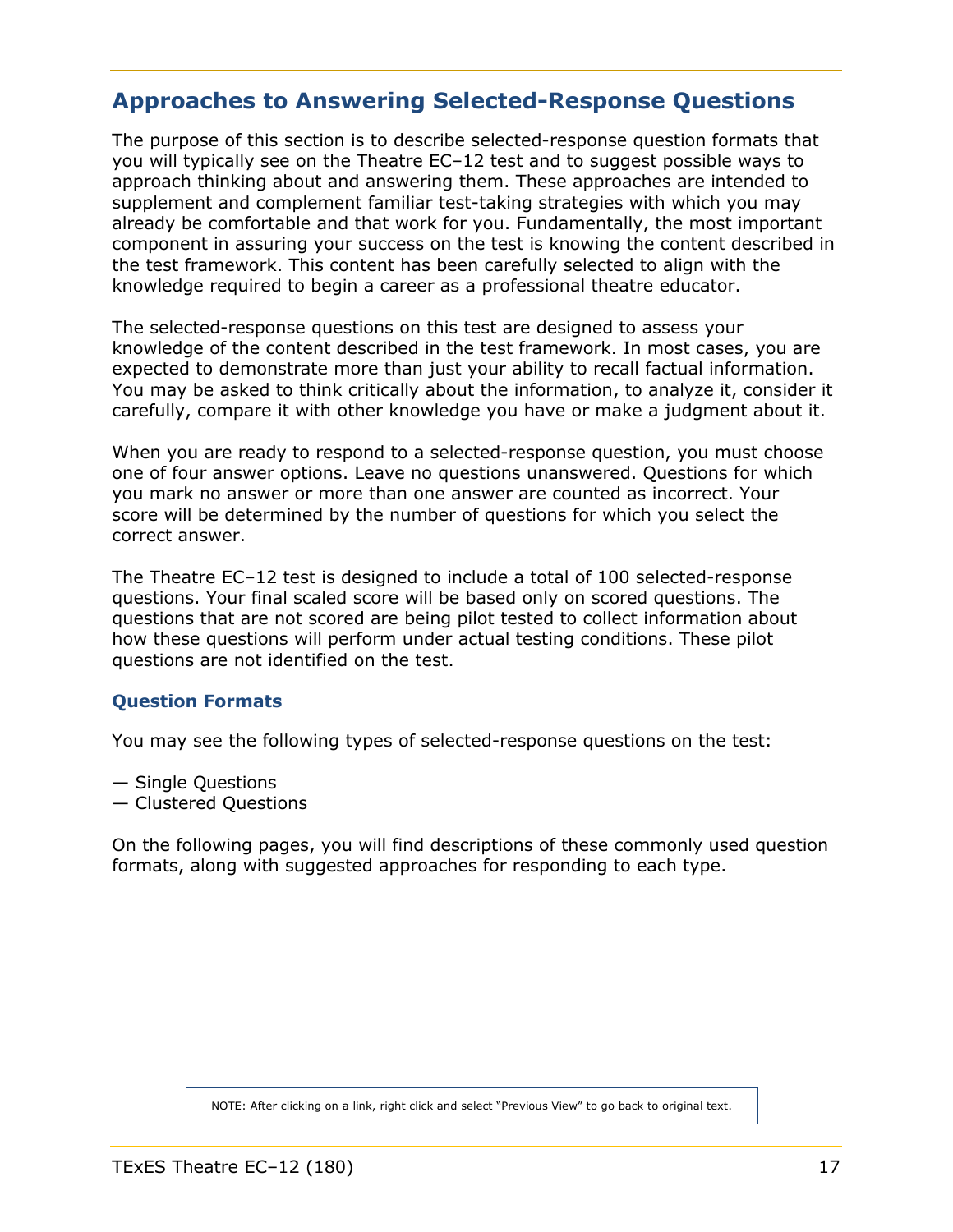# <span id="page-16-0"></span>**Approaches to Answering Selected-Response Questions**

The purpose of this section is to describe selected-response question formats that you will typically see on the Theatre EC–12 test and to suggest possible ways to approach thinking about and answering them. These approaches are intended to supplement and complement familiar test-taking strategies with which you may already be comfortable and that work for you. Fundamentally, the most important component in assuring your success on the test is knowing the content described in the test framework. This content has been carefully selected to align with the knowledge required to begin a career as a professional theatre educator.

The selected-response questions on this test are designed to assess your knowledge of the content described in the test framework. In most cases, you are expected to demonstrate more than just your ability to recall factual information. You may be asked to think critically about the information, to analyze it, consider it carefully, compare it with other knowledge you have or make a judgment about it.

When you are ready to respond to a selected-response question, you must choose one of four answer options. Leave no questions unanswered. Questions for which you mark no answer or more than one answer are counted as incorrect. Your score will be determined by the number of questions for which you select the correct answer.

The Theatre EC–12 test is designed to include a total of 100 selected-response questions. Your final scaled score will be based only on scored questions. The questions that are not scored are being pilot tested to collect information about how these questions will perform under actual testing conditions. These pilot questions are not identified on the test.

# **Question Formats**

<span id="page-16-1"></span>You may see the following types of selected-response questions on the test:

- Single Questions
- Clustered Questions

On the following pages, you will find descriptions of these commonly used question formats, along with suggested approaches for responding to each type.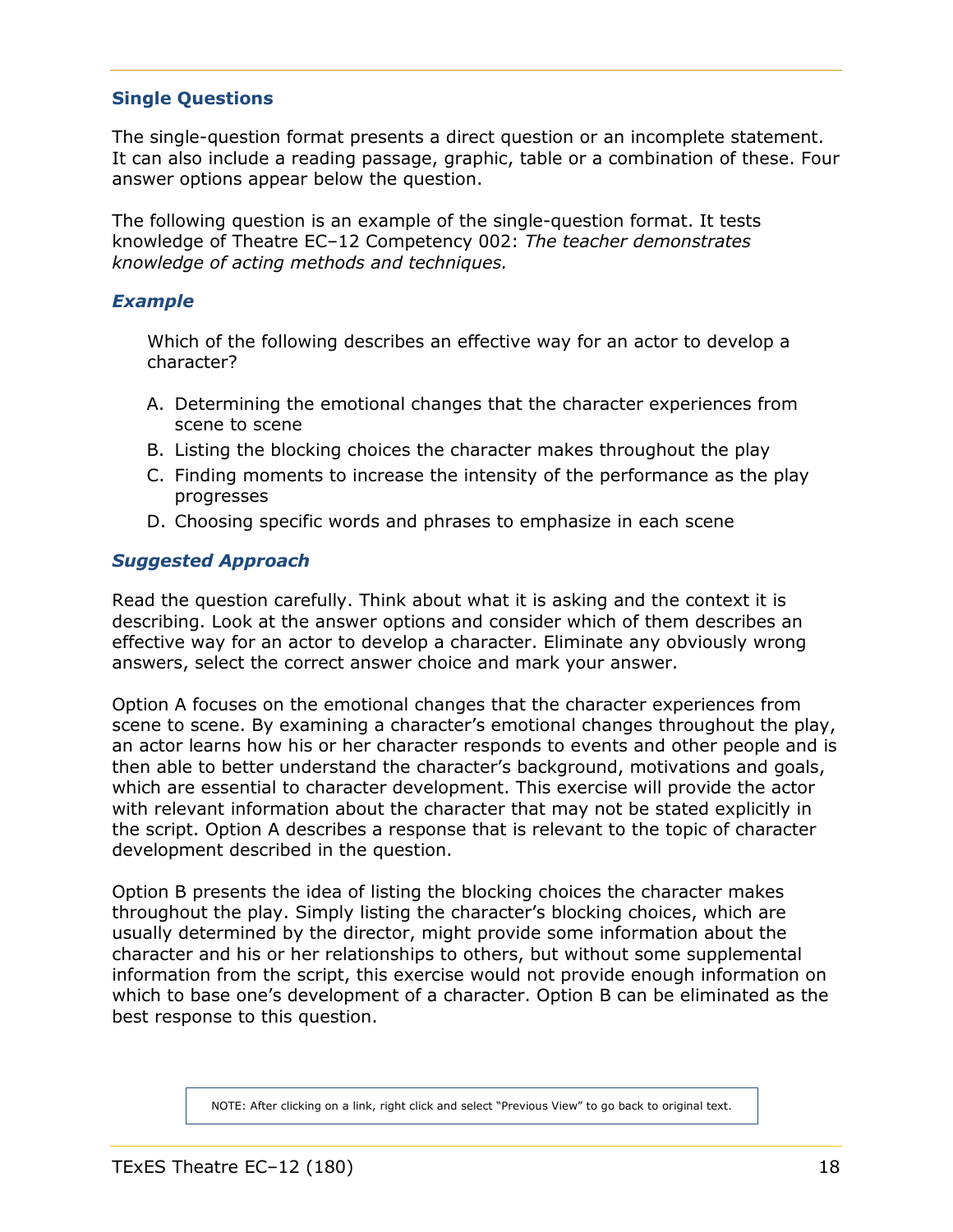# <span id="page-17-0"></span>**Single Questions**

The single-question format presents a direct question or an incomplete statement. It can also include a reading passage, graphic, table or a combination of these. Four answer options appear below the question.

The following question is an example of the single-question format. It tests knowledge of Theatre EC–12 Competency 002: *The teacher demonstrates knowledge of acting methods and techniques.*

## *Example*

Which of the following describes an effective way for an actor to develop a character?

- A. Determining the emotional changes that the character experiences from scene to scene
- B. Listing the blocking choices the character makes throughout the play
- C. Finding moments to increase the intensity of the performance as the play progresses
- D. Choosing specific words and phrases to emphasize in each scene

# *Suggested Approach*

Read the question carefully. Think about what it is asking and the context it is describing. Look at the answer options and consider which of them describes an effective way for an actor to develop a character. Eliminate any obviously wrong answers, select the correct answer choice and mark your answer.

Option A focuses on the emotional changes that the character experiences from scene to scene. By examining a character's emotional changes throughout the play, an actor learns how his or her character responds to events and other people and is then able to better understand the character's background, motivations and goals, which are essential to character development. This exercise will provide the actor with relevant information about the character that may not be stated explicitly in the script. Option A describes a response that is relevant to the topic of character development described in the question.

Option B presents the idea of listing the blocking choices the character makes throughout the play. Simply listing the character's blocking choices, which are usually determined by the director, might provide some information about the character and his or her relationships to others, but without some supplemental information from the script, this exercise would not provide enough information on which to base one's development of a character. Option B can be eliminated as the best response to this question.

NOTE: After clicking on a link, right click and select "Previous View" to go back to original text.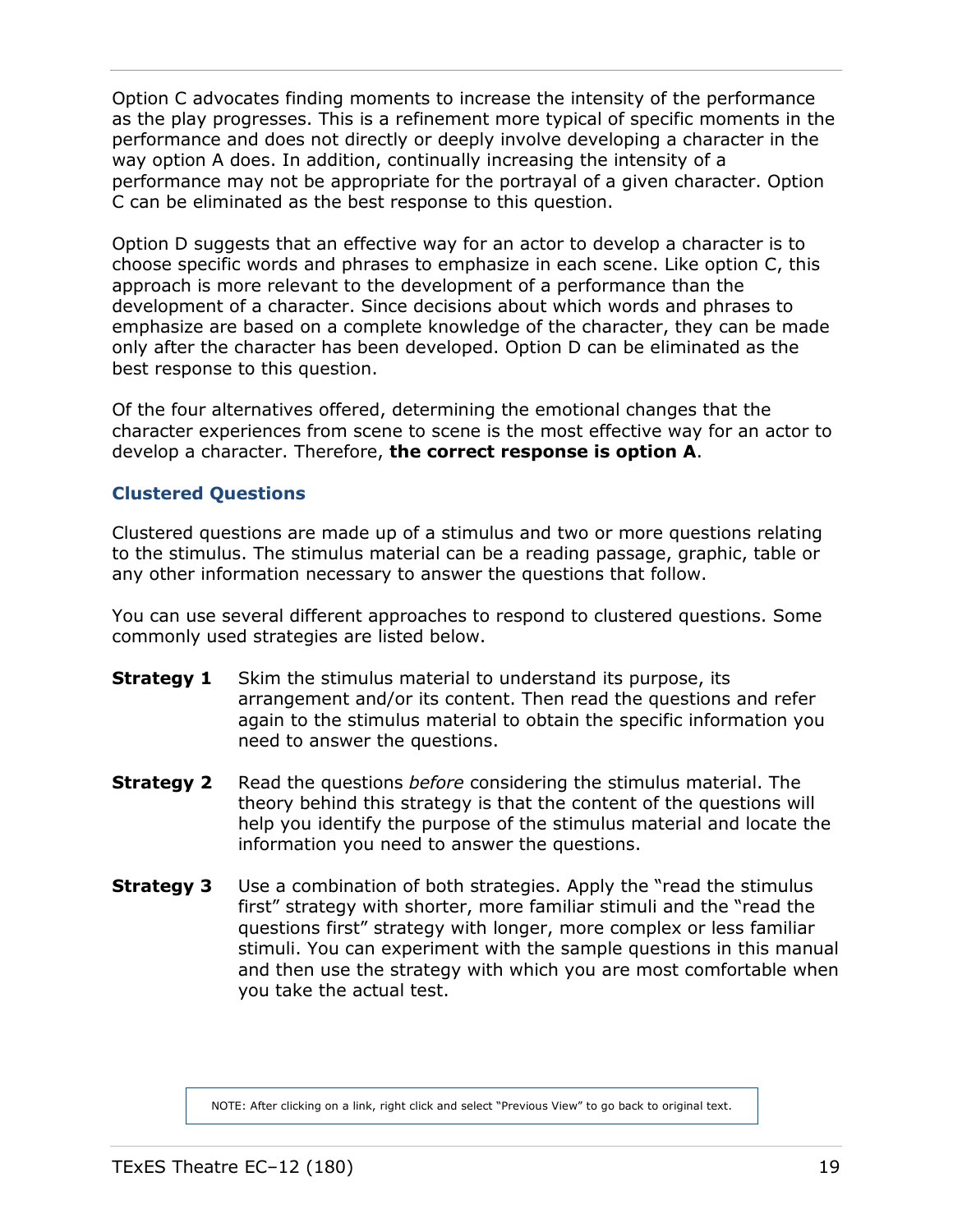Option C advocates finding moments to increase the intensity of the performance as the play progresses. This is a refinement more typical of specific moments in the performance and does not directly or deeply involve developing a character in the way option A does. In addition, continually increasing the intensity of a performance may not be appropriate for the portrayal of a given character. Option C can be eliminated as the best response to this question.

Option D suggests that an effective way for an actor to develop a character is to choose specific words and phrases to emphasize in each scene. Like option C, this approach is more relevant to the development of a performance than the development of a character. Since decisions about which words and phrases to emphasize are based on a complete knowledge of the character, they can be made only after the character has been developed. Option D can be eliminated as the best response to this question.

Of the four alternatives offered, determining the emotional changes that the character experiences from scene to scene is the most effective way for an actor to develop a character. Therefore, **the correct response is option A**.

# <span id="page-18-0"></span>**Clustered Questions**

Clustered questions are made up of a stimulus and two or more questions relating to the stimulus. The stimulus material can be a reading passage, graphic, table or any other information necessary to answer the questions that follow.

You can use several different approaches to respond to clustered questions. Some commonly used strategies are listed below.

- **Strategy 1** Skim the stimulus material to understand its purpose, its arrangement and/or its content. Then read the questions and refer again to the stimulus material to obtain the specific information you need to answer the questions.
- **Strategy 2** Read the questions *before* considering the stimulus material. The theory behind this strategy is that the content of the questions will help you identify the purpose of the stimulus material and locate the information you need to answer the questions.
- **Strategy 3** Use a combination of both strategies. Apply the "read the stimulus first" strategy with shorter, more familiar stimuli and the "read the questions first" strategy with longer, more complex or less familiar stimuli. You can experiment with the sample questions in this manual and then use the strategy with which you are most comfortable when you take the actual test.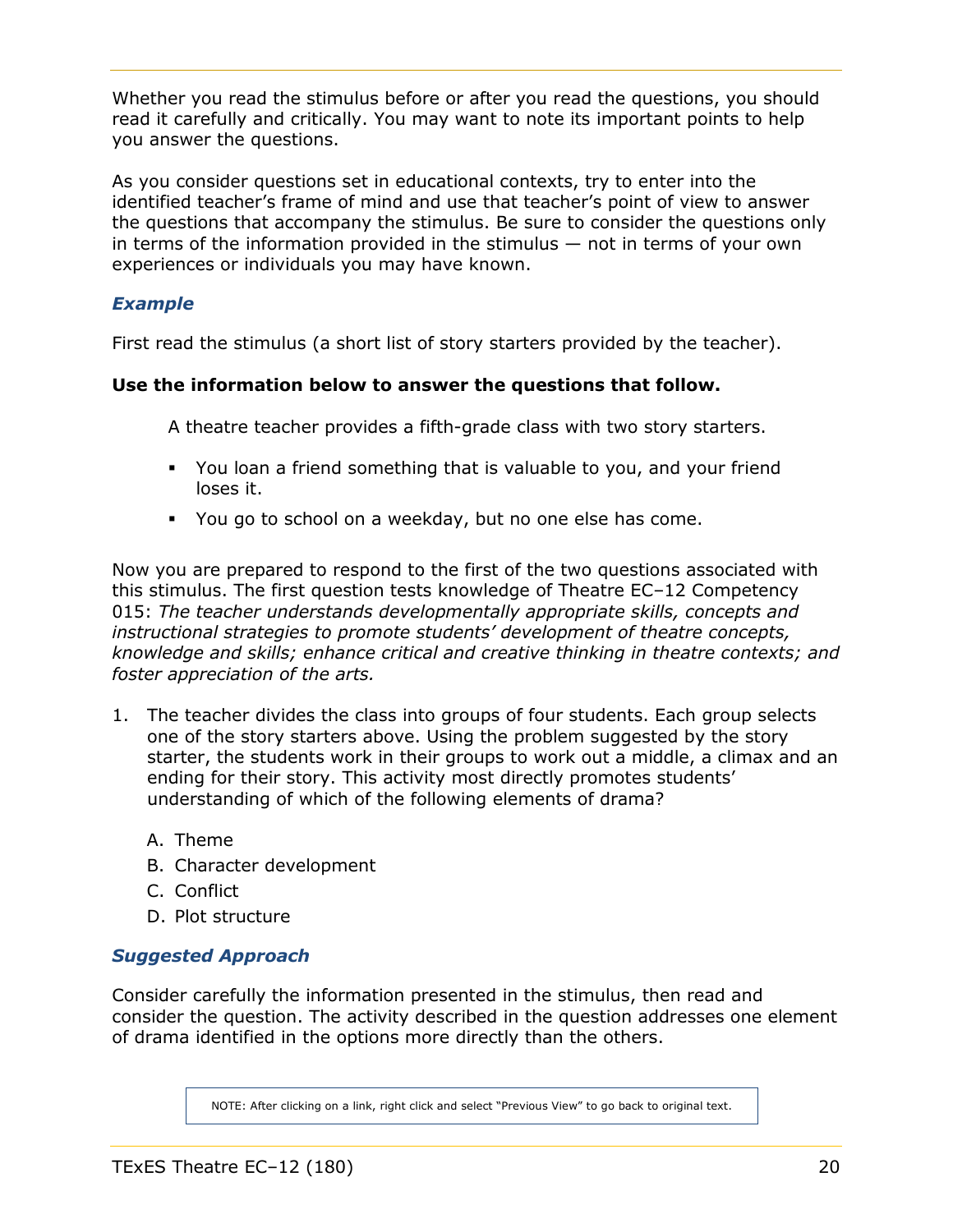Whether you read the stimulus before or after you read the questions, you should read it carefully and critically. You may want to note its important points to help you answer the questions.

As you consider questions set in educational contexts, try to enter into the identified teacher's frame of mind and use that teacher's point of view to answer the questions that accompany the stimulus. Be sure to consider the questions only in terms of the information provided in the stimulus — not in terms of your own experiences or individuals you may have known.

# *Example*

First read the stimulus (a short list of story starters provided by the teacher).

# **Use the information below to answer the questions that follow.**

A theatre teacher provides a fifth-grade class with two story starters.

- You loan a friend something that is valuable to you, and your friend loses it.
- You go to school on a weekday, but no one else has come.

Now you are prepared to respond to the first of the two questions associated with this stimulus. The first question tests knowledge of Theatre EC–12 Competency 015: *The teacher understands developmentally appropriate skills, concepts and instructional strategies to promote students' development of theatre concepts, knowledge and skills; enhance critical and creative thinking in theatre contexts; and foster appreciation of the arts.*

- 1. The teacher divides the class into groups of four students. Each group selects one of the story starters above. Using the problem suggested by the story starter, the students work in their groups to work out a middle, a climax and an ending for their story. This activity most directly promotes students' understanding of which of the following elements of drama?
	- A. Theme
	- B. Character development
	- C. Conflict
	- D. Plot structure

# *Suggested Approach*

Consider carefully the information presented in the stimulus, then read and consider the question. The activity described in the question addresses one element of drama identified in the options more directly than the others.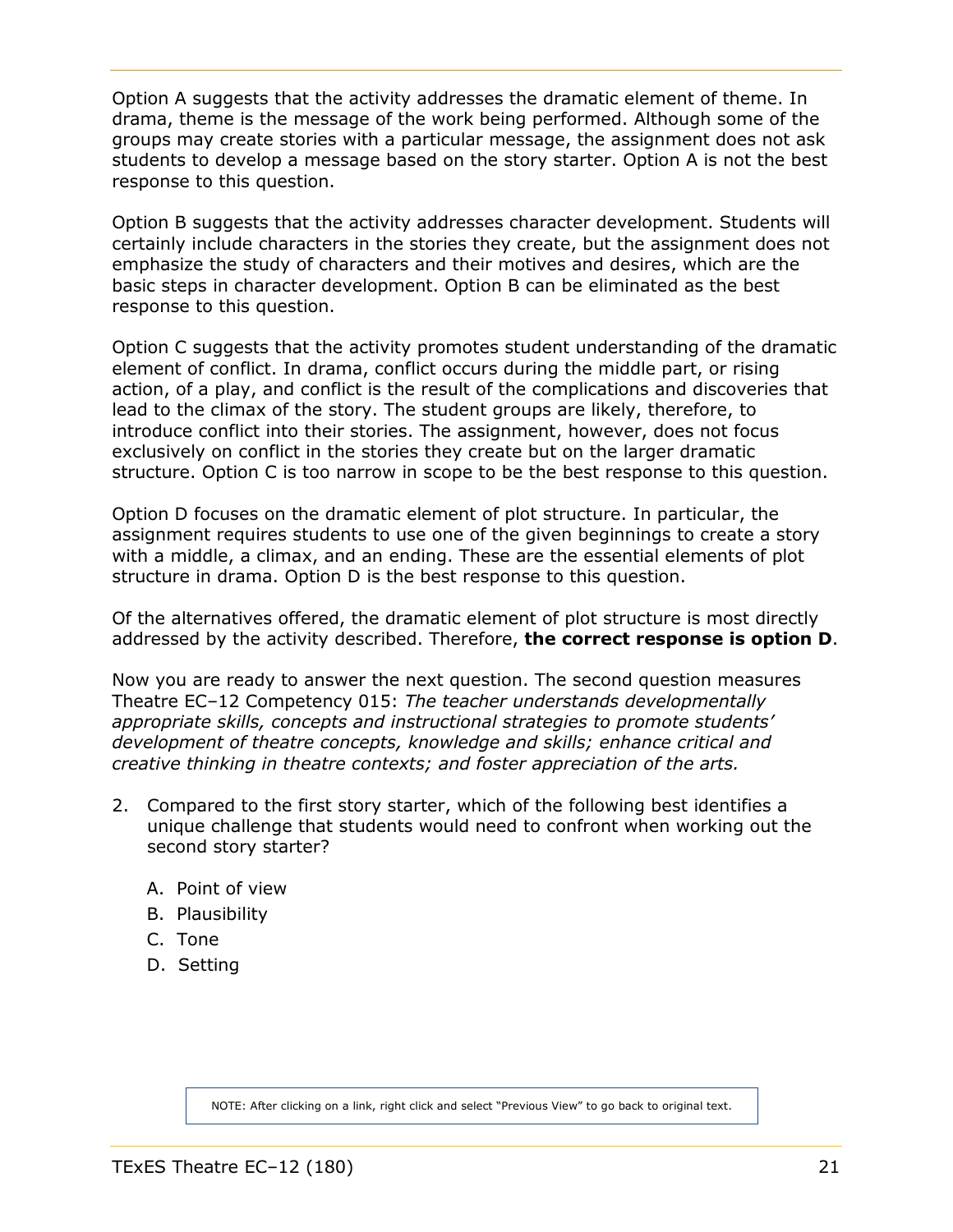Option A suggests that the activity addresses the dramatic element of theme. In drama, theme is the message of the work being performed. Although some of the groups may create stories with a particular message, the assignment does not ask students to develop a message based on the story starter. Option A is not the best response to this question.

Option B suggests that the activity addresses character development. Students will certainly include characters in the stories they create, but the assignment does not emphasize the study of characters and their motives and desires, which are the basic steps in character development. Option B can be eliminated as the best response to this question.

Option C suggests that the activity promotes student understanding of the dramatic element of conflict. In drama, conflict occurs during the middle part, or rising action, of a play, and conflict is the result of the complications and discoveries that lead to the climax of the story. The student groups are likely, therefore, to introduce conflict into their stories. The assignment, however, does not focus exclusively on conflict in the stories they create but on the larger dramatic structure. Option C is too narrow in scope to be the best response to this question.

Option D focuses on the dramatic element of plot structure. In particular, the assignment requires students to use one of the given beginnings to create a story with a middle, a climax, and an ending. These are the essential elements of plot structure in drama. Option D is the best response to this question.

Of the alternatives offered, the dramatic element of plot structure is most directly addressed by the activity described. Therefore, **the correct response is option D**.

Now you are ready to answer the next question. The second question measures Theatre EC–12 Competency 015: *The teacher understands developmentally appropriate skills, concepts and instructional strategies to promote students' development of theatre concepts, knowledge and skills; enhance critical and creative thinking in theatre contexts; and foster appreciation of the arts.*

- 2. Compared to the first story starter, which of the following best identifies a unique challenge that students would need to confront when working out the second story starter?
	- A. Point of view
	- B. Plausibility
	- C. Tone
	- D. Setting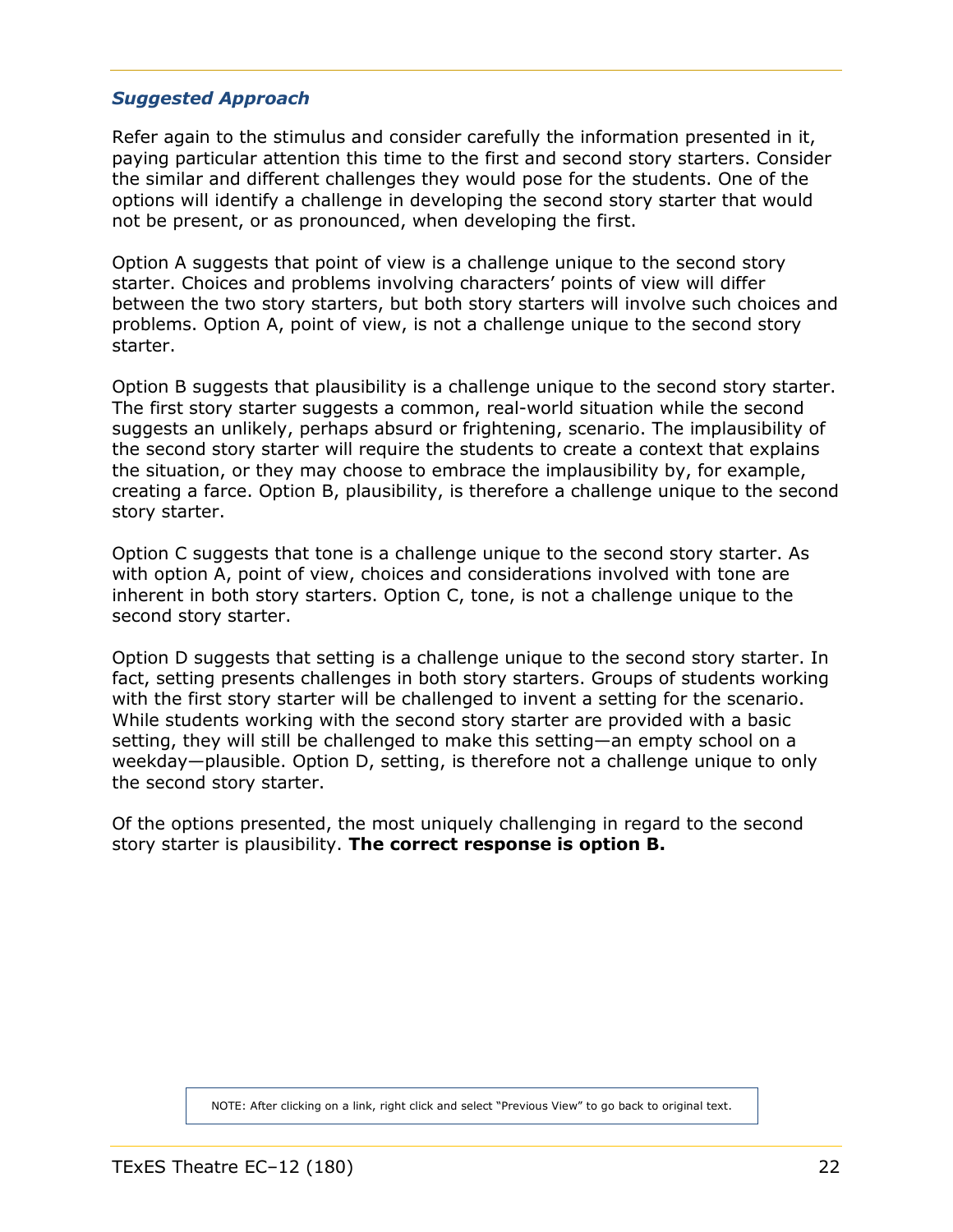# *Suggested Approach*

Refer again to the stimulus and consider carefully the information presented in it, paying particular attention this time to the first and second story starters. Consider the similar and different challenges they would pose for the students. One of the options will identify a challenge in developing the second story starter that would not be present, or as pronounced, when developing the first.

Option A suggests that point of view is a challenge unique to the second story starter. Choices and problems involving characters' points of view will differ between the two story starters, but both story starters will involve such choices and problems. Option A, point of view, is not a challenge unique to the second story starter.

Option B suggests that plausibility is a challenge unique to the second story starter. The first story starter suggests a common, real-world situation while the second suggests an unlikely, perhaps absurd or frightening, scenario. The implausibility of the second story starter will require the students to create a context that explains the situation, or they may choose to embrace the implausibility by, for example, creating a farce. Option B, plausibility, is therefore a challenge unique to the second story starter.

Option C suggests that tone is a challenge unique to the second story starter. As with option A, point of view, choices and considerations involved with tone are inherent in both story starters. Option C, tone, is not a challenge unique to the second story starter.

Option D suggests that setting is a challenge unique to the second story starter. In fact, setting presents challenges in both story starters. Groups of students working with the first story starter will be challenged to invent a setting for the scenario. While students working with the second story starter are provided with a basic setting, they will still be challenged to make this setting—an empty school on a weekday—plausible. Option D, setting, is therefore not a challenge unique to only the second story starter.

Of the options presented, the most uniquely challenging in regard to the second story starter is plausibility. **The correct response is option B.**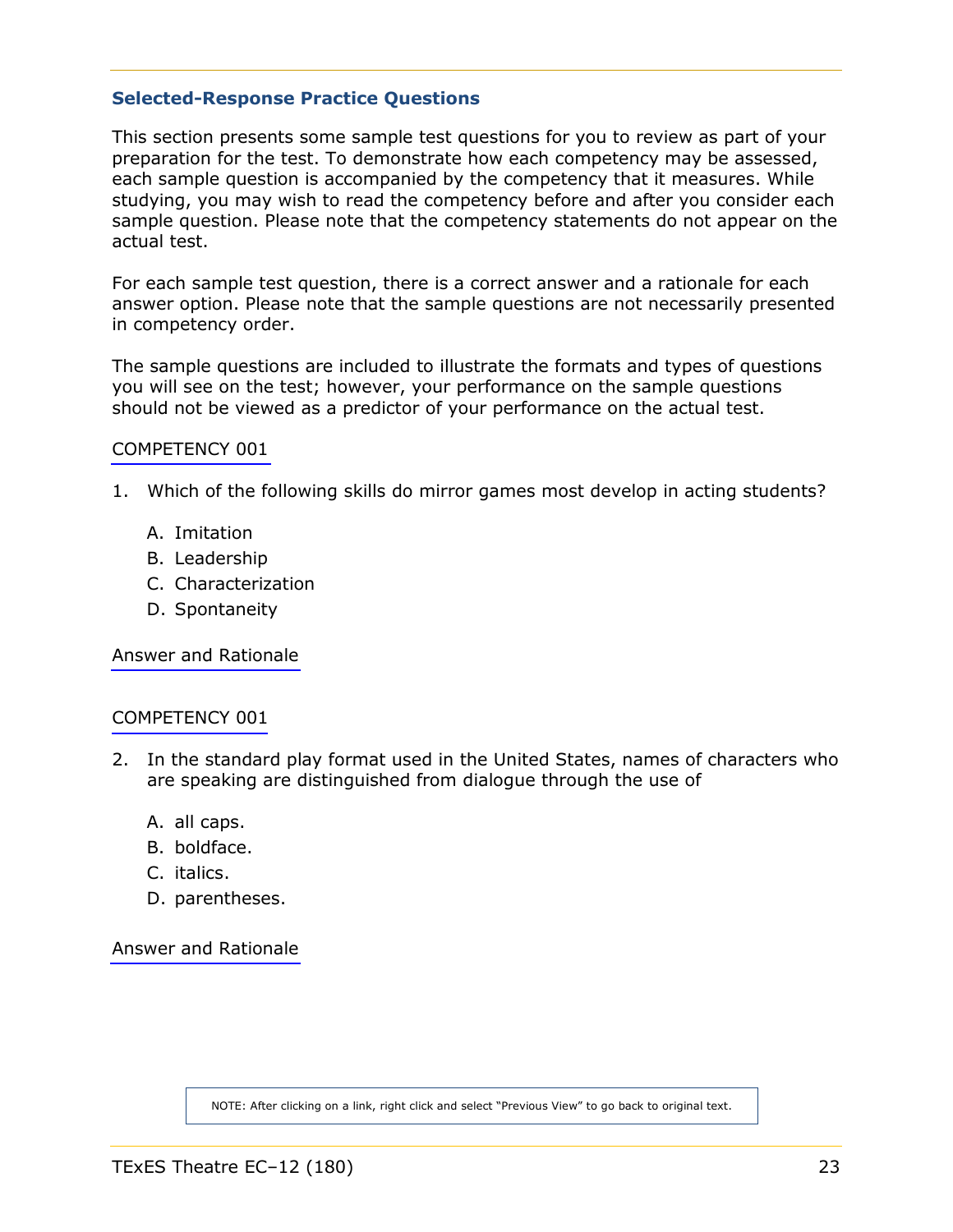#### <span id="page-22-1"></span><span id="page-22-0"></span>**Selected-Response Practice Questions**

This section presents some sample test questions for you to review as part of your preparation for the test. To demonstrate how each competency may be assessed, each sample question is accompanied by the competency that it measures. While studying, you may wish to read the competency before and after you consider each sample question. Please note that the competency statements do not appear on the actual test.

For each sample test question, there is a correct answer and a rationale for each answer option. Please note that the sample questions are not necessarily presented in competency order.

The sample questions are included to illustrate the formats and types of questions you will see on the test; however, your performance on the sample questions should not be viewed as a predictor of your performance on the actual test.

#### [COMPETENCY 001](#page-4-2)

- 1. Which of the following skills do mirror games most develop in acting students?
	- A. Imitation
	- B. Leadership
	- C. Characterization
	- D. Spontaneity

[Answer and Rationale](#page-39-1)

#### [COMPETENCY 001](#page-4-2)

- 2. In the standard play format used in the United States, names of characters who are speaking are distinguished from dialogue through the use of
	- A. all caps.
	- B. boldface.
	- C. italics.
	- D. parentheses.

[Answer and Rationale](#page-39-1)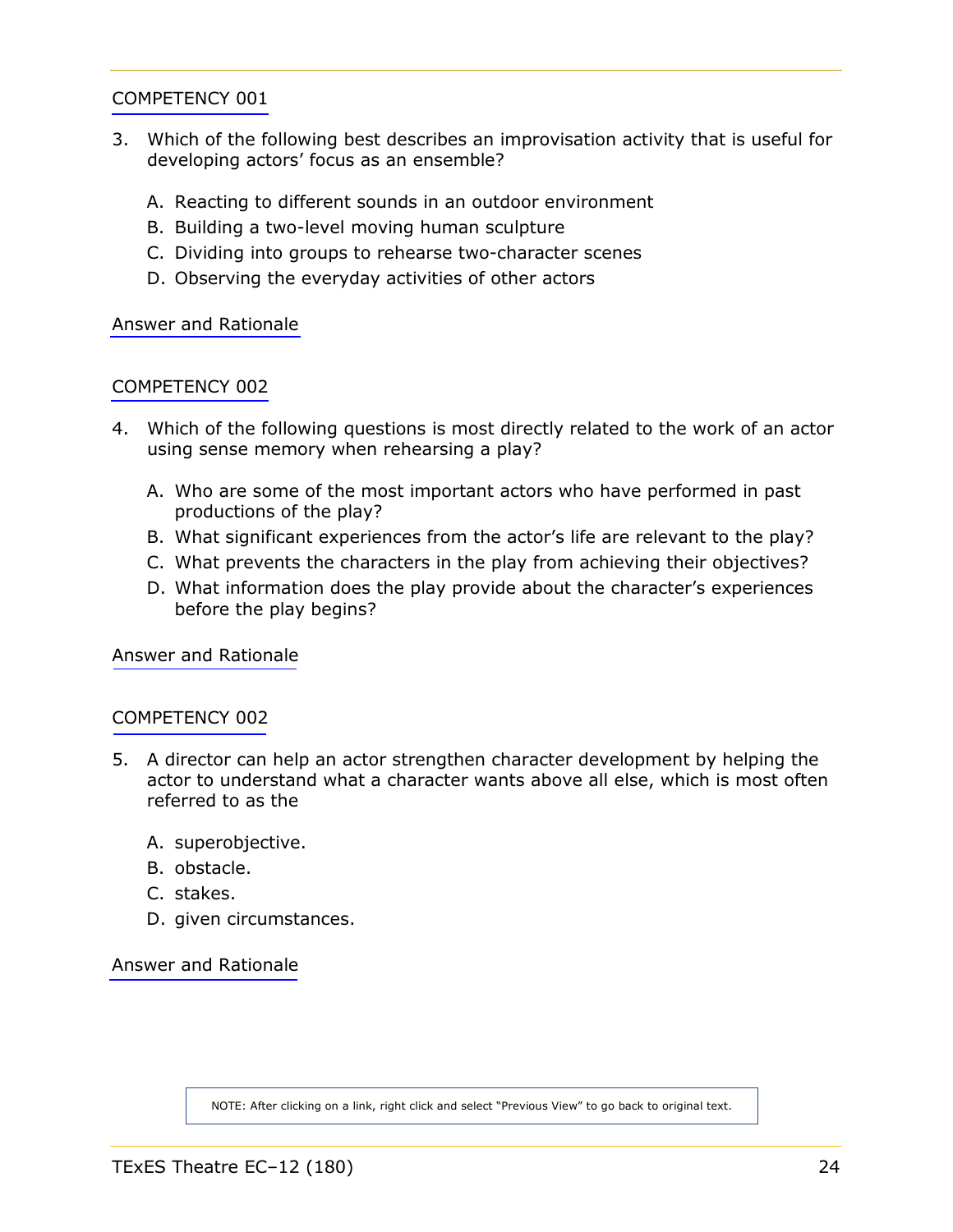- <span id="page-23-0"></span>3. Which of the following best describes an improvisation activity that is useful for developing actors' focus as an ensemble?
	- A. Reacting to different sounds in an outdoor environment
	- B. Building a two-level moving human sculpture
	- C. Dividing into groups to rehearse two-character scenes
	- D. Observing the everyday activities of other actors

[Answer and Rationale](#page-40-0)

# [COMPETENCY 002](#page-5-0)

- 4. Which of the following questions is most directly related to the work of an actor using sense memory when rehearsing a play?
	- A. Who are some of the most important actors who have performed in past productions of the play?
	- B. What significant experiences from the actor's life are relevant to the play?
	- C. What prevents the characters in the play from achieving their objectives?
	- D. What information does the play provide about the character's experiences before the play begins?

[Answer and Rationale](#page-40-0)

#### [COMPETENCY 002](#page-5-0)

- 5. A director can help an actor strengthen character development by helping the actor to understand what a character wants above all else, which is most often referred to as the
	- A. superobjective.
	- B. obstacle.
	- C. stakes.
	- D. given circumstances.

[Answer and Rationale](#page-41-0)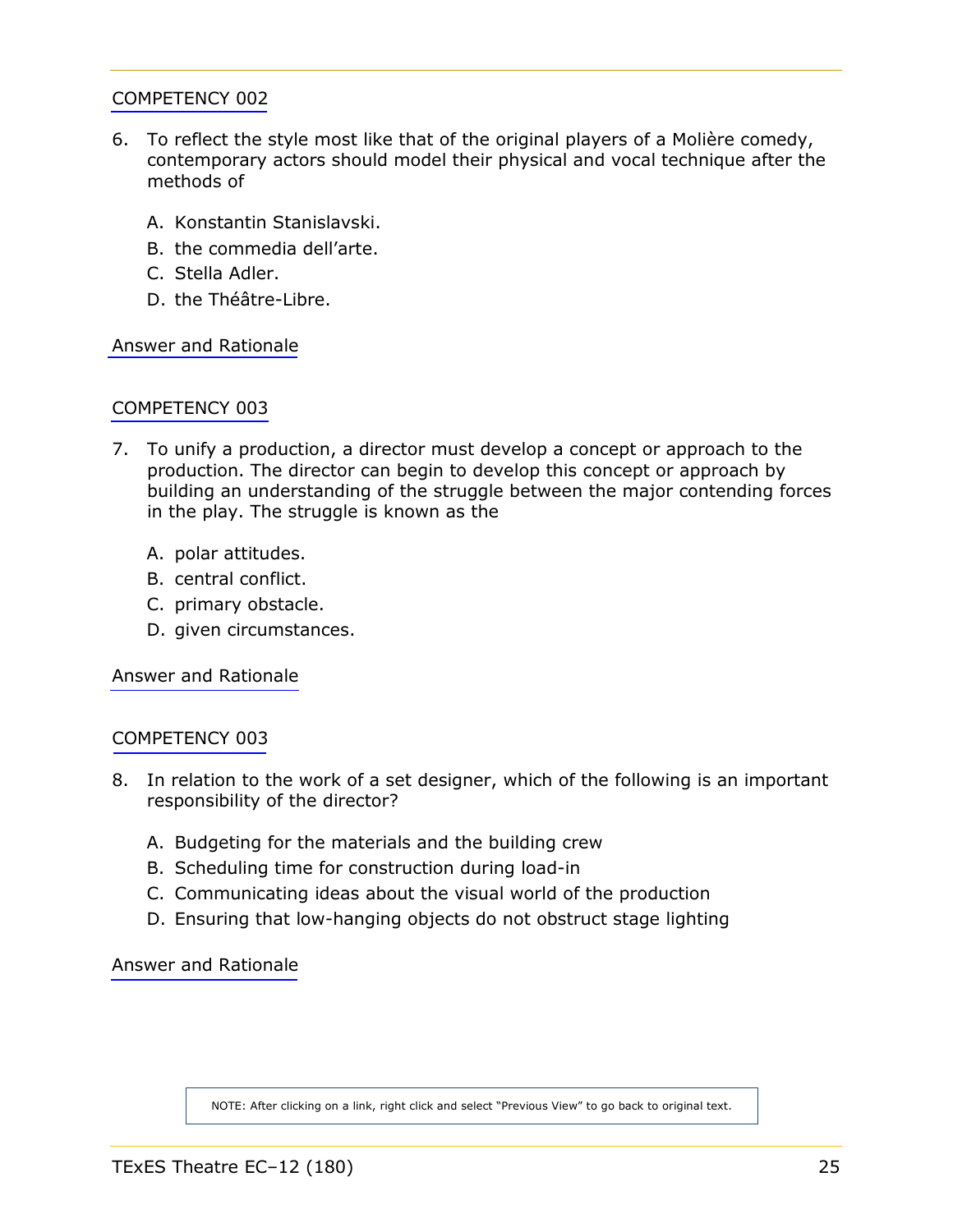- <span id="page-24-0"></span>6. To reflect the style most like that of the original players of a Molière comedy, contemporary actors should model their physical and vocal technique after the methods of
	- A. Konstantin Stanislavski.
	- B. the commedia dell'arte.
	- C. Stella Adler.
	- D. the Théâtre-Libre.

[Answer and Rationale](#page-41-0)

# [COMPETENCY 003](#page-6-0)

- 7. To unify a production, a director must develop a concept or approach to the production. The director can begin to develop this concept or approach by building an understanding of the struggle between the major contending forces in the play. The struggle is known as the
	- A. polar attitudes.
	- B. central conflict.
	- C. primary obstacle.
	- D. given circumstances.

[Answer and Rationale](#page-42-0)

#### [COMPETENCY 003](#page-6-0)

- 8. In relation to the work of a set designer, which of the following is an important responsibility of the director?
	- A. Budgeting for the materials and the building crew
	- B. Scheduling time for construction during load-in
	- C. Communicating ideas about the visual world of the production
	- D. Ensuring that low-hanging objects do not obstruct stage lighting

[Answer and Rationale](#page-42-0)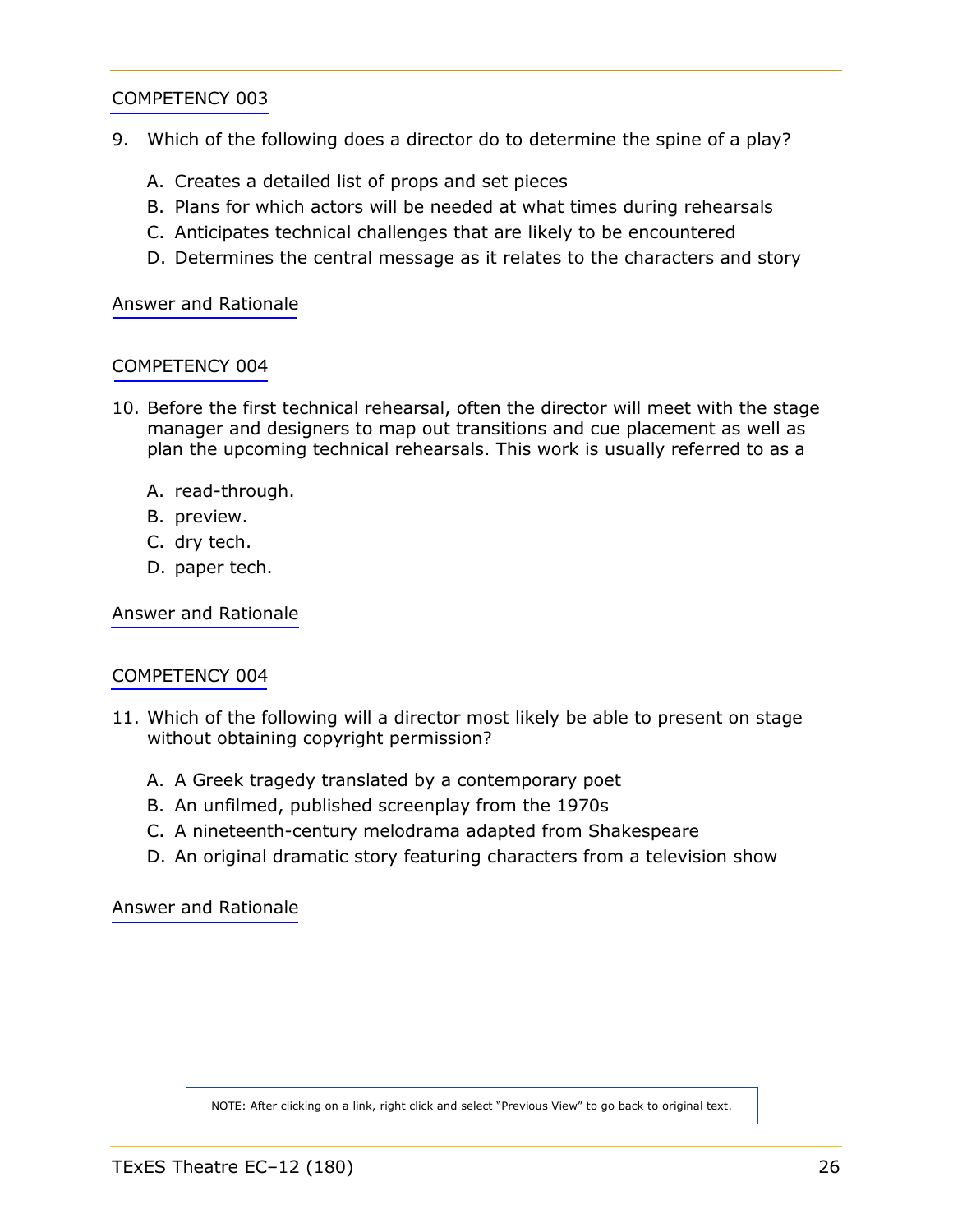- <span id="page-25-0"></span>9. Which of the following does a director do to determine the spine of a play?
	- A. Creates a detailed list of props and set pieces
	- B. Plans for which actors will be needed at what times during rehearsals
	- C. Anticipates technical challenges that are likely to be encountered
	- D. Determines the central message as it relates to the characters and story

[Answer and Rationale](#page-43-0)

#### [COMPETENCY 004](#page-7-0)

- 10. Before the first technical rehearsal, often the director will meet with the stage manager and designers to map out transitions and cue placement as well as plan the upcoming technical rehearsals. This work is usually referred to as a
	- A. read-through.
	- B. preview.
	- C. dry tech.
	- D. paper tech.

[Answer and Rationale](#page-43-0)

#### [COMPETENCY 004](#page-7-0)

- 11. Which of the following will a director most likely be able to present on stage without obtaining copyright permission?
	- A. A Greek tragedy translated by a contemporary poet
	- B. An unfilmed, published screenplay from the 1970s
	- C. A nineteenth-century melodrama adapted from Shakespeare
	- D. An original dramatic story featuring characters from a television show

[Answer and Rationale](#page-44-0)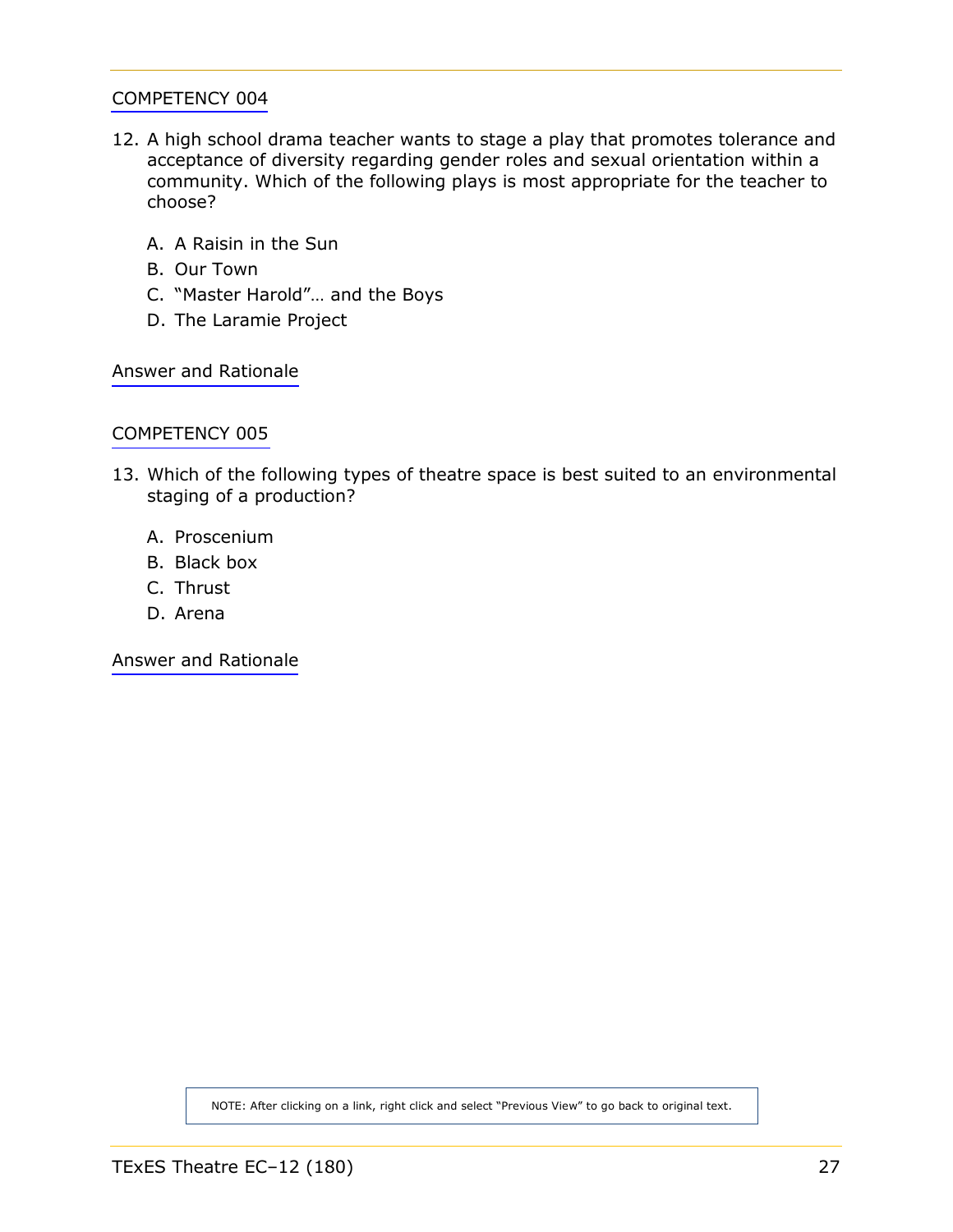- <span id="page-26-0"></span>12. A high school drama teacher wants to stage a play that promotes tolerance and acceptance of diversity regarding gender roles and sexual orientation within a community. Which of the following plays is most appropriate for the teacher to choose?
	- A. A Raisin in the Sun
	- B. Our Town
	- C. "Master Harold"… and the Boys
	- D. The Laramie Project

[Answer and Rationale](#page-44-0)

#### [COMPETENCY 005](#page-8-1)

- 13. Which of the following types of theatre space is best suited to an environmental staging of a production?
	- A. Proscenium
	- B. Black box
	- C. Thrust
	- D. Arena

[Answer and Rationale](#page-45-0)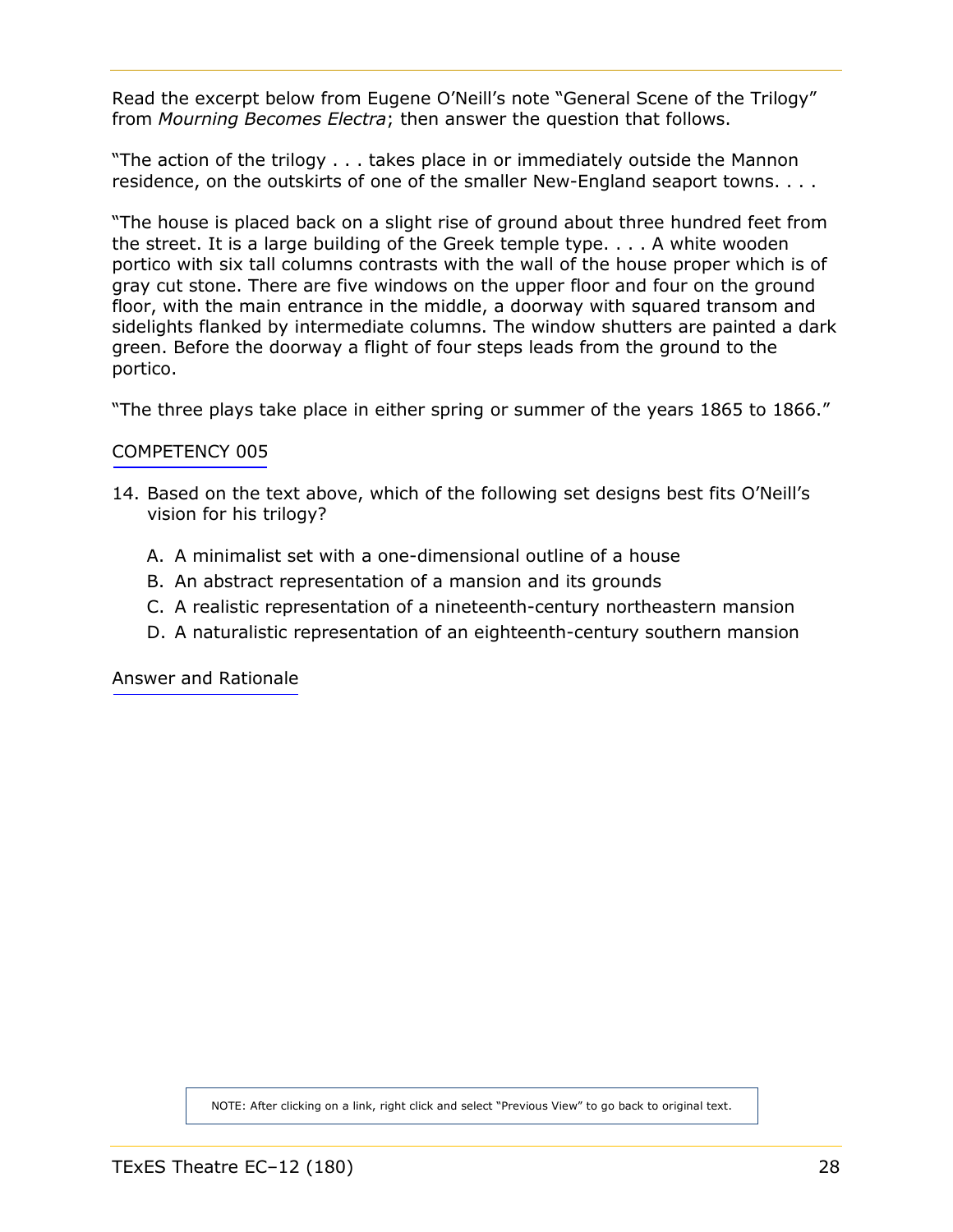<span id="page-27-0"></span>Read the excerpt below from Eugene O'Neill's note "General Scene of the Trilogy" from *Mourning Becomes Electra*; then answer the question that follows.

"The action of the trilogy . . . takes place in or immediately outside the Mannon residence, on the outskirts of one of the smaller New-England seaport towns. . . .

"The house is placed back on a slight rise of ground about three hundred feet from the street. It is a large building of the Greek temple type. . . . A white wooden portico with six tall columns contrasts with the wall of the house proper which is of gray cut stone. There are five windows on the upper floor and four on the ground floor, with the main entrance in the middle, a doorway with squared transom and sidelights flanked by intermediate columns. The window shutters are painted a dark green. Before the doorway a flight of four steps leads from the ground to the portico.

"The three plays take place in either spring or summer of the years 1865 to 1866."

# [COMPETENCY 005](#page-8-1)

- 14. Based on the text above, which of the following set designs best fits O'Neill's vision for his trilogy?
	- A. A minimalist set with a one-dimensional outline of a house
	- B. An abstract representation of a mansion and its grounds
	- C. A realistic representation of a nineteenth-century northeastern mansion
	- D. A naturalistic representation of an eighteenth-century southern mansion

[Answer and Rationale](#page-45-0)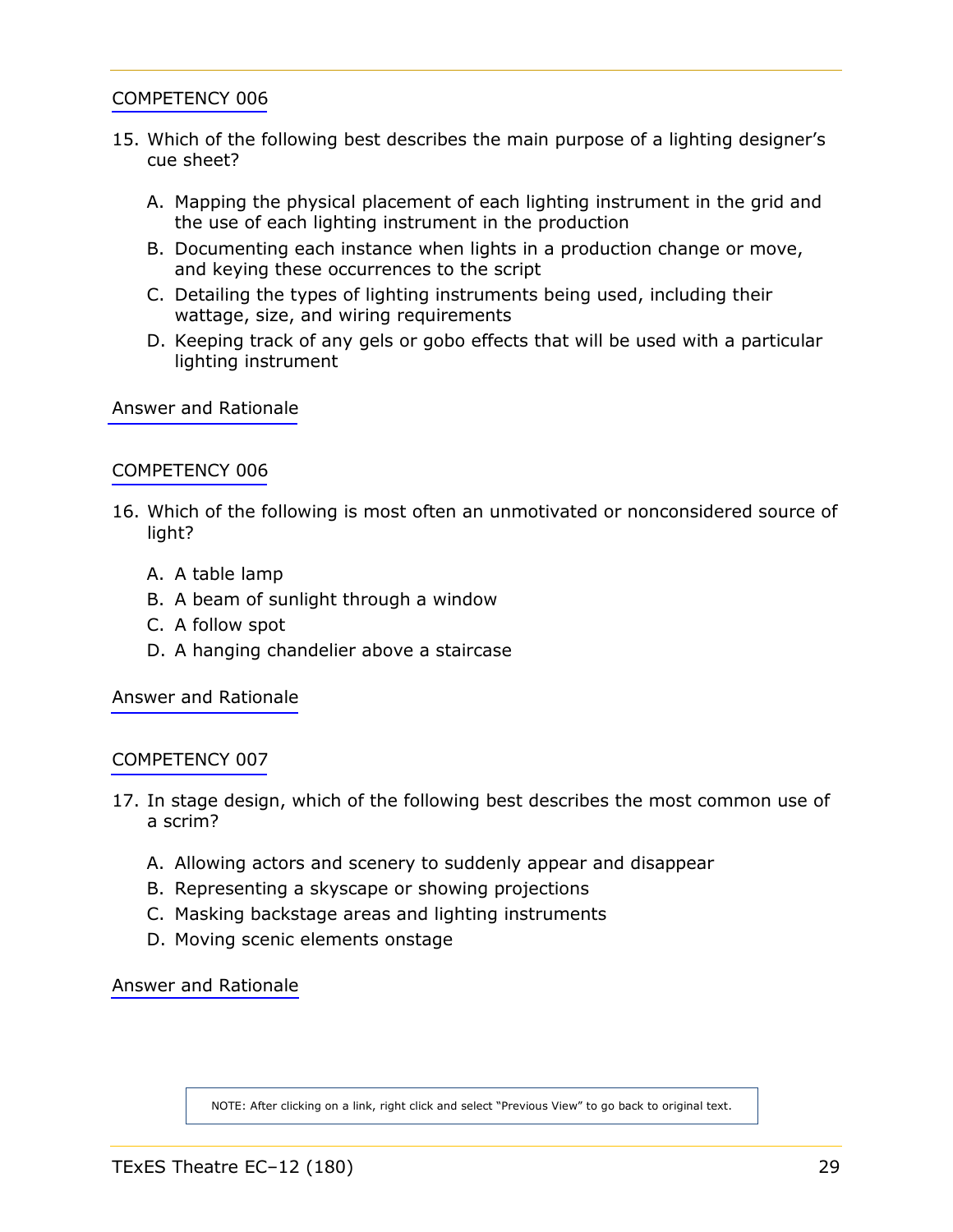- <span id="page-28-0"></span>15. Which of the following best describes the main purpose of a lighting designer's cue sheet?
	- A. Mapping the physical placement of each lighting instrument in the grid and the use of each lighting instrument in the production
	- B. Documenting each instance when lights in a production change or move, and keying these occurrences to the script
	- C. Detailing the types of lighting instruments being used, including their wattage, size, and wiring requirements
	- D. Keeping track of any gels or gobo effects that will be used with a particular lighting instrument

[Answer and Rationale](#page-46-0)

#### [COMPETENCY 006](#page-8-1)

- 16. Which of the following is most often an unmotivated or nonconsidered source of light?
	- A. A table lamp
	- B. A beam of sunlight through a window
	- C. A follow spot
	- D. A hanging chandelier above a staircase

[Answer and Rationale](#page-46-0)

#### [COMPETENCY 007](#page-9-0)

- 17. In stage design, which of the following best describes the most common use of a scrim?
	- A. Allowing actors and scenery to suddenly appear and disappear
	- B. Representing a skyscape or showing projections
	- C. Masking backstage areas and lighting instruments
	- D. Moving scenic elements onstage

[Answer and Rationale](#page-46-0)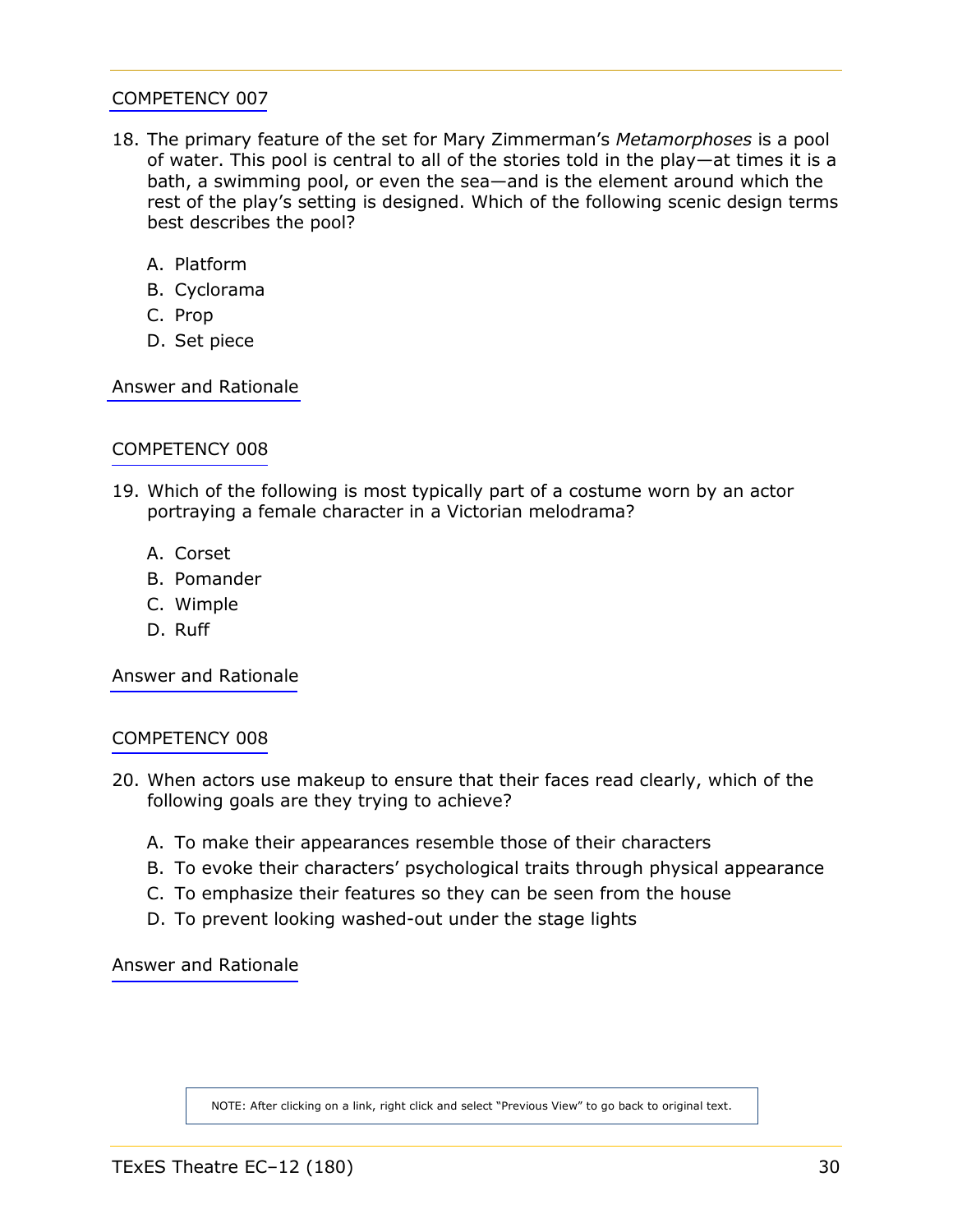- <span id="page-29-0"></span>18. The primary feature of the set for Mary Zimmerman's *Metamorphoses* is a pool of water. This pool is central to all of the stories told in the play—at times it is a bath, a swimming pool, or even the sea—and is the element around which the rest of the play's setting is designed. Which of the following scenic design terms best describes the pool?
	- A. Platform
	- B. Cyclorama
	- C. Prop
	- D. Set piece

[Answer and Rationale](#page-47-0)

# [COMPETENCY 008](#page-9-0)

- 19. Which of the following is most typically part of a costume worn by an actor portraying a female character in a Victorian melodrama?
	- A. Corset
	- B. Pomander
	- C. Wimple
	- D. Ruff

[Answer and Rationale](#page-47-0)

#### [COMPETENCY 008](#page-9-0)

- 20. When actors use makeup to ensure that their faces read clearly, which of the following goals are they trying to achieve?
	- A. To make their appearances resemble those of their characters
	- B. To evoke their characters' psychological traits through physical appearance
	- C. To emphasize their features so they can be seen from the house
	- D. To prevent looking washed-out under the stage lights

[Answer and Rationale](#page-48-0)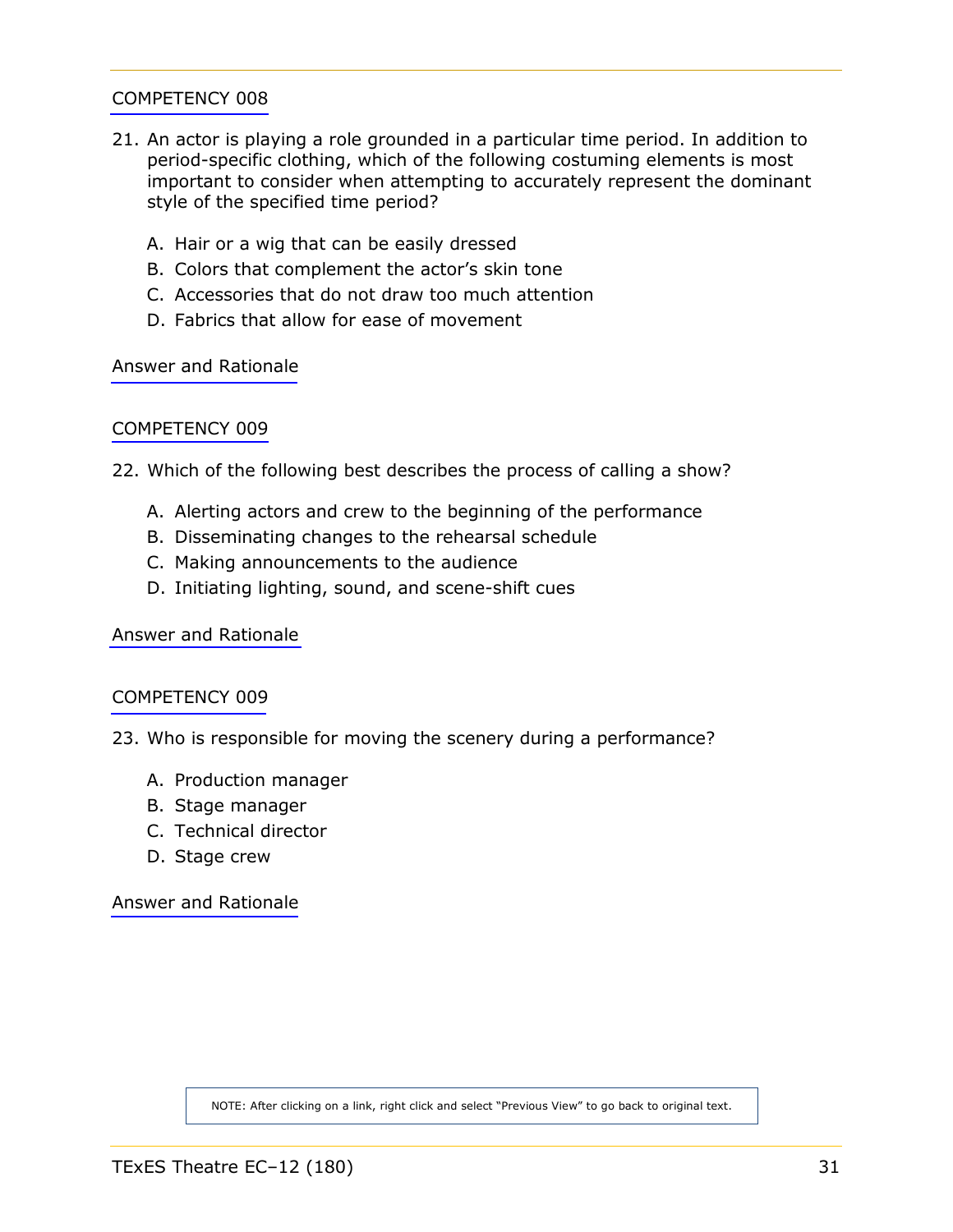- <span id="page-30-0"></span>21. An actor is playing a role grounded in a particular time period. In addition to period-specific clothing, which of the following costuming elements is most important to consider when attempting to accurately represent the dominant style of the specified time period?
	- A. Hair or a wig that can be easily dressed
	- B. Colors that complement the actor's skin tone
	- C. Accessories that do not draw too much attention
	- D. Fabrics that allow for ease of movement

[Answer and Rationale](#page-48-0)

# [COMPETENCY 009](#page-10-0)

- 22. Which of the following best describes the process of calling a show?
	- A. Alerting actors and crew to the beginning of the performance
	- B. Disseminating changes to the rehearsal schedule
	- C. Making announcements to the audience
	- D. Initiating lighting, sound, and scene-shift cues

[Answer and Rationale](#page-48-0)

#### [COMPETENCY 009](#page-10-0)

- 23. Who is responsible for moving the scenery during a performance?
	- A. Production manager
	- B. Stage manager
	- C. Technical director
	- D. Stage crew

[Answer and Rationale](#page-49-0)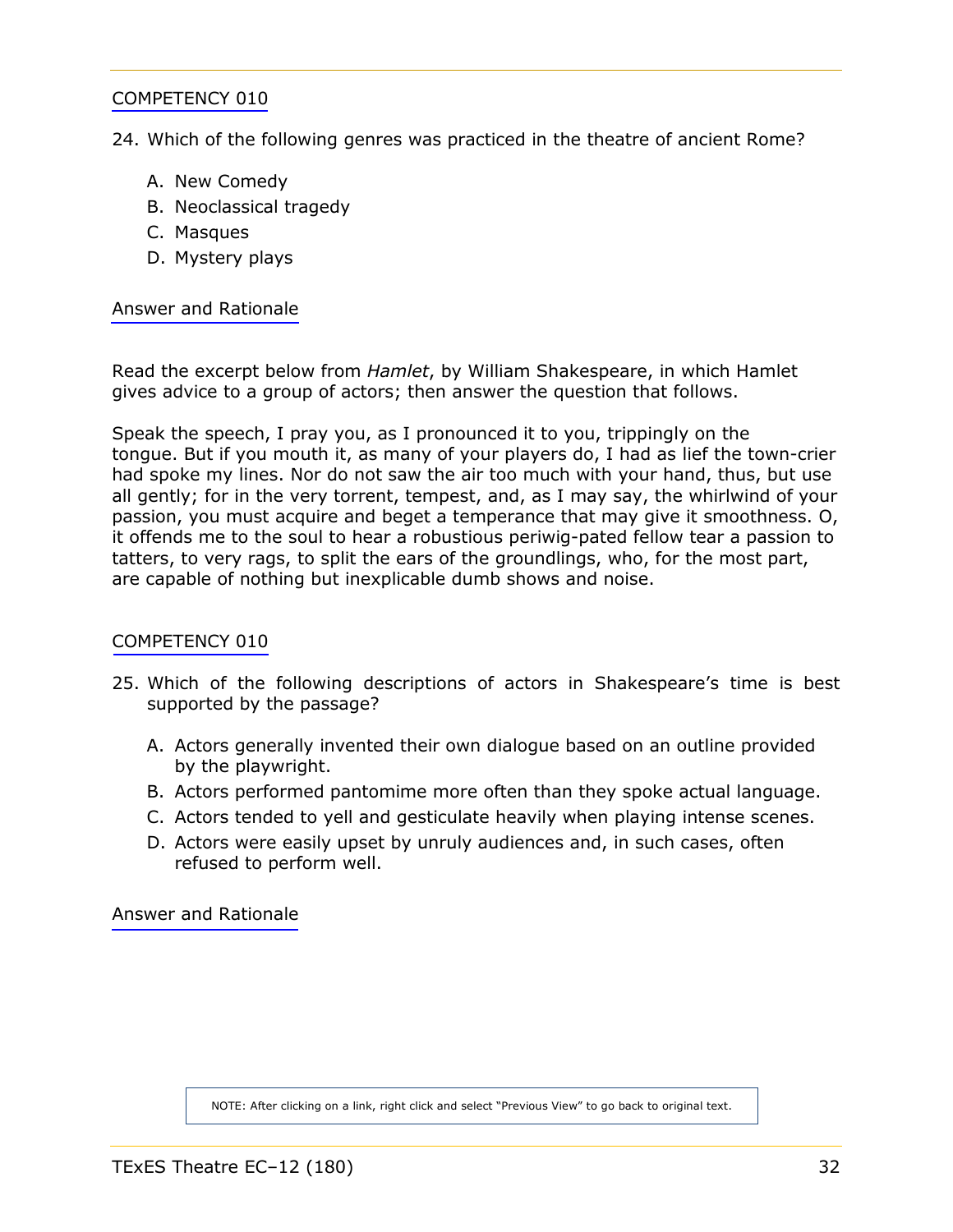<span id="page-31-0"></span>24. Which of the following genres was practiced in the theatre of ancient Rome?

- A. New Comedy
- B. Neoclassical tragedy
- C. Masques
- D. Mystery plays

[Answer and Rationale](#page-49-0)

Read the excerpt below from *Hamlet*, by William Shakespeare, in which Hamlet gives advice to a group of actors; then answer the question that follows.

Speak the speech, I pray you, as I pronounced it to you, trippingly on the tongue. But if you mouth it, as many of your players do, I had as lief the town-crier had spoke my lines. Nor do not saw the air too much with your hand, thus, but use all gently; for in the very torrent, tempest, and, as I may say, the whirlwind of your passion, you must acquire and beget a temperance that may give it smoothness. O, it offends me to the soul to hear a robustious periwig-pated fellow tear a passion to tatters, to very rags, to split the ears of the groundlings, who, for the most part, are capable of nothing but inexplicable dumb shows and noise.

#### [COMPETENCY 010](#page-11-1)

- 25. Which of the following descriptions of actors in Shakespeare's time is best supported by the passage?
	- A. Actors generally invented their own dialogue based on an outline provided by the playwright.
	- B. Actors performed pantomime more often than they spoke actual language.
	- C. Actors tended to yell and gesticulate heavily when playing intense scenes.
	- D. Actors were easily upset by unruly audiences and, in such cases, often refused to perform well.

[Answer and Rationale](#page-50-0)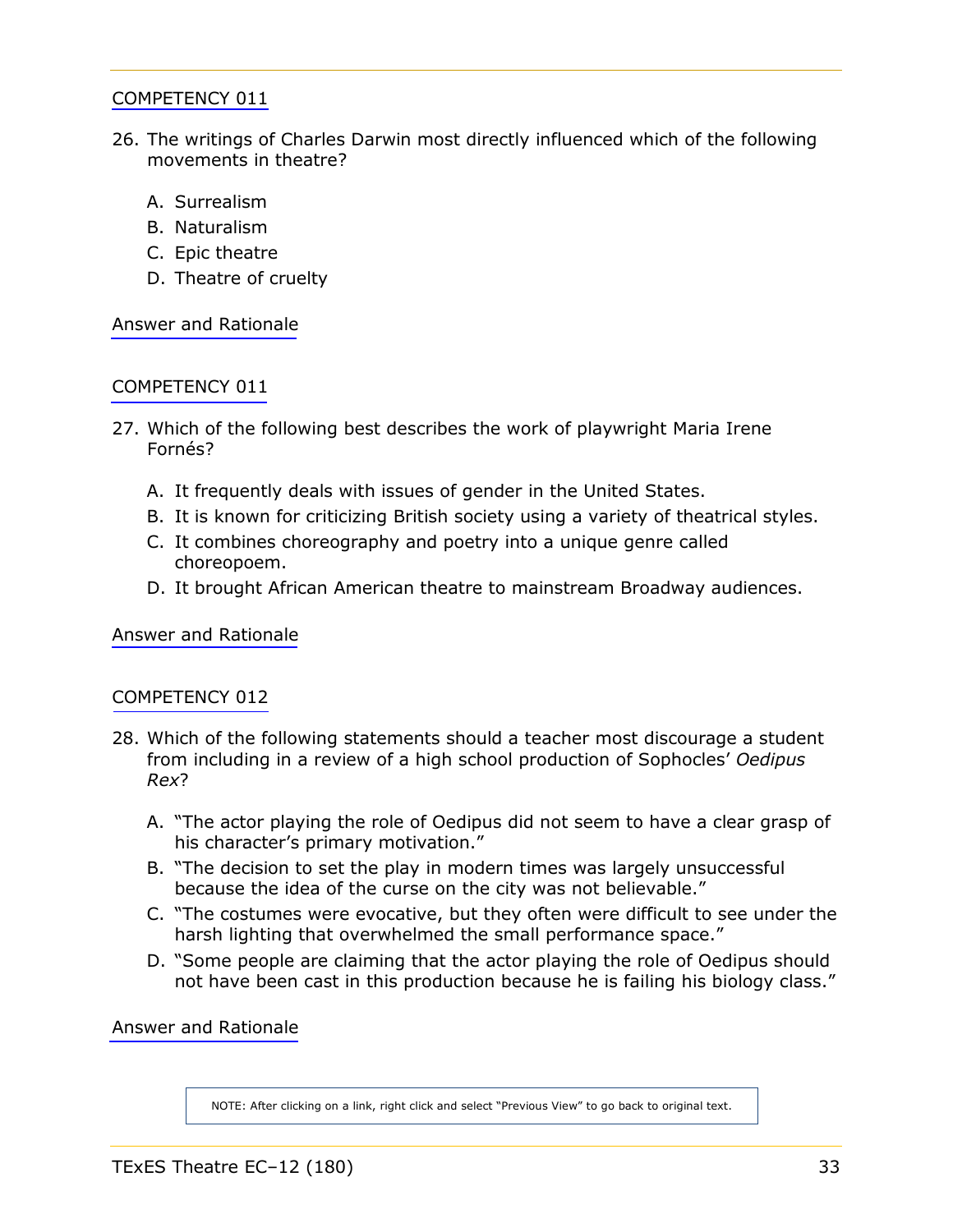- <span id="page-32-0"></span>26. The writings of Charles Darwin most directly influenced which of the following movements in theatre?
	- A. Surrealism
	- B. Naturalism
	- C. Epic theatre
	- D. Theatre of cruelty

[Answer and Rationale](#page-50-0)

# [COMPETENCY 011](#page-11-1)

- 27. Which of the following best describes the work of playwright Maria Irene Fornés?
	- A. It frequently deals with issues of gender in the United States.
	- B. It is known for criticizing British society using a variety of theatrical styles.
	- C. It combines choreography and poetry into a unique genre called choreopoem.
	- D. It brought African American theatre to mainstream Broadway audiences.

[Answer and Rationale](#page-51-0)

#### [COMPETENCY 012](#page-12-1)

- 28. Which of the following statements should a teacher most discourage a student from including in a review of a high school production of Sophocles' *Oedipus Rex*?
	- A. "The actor playing the role of Oedipus did not seem to have a clear grasp of his character's primary motivation."
	- B. "The decision to set the play in modern times was largely unsuccessful because the idea of the curse on the city was not believable."
	- C. "The costumes were evocative, but they often were difficult to see under the harsh lighting that overwhelmed the small performance space."
	- D. "Some people are claiming that the actor playing the role of Oedipus should not have been cast in this production because he is failing his biology class."

[Answer and Rationale](#page-51-0)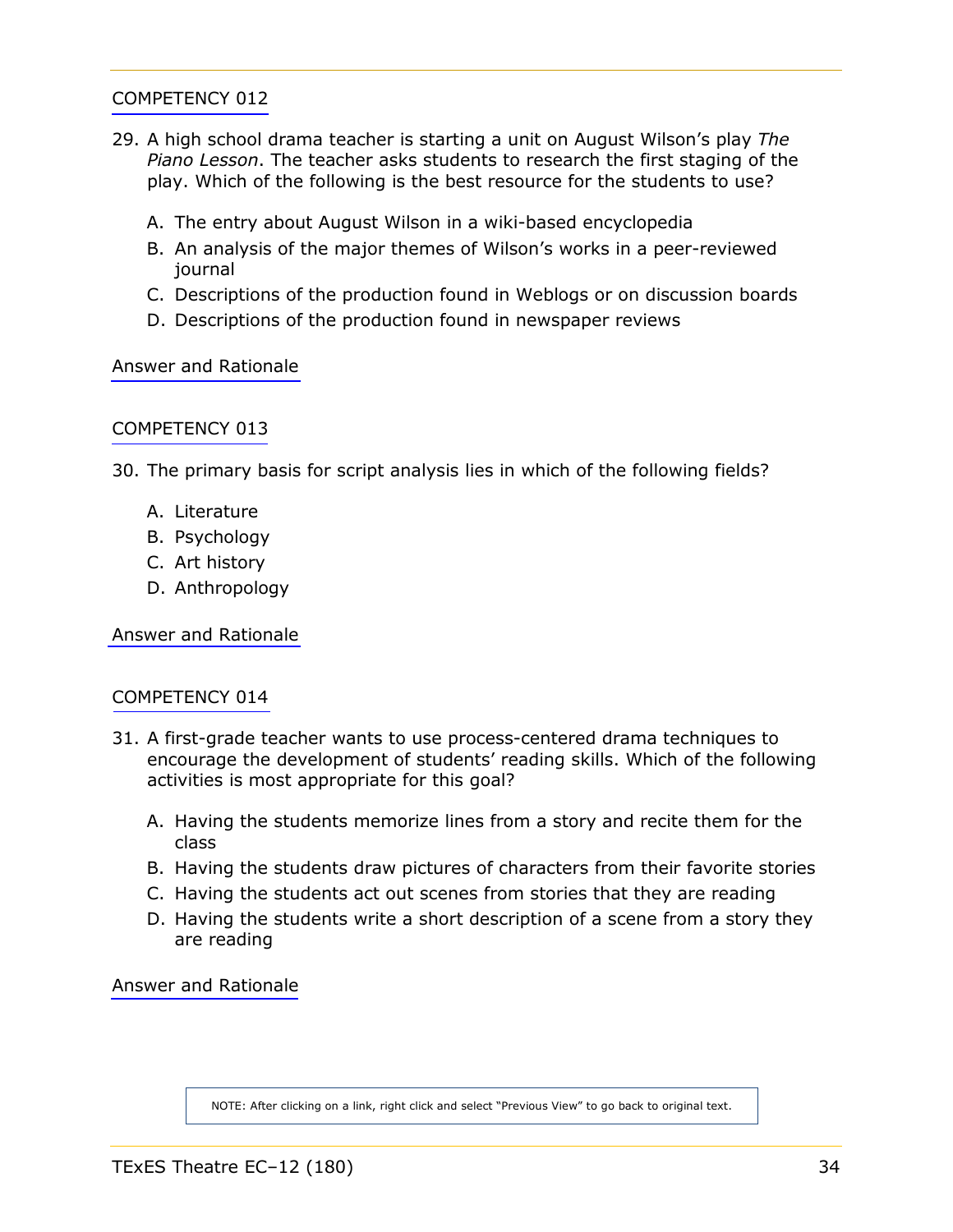- <span id="page-33-0"></span>29. A high school drama teacher is starting a unit on August Wilson's play *The Piano Lesson*. The teacher asks students to research the first staging of the play. Which of the following is the best resource for the students to use?
	- A. The entry about August Wilson in a wiki-based encyclopedia
	- B. An analysis of the major themes of Wilson's works in a peer-reviewed journal
	- C. Descriptions of the production found in Weblogs or on discussion boards
	- D. Descriptions of the production found in newspaper reviews

[Answer and Rationale](#page-52-0)

#### [COMPETENCY 013](#page-12-1)

30. The primary basis for script analysis lies in which of the following fields?

- A. Literature
- B. Psychology
- C. Art history
- D. Anthropology

[Answer and Rationale](#page-52-0)

#### [COMPETENCY 014](#page-13-1)

- 31. A first-grade teacher wants to use process-centered drama techniques to encourage the development of students' reading skills. Which of the following activities is most appropriate for this goal?
	- A. Having the students memorize lines from a story and recite them for the class
	- B. Having the students draw pictures of characters from their favorite stories
	- C. Having the students act out scenes from stories that they are reading
	- D. Having the students write a short description of a scene from a story they are reading

[Answer and Rationale](#page-53-0)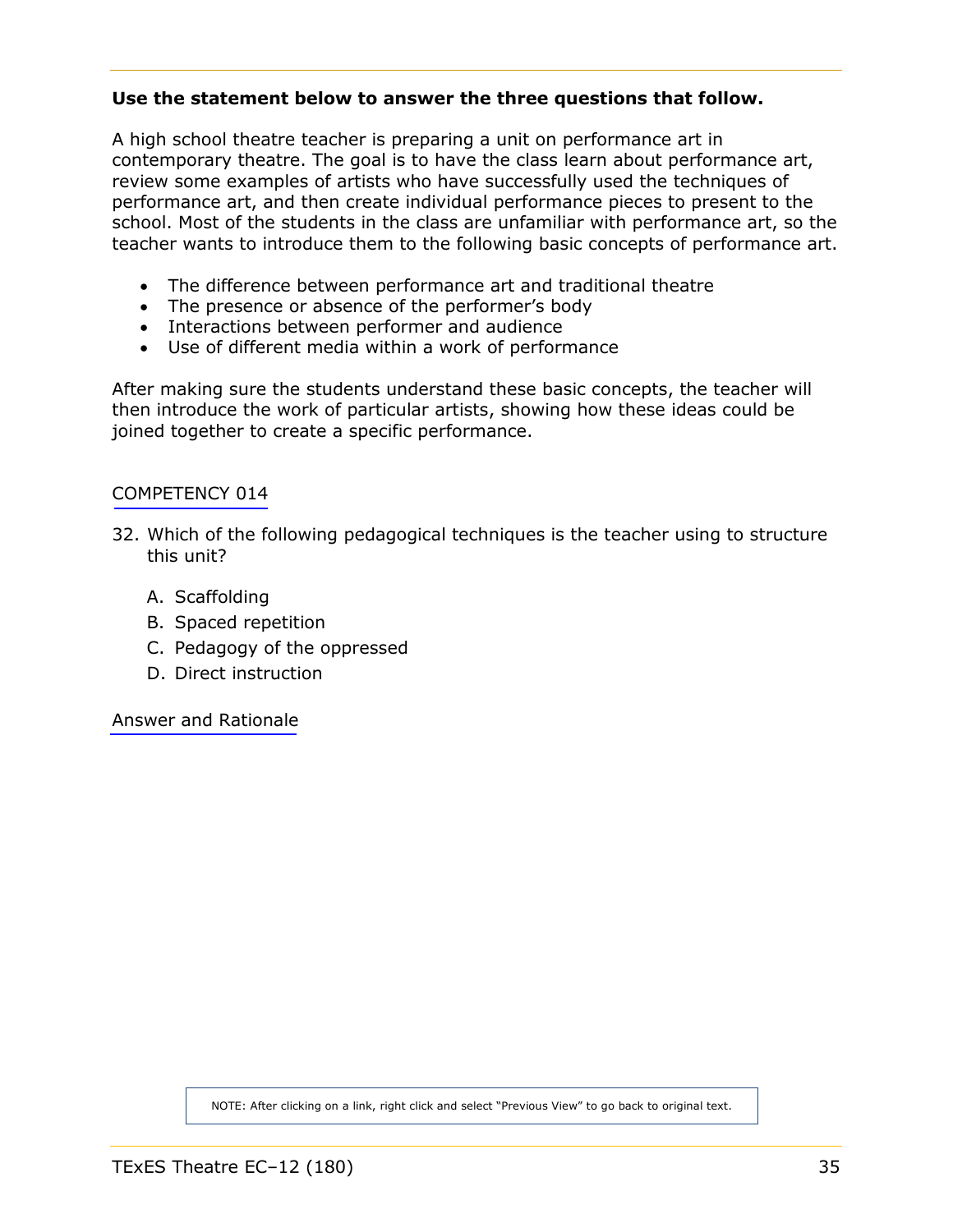# <span id="page-34-0"></span>**Use the statement below to answer the three questions that follow.**

A high school theatre teacher is preparing a unit on performance art in contemporary theatre. The goal is to have the class learn about performance art, review some examples of artists who have successfully used the techniques of performance art, and then create individual performance pieces to present to the school. Most of the students in the class are unfamiliar with performance art, so the teacher wants to introduce them to the following basic concepts of performance art.

- The difference between performance art and traditional theatre
- The presence or absence of the performer's body
- Interactions between performer and audience
- Use of different media within a work of performance

After making sure the students understand these basic concepts, the teacher will then introduce the work of particular artists, showing how these ideas could be joined together to create a specific performance.

#### [COMPETENCY 014](#page-13-1)

- 32. Which of the following pedagogical techniques is the teacher using to structure this unit?
	- A. Scaffolding
	- B. Spaced repetition
	- C. Pedagogy of the oppressed
	- D. Direct instruction

[Answer and Rationale](#page-53-0)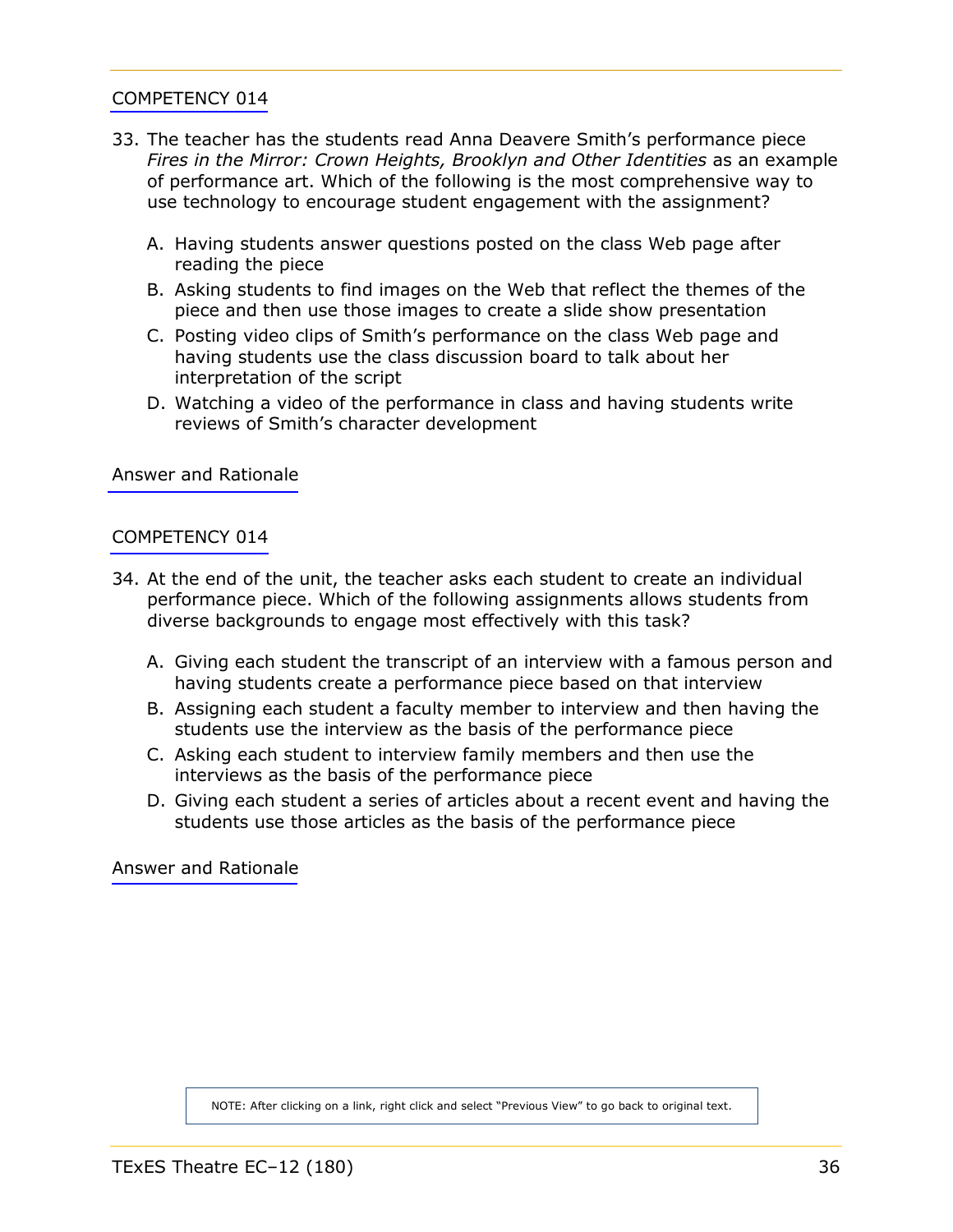- <span id="page-35-0"></span>33. The teacher has the students read Anna Deavere Smith's performance piece *Fires in the Mirror: Crown Heights, Brooklyn and Other Identities as an example* of performance art. Which of the following is the most comprehensive way to use technology to encourage student engagement with the assignment?
	- A. Having students answer questions posted on the class Web page after reading the piece
	- B. Asking students to find images on the Web that reflect the themes of the piece and then use those images to create a slide show presentation
	- C. Posting video clips of Smith's performance on the class Web page and having students use the class discussion board to talk about her interpretation of the script
	- D. Watching a video of the performance in class and having students write reviews of Smith's character development

[Answer and Rationale](#page-54-0)

#### [COMPETENCY 014](#page-13-1)

- 34. At the end of the unit, the teacher asks each student to create an individual performance piece. Which of the following assignments allows students from diverse backgrounds to engage most effectively with this task?
	- A. Giving each student the transcript of an interview with a famous person and having students create a performance piece based on that interview
	- B. Assigning each student a faculty member to interview and then having the students use the interview as the basis of the performance piece
	- C. Asking each student to interview family members and then use the interviews as the basis of the performance piece
	- D. Giving each student a series of articles about a recent event and having the students use those articles as the basis of the performance piece

[Answer and Rationale](#page-54-0)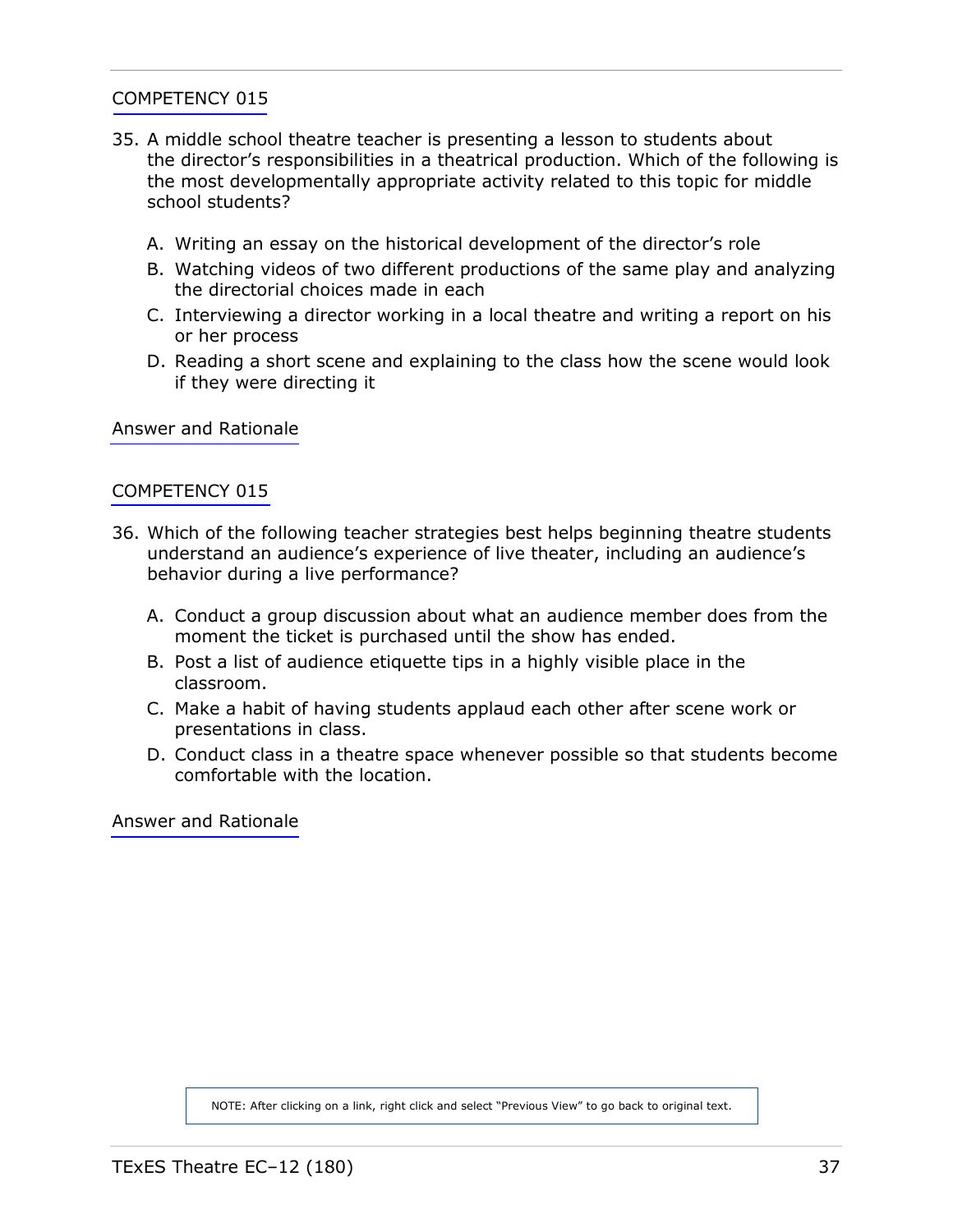- <span id="page-36-0"></span>35. A middle school theatre teacher is presenting a lesson to students about the director's responsibilities in a theatrical production. Which of the following is the most developmentally appropriate activity related to this topic for middle school students?
	- A. Writing an essay on the historical development of the director's role
	- B. Watching videos of two different productions of the same play and analyzing the directorial choices made in each
	- C. Interviewing a director working in a local theatre and writing a report on his or her process
	- D. Reading a short scene and explaining to the class how the scene would look if they were directing it

[Answer and Rationale](#page-55-0)

#### [COMPETENCY 015](#page-14-0)

- 36. Which of the following teacher strategies best helps beginning theatre students understand an audience's experience of live theater, including an audience's behavior during a live performance?
	- A. Conduct a group discussion about what an audience member does from the moment the ticket is purchased until the show has ended.
	- B. Post a list of audience etiquette tips in a highly visible place in the classroom.
	- C. Make a habit of having students applaud each other after scene work or presentations in class.
	- D. Conduct class in a theatre space whenever possible so that students become comfortable with the location.

[Answer and Rationale](#page-55-0)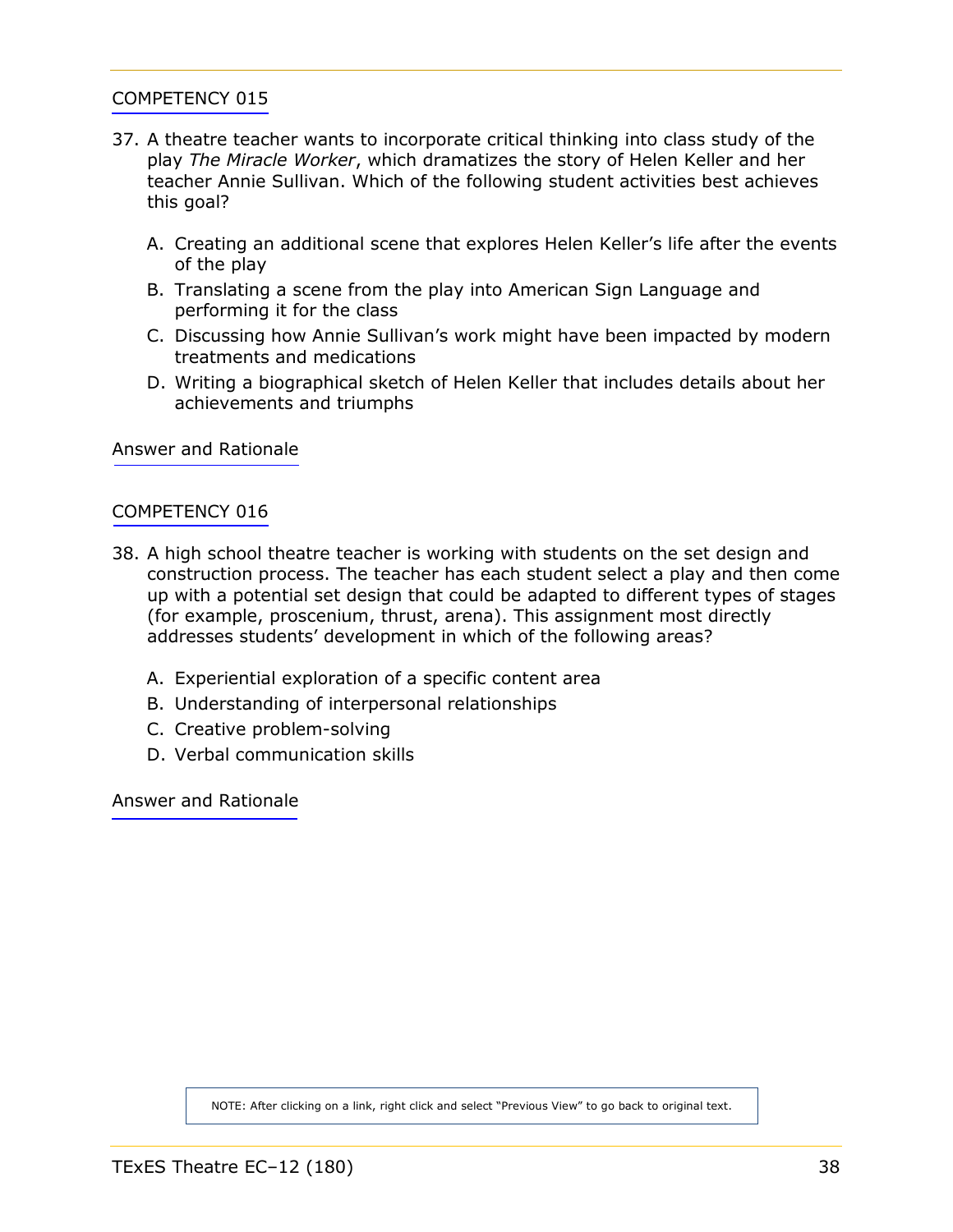- <span id="page-37-0"></span>37. A theatre teacher wants to incorporate critical thinking into class study of the play *The Miracle Worker*, which dramatizes the story of Helen Keller and her teacher Annie Sullivan. Which of the following student activities best achieves this goal?
	- A. Creating an additional scene that explores Helen Keller's life after the events of the play
	- B. Translating a scene from the play into American Sign Language and performing it for the class
	- C. Discussing how Annie Sullivan's work might have been impacted by modern treatments and medications
	- D. Writing a biographical sketch of Helen Keller that includes details about her achievements and triumphs

[Answer and Rationale](#page-56-0)

#### [COMPETENCY 016](#page-15-0)

- 38. A high school theatre teacher is working with students on the set design and construction process. The teacher has each student select a play and then come up with a potential set design that could be adapted to different types of stages (for example, proscenium, thrust, arena). This assignment most directly addresses students' development in which of the following areas?
	- A. Experiential exploration of a specific content area
	- B. Understanding of interpersonal relationships
	- C. Creative problem-solving
	- D. Verbal communication skills

[Answer and Rationale](#page-56-0)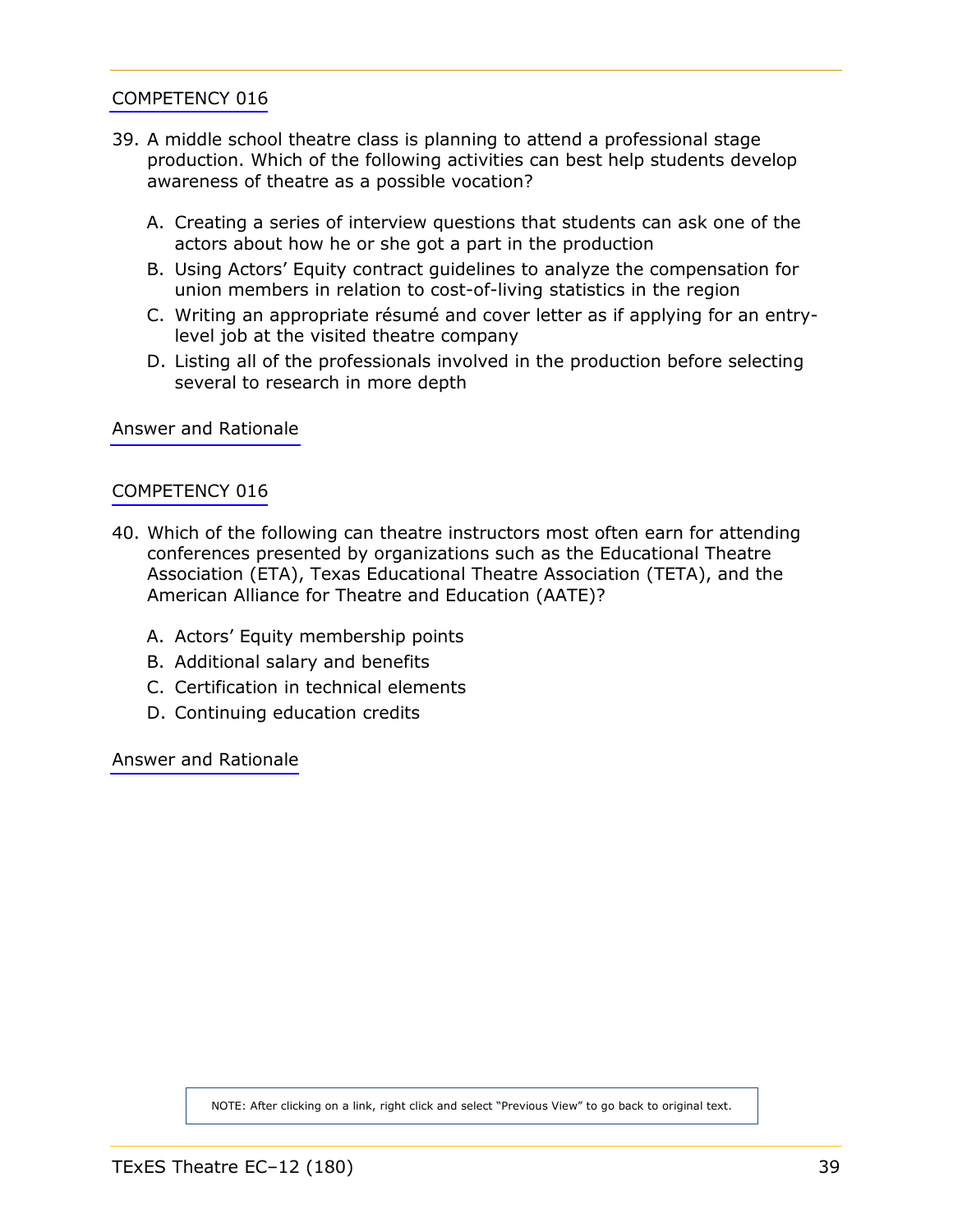- <span id="page-38-0"></span>39. A middle school theatre class is planning to attend a professional stage production. Which of the following activities can best help students develop awareness of theatre as a possible vocation?
	- A. Creating a series of interview questions that students can ask one of the actors about how he or she got a part in the production
	- B. Using Actors' Equity contract guidelines to analyze the compensation for union members in relation to cost-of-living statistics in the region
	- C. Writing an appropriate résumé and cover letter as if applying for an entrylevel job at the visited theatre company
	- D. Listing all of the professionals involved in the production before selecting several to research in more depth

[Answer and Rationale](#page-57-0)

#### [COMPETENCY 016](#page-15-0)

- 40. Which of the following can theatre instructors most often earn for attending conferences presented by organizations such as the Educational Theatre Association (ETA), Texas Educational Theatre Association (TETA), and the American Alliance for Theatre and Education (AATE)?
	- A. Actors' Equity membership points
	- B. Additional salary and benefits
	- C. Certification in technical elements
	- D. Continuing education credits

[Answer and Rationale](#page-57-0)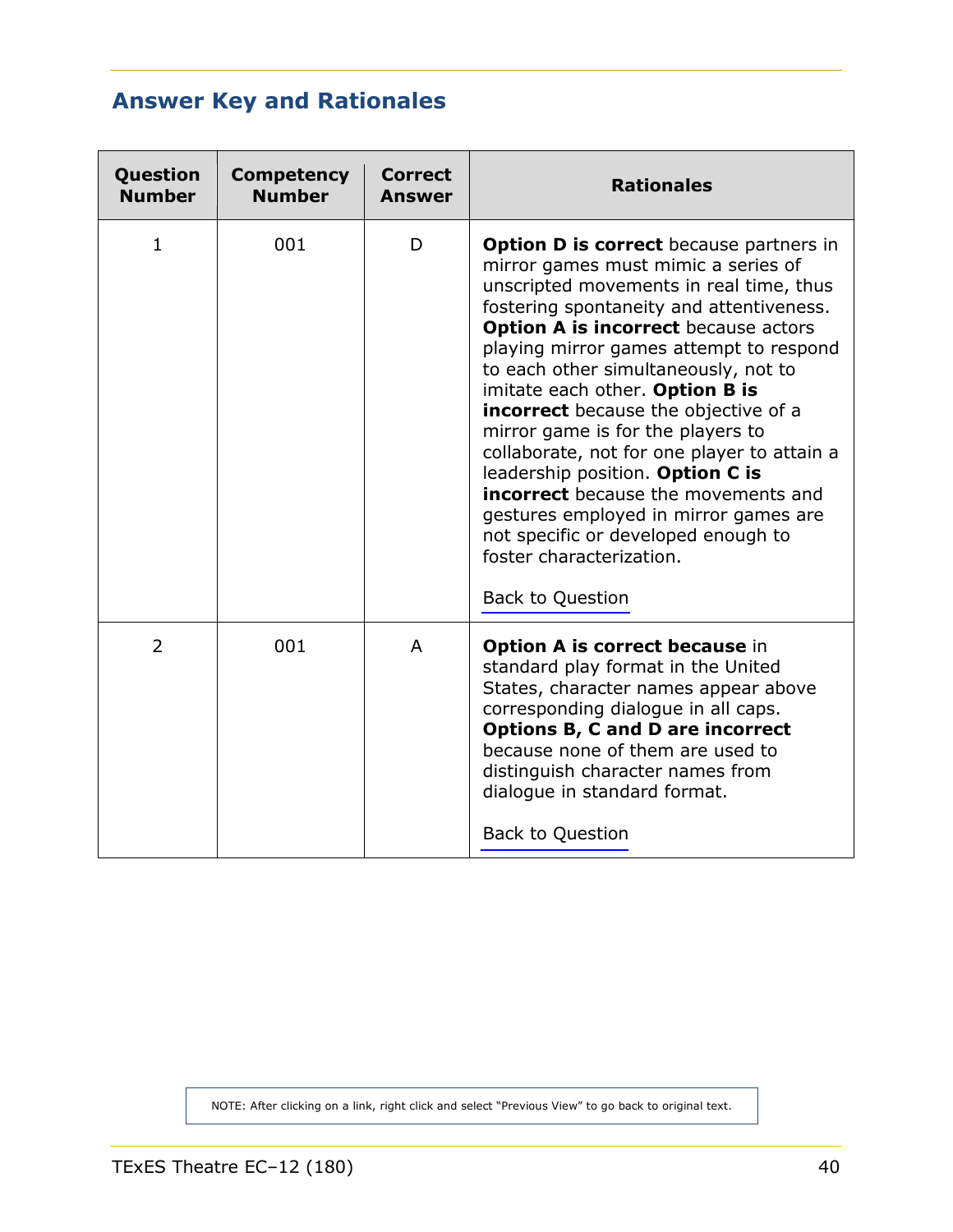# <span id="page-39-1"></span><span id="page-39-0"></span>**Answer Key and Rationales**

| Question<br><b>Number</b> | <b>Competency</b><br><b>Number</b> | <b>Correct</b><br><b>Answer</b> | <b>Rationales</b>                                                                                                                                                                                                                                                                                                                                                                                                                                                                                                                                                                                                                                                                                             |
|---------------------------|------------------------------------|---------------------------------|---------------------------------------------------------------------------------------------------------------------------------------------------------------------------------------------------------------------------------------------------------------------------------------------------------------------------------------------------------------------------------------------------------------------------------------------------------------------------------------------------------------------------------------------------------------------------------------------------------------------------------------------------------------------------------------------------------------|
| $\mathbf{1}$              | 001                                | D                               | <b>Option D is correct</b> because partners in<br>mirror games must mimic a series of<br>unscripted movements in real time, thus<br>fostering spontaneity and attentiveness.<br><b>Option A is incorrect because actors</b><br>playing mirror games attempt to respond<br>to each other simultaneously, not to<br>imitate each other. Option B is<br><b>incorrect</b> because the objective of a<br>mirror game is for the players to<br>collaborate, not for one player to attain a<br>leadership position. Option C is<br><b>incorrect</b> because the movements and<br>gestures employed in mirror games are<br>not specific or developed enough to<br>foster characterization.<br><b>Back to Question</b> |
| 2                         | 001                                | A                               | <b>Option A is correct because in</b><br>standard play format in the United<br>States, character names appear above<br>corresponding dialogue in all caps.<br><b>Options B, C and D are incorrect</b><br>because none of them are used to<br>distinguish character names from<br>dialogue in standard format.<br><b>Back to Question</b>                                                                                                                                                                                                                                                                                                                                                                      |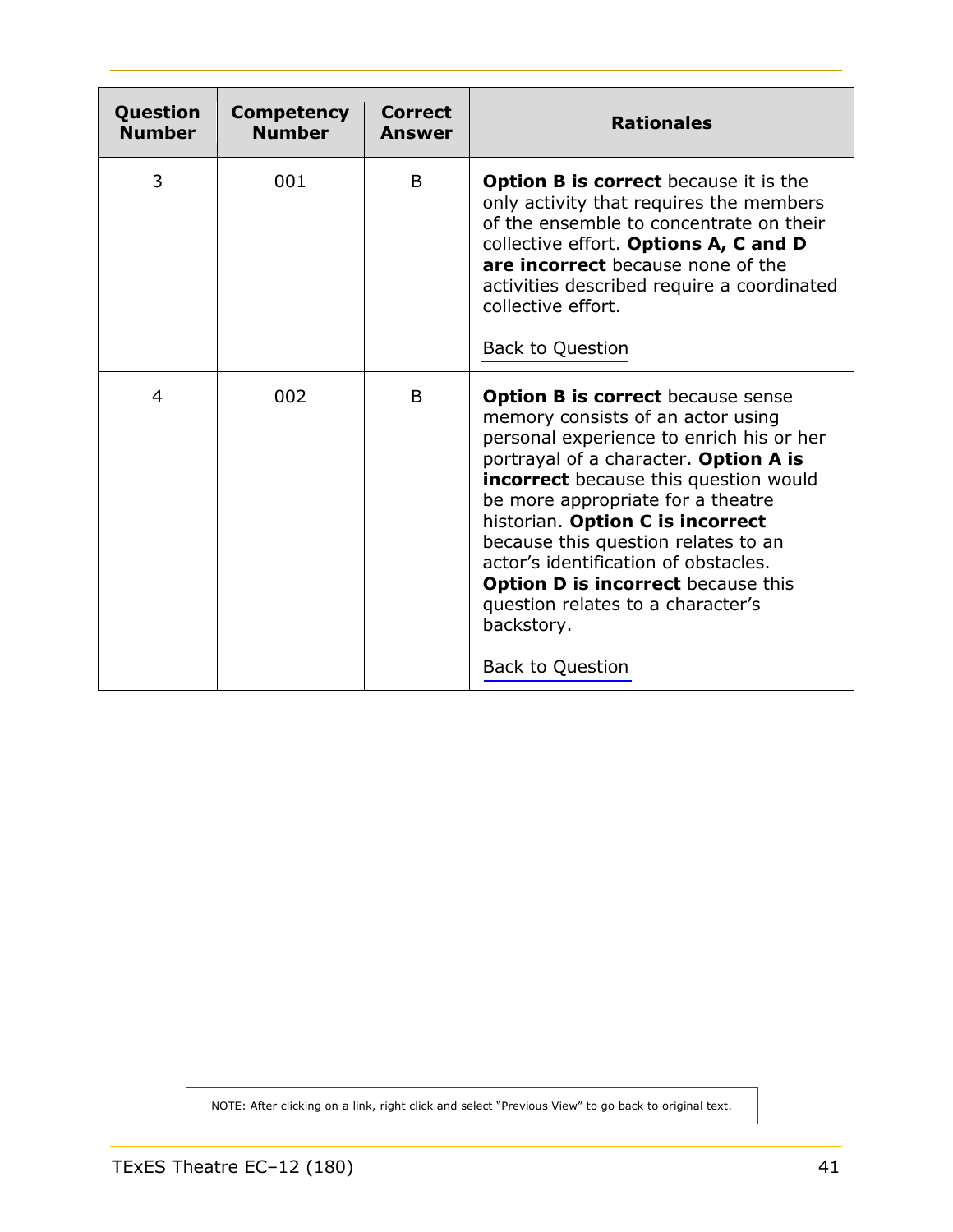<span id="page-40-0"></span>

| Question<br><b>Number</b> | <b>Competency</b><br><b>Number</b> | <b>Correct</b><br><b>Answer</b> | <b>Rationales</b>                                                                                                                                                                                                                                                                                                                                                                                                                                                                                     |
|---------------------------|------------------------------------|---------------------------------|-------------------------------------------------------------------------------------------------------------------------------------------------------------------------------------------------------------------------------------------------------------------------------------------------------------------------------------------------------------------------------------------------------------------------------------------------------------------------------------------------------|
| 3                         | 001                                | B                               | <b>Option B is correct</b> because it is the<br>only activity that requires the members<br>of the ensemble to concentrate on their<br>collective effort. Options A, C and D<br>are incorrect because none of the<br>activities described require a coordinated<br>collective effort.<br>Back to Question                                                                                                                                                                                              |
| 4                         | 002                                | B                               | <b>Option B is correct</b> because sense<br>memory consists of an actor using<br>personal experience to enrich his or her<br>portrayal of a character. Option A is<br><b>incorrect</b> because this question would<br>be more appropriate for a theatre<br>historian. Option C is incorrect<br>because this question relates to an<br>actor's identification of obstacles.<br><b>Option D is incorrect</b> because this<br>question relates to a character's<br>backstory.<br><b>Back to Question</b> |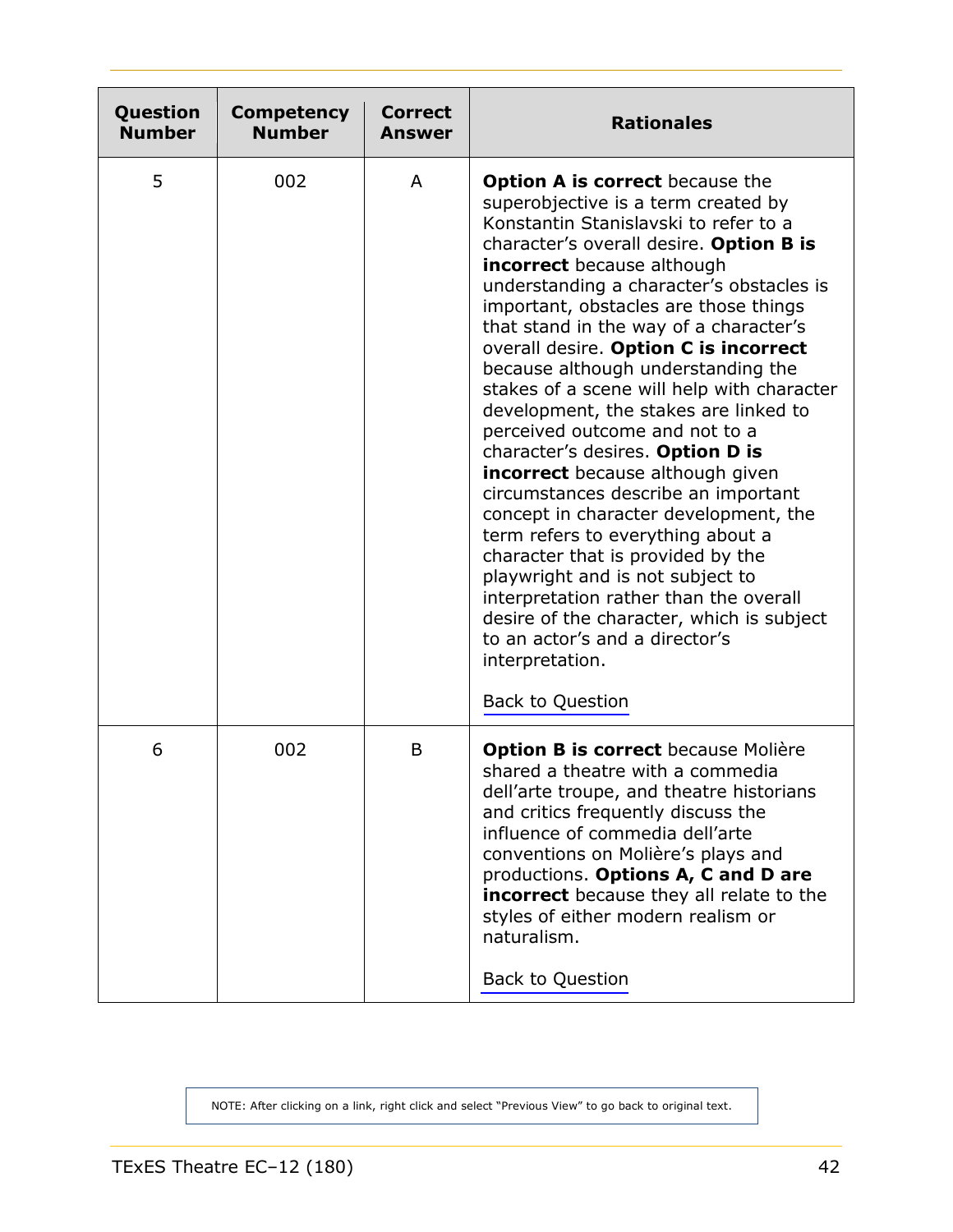<span id="page-41-0"></span>

| Question<br><b>Number</b> | <b>Competency</b><br><b>Number</b> | <b>Correct</b><br><b>Answer</b> | <b>Rationales</b>                                                                                                                                                                                                                                                                                                                                                                                                                                                                                                                                                                                                                                                                                                                                                                                                                                                                                                                                                                          |
|---------------------------|------------------------------------|---------------------------------|--------------------------------------------------------------------------------------------------------------------------------------------------------------------------------------------------------------------------------------------------------------------------------------------------------------------------------------------------------------------------------------------------------------------------------------------------------------------------------------------------------------------------------------------------------------------------------------------------------------------------------------------------------------------------------------------------------------------------------------------------------------------------------------------------------------------------------------------------------------------------------------------------------------------------------------------------------------------------------------------|
| 5                         | 002                                | A                               | <b>Option A is correct</b> because the<br>superobjective is a term created by<br>Konstantin Stanislavski to refer to a<br>character's overall desire. Option B is<br><b>incorrect</b> because although<br>understanding a character's obstacles is<br>important, obstacles are those things<br>that stand in the way of a character's<br>overall desire. Option C is incorrect<br>because although understanding the<br>stakes of a scene will help with character<br>development, the stakes are linked to<br>perceived outcome and not to a<br>character's desires. Option D is<br><b>incorrect</b> because although given<br>circumstances describe an important<br>concept in character development, the<br>term refers to everything about a<br>character that is provided by the<br>playwright and is not subject to<br>interpretation rather than the overall<br>desire of the character, which is subject<br>to an actor's and a director's<br>interpretation.<br>Back to Question |
| 6                         | 002                                | B                               | <b>Option B is correct</b> because Molière<br>shared a theatre with a commedia<br>dell'arte troupe, and theatre historians<br>and critics frequently discuss the<br>influence of commedia dell'arte<br>conventions on Molière's plays and<br>productions. Options A, C and D are<br>incorrect because they all relate to the<br>styles of either modern realism or<br>naturalism.<br><b>Back to Question</b>                                                                                                                                                                                                                                                                                                                                                                                                                                                                                                                                                                               |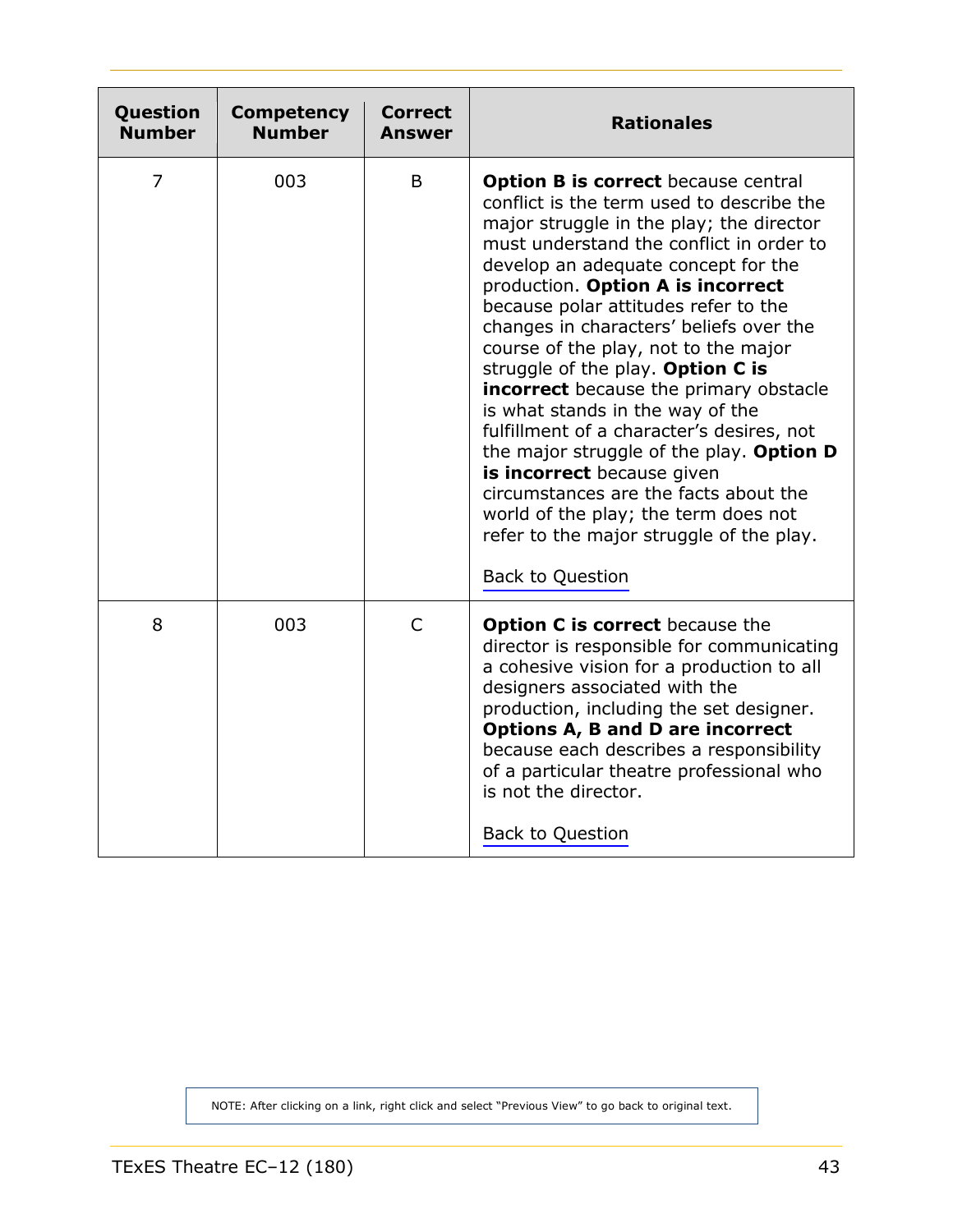<span id="page-42-0"></span>

| Question<br><b>Number</b> | <b>Competency</b><br><b>Number</b> | Correct<br><b>Answer</b> | <b>Rationales</b>                                                                                                                                                                                                                                                                                                                                                                                                                                                                                                                                                                                                                                                                                                                                                                 |
|---------------------------|------------------------------------|--------------------------|-----------------------------------------------------------------------------------------------------------------------------------------------------------------------------------------------------------------------------------------------------------------------------------------------------------------------------------------------------------------------------------------------------------------------------------------------------------------------------------------------------------------------------------------------------------------------------------------------------------------------------------------------------------------------------------------------------------------------------------------------------------------------------------|
| 7                         | 003                                | B                        | <b>Option B is correct because central</b><br>conflict is the term used to describe the<br>major struggle in the play; the director<br>must understand the conflict in order to<br>develop an adequate concept for the<br>production. Option A is incorrect<br>because polar attitudes refer to the<br>changes in characters' beliefs over the<br>course of the play, not to the major<br>struggle of the play. Option C is<br>incorrect because the primary obstacle<br>is what stands in the way of the<br>fulfillment of a character's desires, not<br>the major struggle of the play. Option D<br>is incorrect because given<br>circumstances are the facts about the<br>world of the play; the term does not<br>refer to the major struggle of the play.<br>Back to Question |
| 8                         | 003                                | $\mathsf{C}$             | Option C is correct because the<br>director is responsible for communicating<br>a cohesive vision for a production to all<br>designers associated with the<br>production, including the set designer.<br><b>Options A, B and D are incorrect</b><br>because each describes a responsibility<br>of a particular theatre professional who<br>is not the director.<br>Back to Question                                                                                                                                                                                                                                                                                                                                                                                               |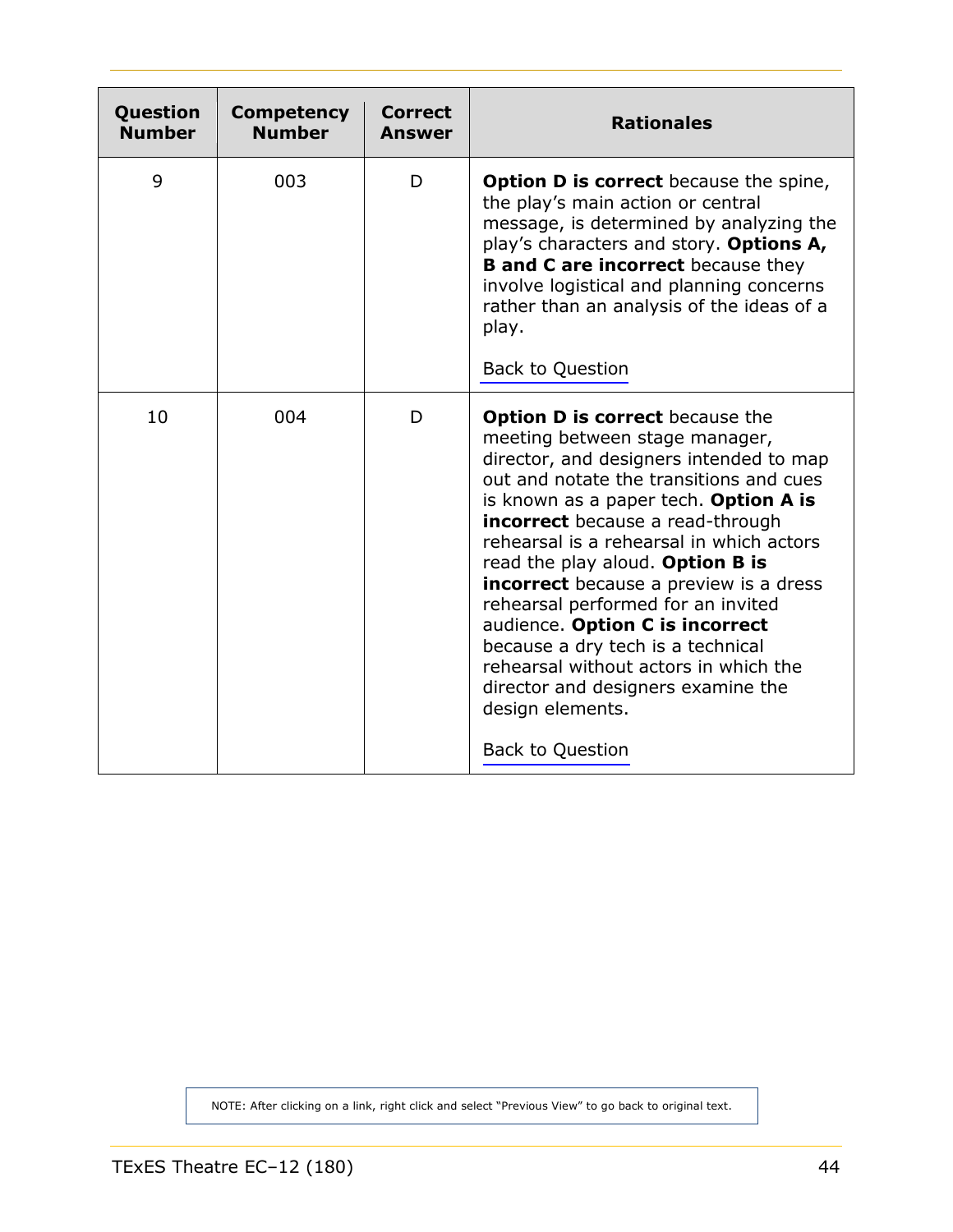<span id="page-43-0"></span>

| Question<br><b>Number</b> | <b>Competency</b><br><b>Number</b> | <b>Correct</b><br>Answer | <b>Rationales</b>                                                                                                                                                                                                                                                                                                                                                                                                                                                                                                                                                                                                        |
|---------------------------|------------------------------------|--------------------------|--------------------------------------------------------------------------------------------------------------------------------------------------------------------------------------------------------------------------------------------------------------------------------------------------------------------------------------------------------------------------------------------------------------------------------------------------------------------------------------------------------------------------------------------------------------------------------------------------------------------------|
| 9                         | 003                                | D                        | <b>Option D is correct</b> because the spine,<br>the play's main action or central<br>message, is determined by analyzing the<br>play's characters and story. Options A,<br><b>B and C are incorrect</b> because they<br>involve logistical and planning concerns<br>rather than an analysis of the ideas of a<br>play.<br><b>Back to Question</b>                                                                                                                                                                                                                                                                       |
| 10                        | 004                                | D                        | <b>Option D is correct because the</b><br>meeting between stage manager,<br>director, and designers intended to map<br>out and notate the transitions and cues<br>is known as a paper tech. Option A is<br><b>incorrect</b> because a read-through<br>rehearsal is a rehearsal in which actors<br>read the play aloud. Option B is<br><b>incorrect</b> because a preview is a dress<br>rehearsal performed for an invited<br>audience. Option C is incorrect<br>because a dry tech is a technical<br>rehearsal without actors in which the<br>director and designers examine the<br>design elements.<br>Back to Question |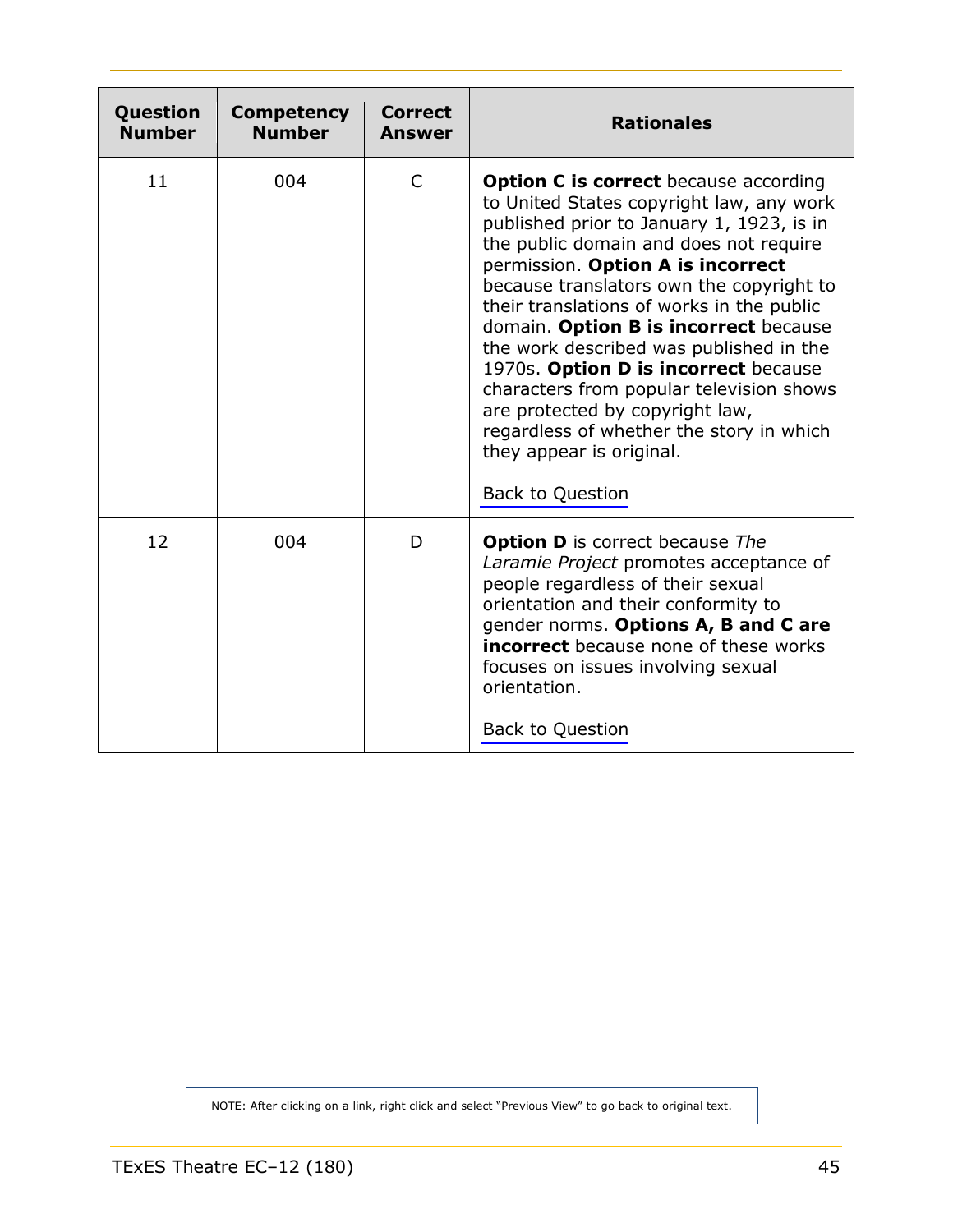<span id="page-44-0"></span>

| Question<br><b>Number</b> | <b>Competency</b><br><b>Number</b> | Correct<br><b>Answer</b> | <b>Rationales</b>                                                                                                                                                                                                                                                                                                                                                                                                                                                                                                                                                                                                           |
|---------------------------|------------------------------------|--------------------------|-----------------------------------------------------------------------------------------------------------------------------------------------------------------------------------------------------------------------------------------------------------------------------------------------------------------------------------------------------------------------------------------------------------------------------------------------------------------------------------------------------------------------------------------------------------------------------------------------------------------------------|
| 11                        | 004                                | $\mathsf{C}$             | <b>Option C is correct because according</b><br>to United States copyright law, any work<br>published prior to January 1, 1923, is in<br>the public domain and does not require<br>permission. Option A is incorrect<br>because translators own the copyright to<br>their translations of works in the public<br>domain. Option B is incorrect because<br>the work described was published in the<br>1970s. Option D is incorrect because<br>characters from popular television shows<br>are protected by copyright law,<br>regardless of whether the story in which<br>they appear is original.<br><b>Back to Question</b> |
| 12                        | 004                                | D                        | <b>Option D</b> is correct because The<br>Laramie Project promotes acceptance of<br>people regardless of their sexual<br>orientation and their conformity to<br>gender norms. Options A, B and C are<br><b>incorrect</b> because none of these works<br>focuses on issues involving sexual<br>orientation.<br><b>Back to Question</b>                                                                                                                                                                                                                                                                                       |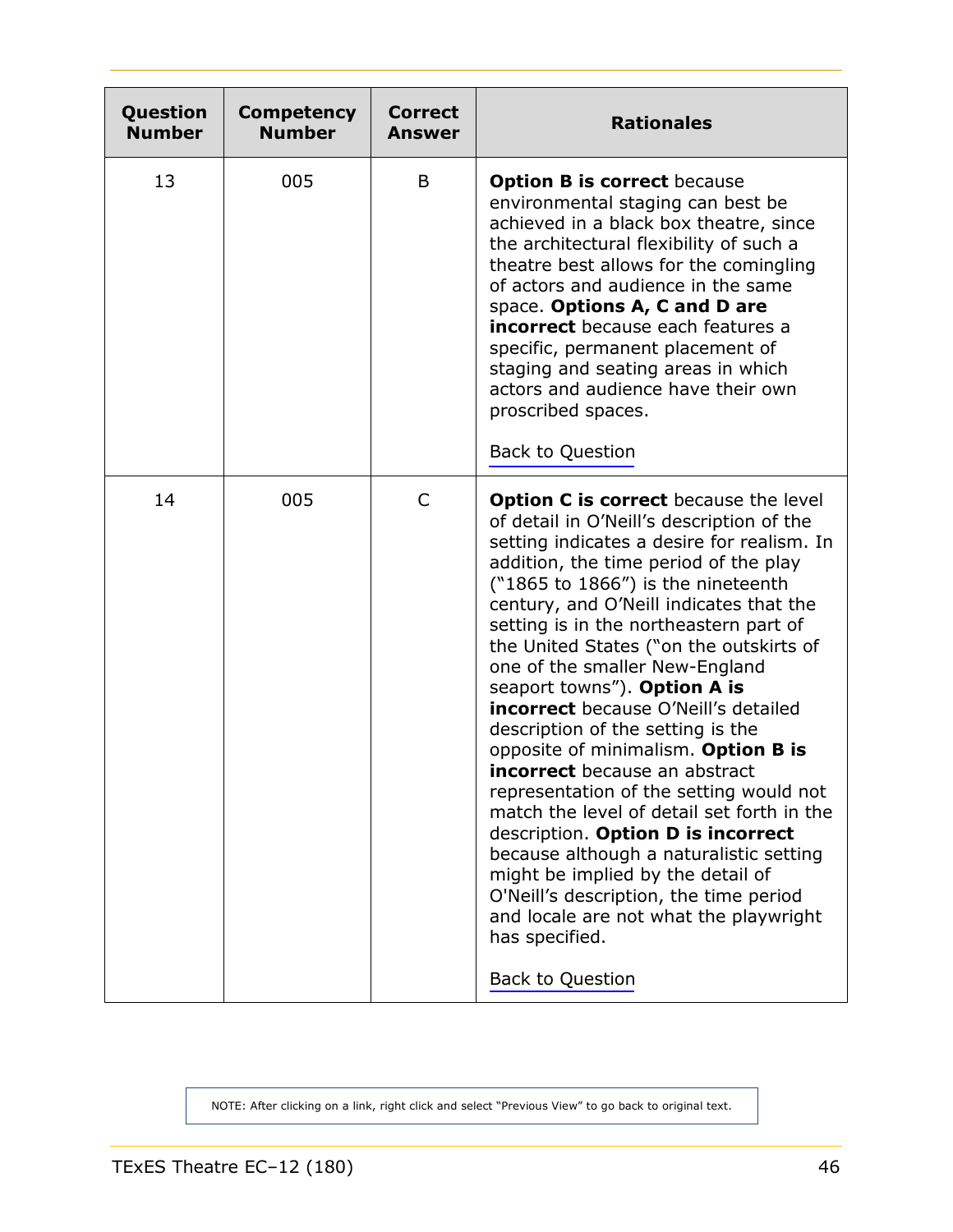<span id="page-45-0"></span>

| Question<br><b>Number</b> | <b>Competency</b><br><b>Number</b> | <b>Correct</b><br>Answer | <b>Rationales</b>                                                                                                                                                                                                                                                                                                                                                                                                                                                                                                                                                                                                                                                                                                                                                                                                                                                                                                                             |
|---------------------------|------------------------------------|--------------------------|-----------------------------------------------------------------------------------------------------------------------------------------------------------------------------------------------------------------------------------------------------------------------------------------------------------------------------------------------------------------------------------------------------------------------------------------------------------------------------------------------------------------------------------------------------------------------------------------------------------------------------------------------------------------------------------------------------------------------------------------------------------------------------------------------------------------------------------------------------------------------------------------------------------------------------------------------|
| 13                        | 005                                | B                        | <b>Option B is correct because</b><br>environmental staging can best be<br>achieved in a black box theatre, since<br>the architectural flexibility of such a<br>theatre best allows for the comingling<br>of actors and audience in the same<br>space. Options A, C and D are<br>incorrect because each features a<br>specific, permanent placement of<br>staging and seating areas in which<br>actors and audience have their own<br>proscribed spaces.<br><b>Back to Question</b>                                                                                                                                                                                                                                                                                                                                                                                                                                                           |
| 14                        | 005                                | C                        | <b>Option C is correct</b> because the level<br>of detail in O'Neill's description of the<br>setting indicates a desire for realism. In<br>addition, the time period of the play<br>$("1865 to 1866")$ is the nineteenth<br>century, and O'Neill indicates that the<br>setting is in the northeastern part of<br>the United States ("on the outskirts of<br>one of the smaller New-England<br>seaport towns"). Option A is<br><b>incorrect</b> because O'Neill's detailed<br>description of the setting is the<br>opposite of minimalism. Option B is<br><b>incorrect</b> because an abstract<br>representation of the setting would not<br>match the level of detail set forth in the<br>description. Option D is incorrect<br>because although a naturalistic setting<br>might be implied by the detail of<br>O'Neill's description, the time period<br>and locale are not what the playwright<br>has specified.<br><b>Back to Question</b> |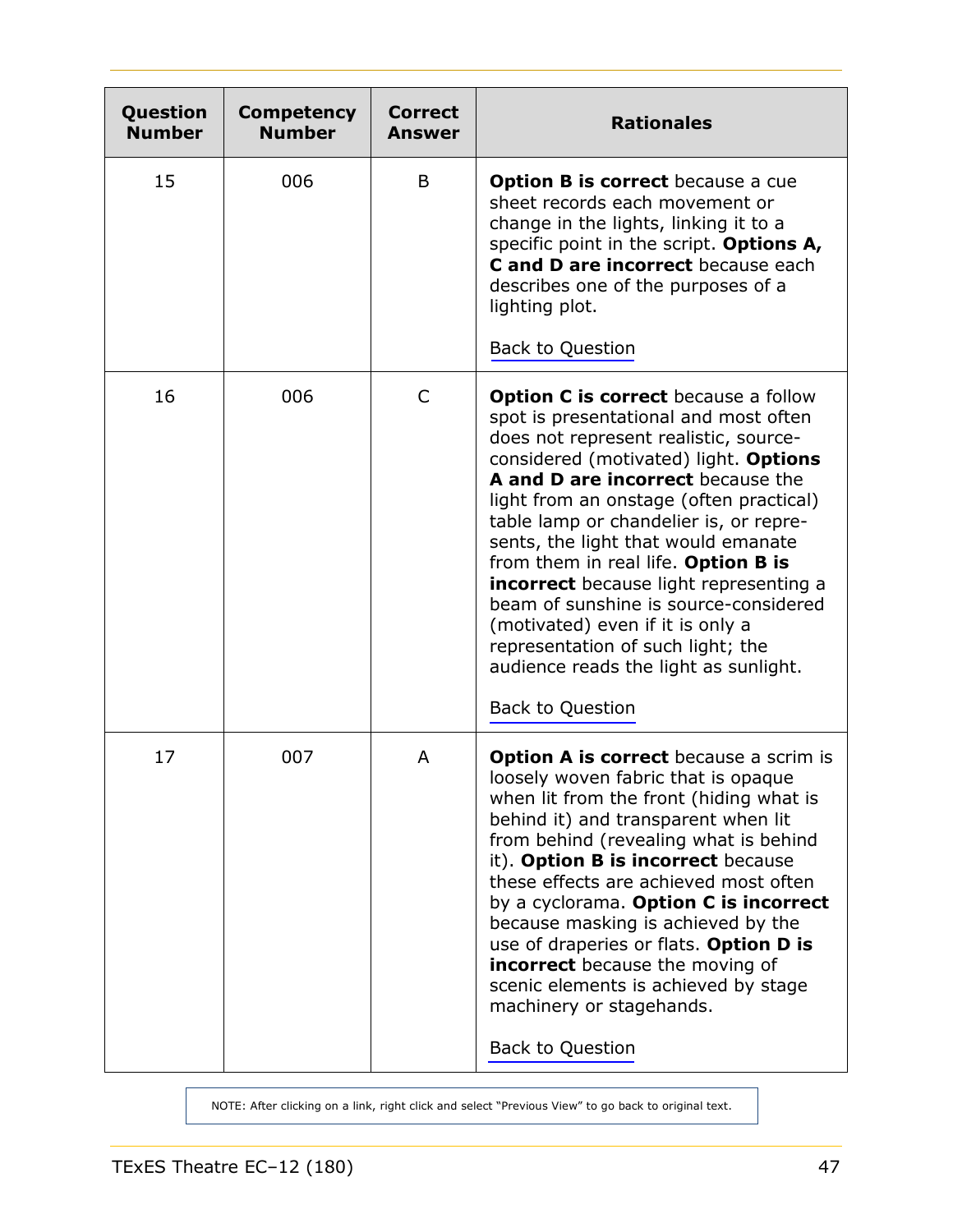<span id="page-46-0"></span>

| Question<br><b>Number</b> | Competency<br><b>Number</b> | <b>Correct</b><br><b>Answer</b> | <b>Rationales</b>                                                                                                                                                                                                                                                                                                                                                                                                                                                                                                                                                                                              |
|---------------------------|-----------------------------|---------------------------------|----------------------------------------------------------------------------------------------------------------------------------------------------------------------------------------------------------------------------------------------------------------------------------------------------------------------------------------------------------------------------------------------------------------------------------------------------------------------------------------------------------------------------------------------------------------------------------------------------------------|
| 15                        | 006                         | B                               | <b>Option B is correct</b> because a cue<br>sheet records each movement or<br>change in the lights, linking it to a<br>specific point in the script. Options A,<br>C and D are incorrect because each<br>describes one of the purposes of a<br>lighting plot.<br><b>Back to Question</b>                                                                                                                                                                                                                                                                                                                       |
| 16                        | 006                         | C                               | <b>Option C is correct</b> because a follow<br>spot is presentational and most often<br>does not represent realistic, source-<br>considered (motivated) light. Options<br>A and D are incorrect because the<br>light from an onstage (often practical)<br>table lamp or chandelier is, or repre-<br>sents, the light that would emanate<br>from them in real life. Option B is<br><b>incorrect</b> because light representing a<br>beam of sunshine is source-considered<br>(motivated) even if it is only a<br>representation of such light; the<br>audience reads the light as sunlight.<br>Back to Question |
| 17                        | 007                         | A                               | <b>Option A is correct</b> because a scrim is<br>loosely woven fabric that is opaque<br>when lit from the front (hiding what is<br>behind it) and transparent when lit<br>from behind (revealing what is behind<br>it). Option B is incorrect because<br>these effects are achieved most often<br>by a cyclorama. Option C is incorrect<br>because masking is achieved by the<br>use of draperies or flats. Option D is<br><b>incorrect</b> because the moving of<br>scenic elements is achieved by stage<br>machinery or stagehands.<br><b>Back to Question</b>                                               |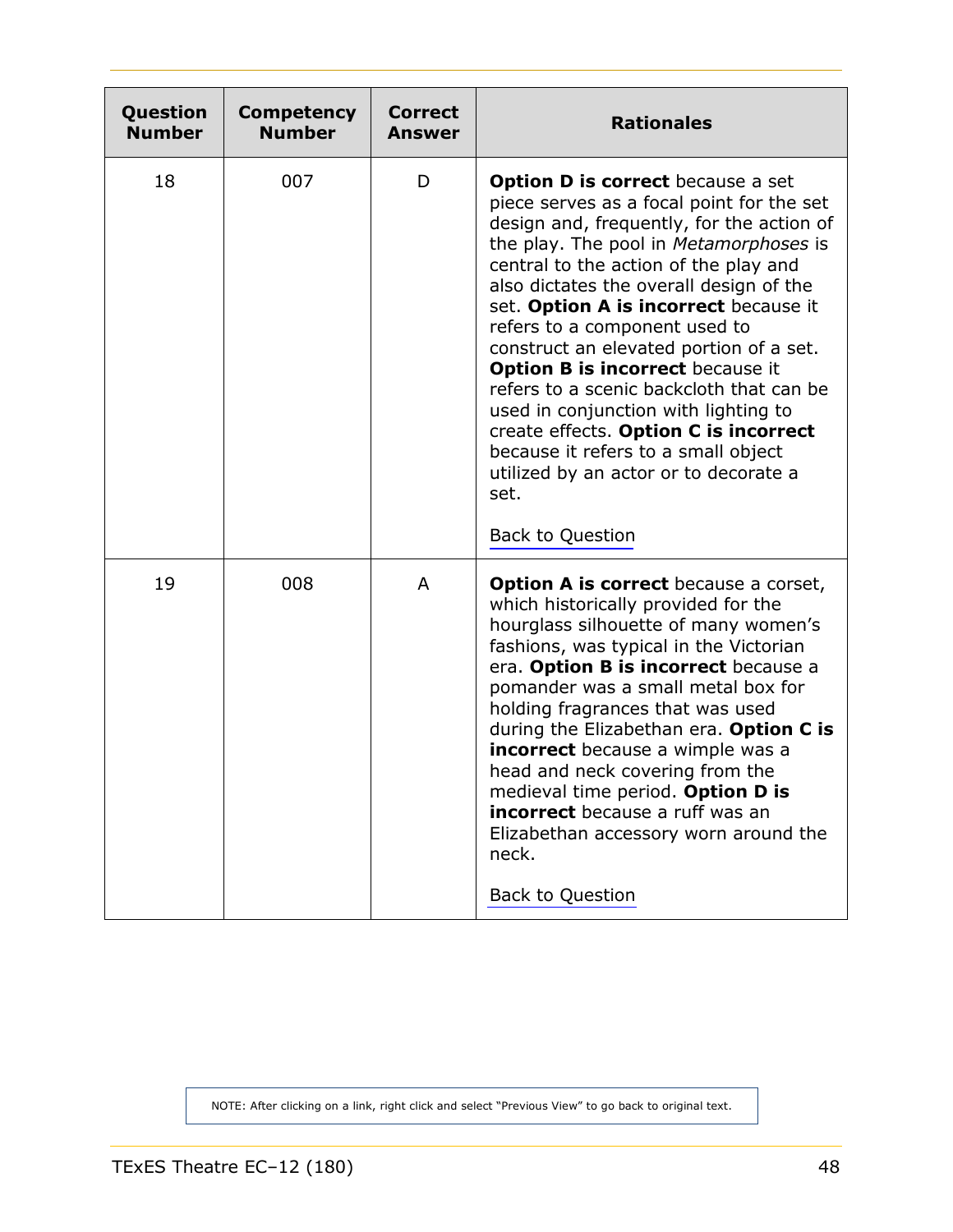<span id="page-47-0"></span>

| Question<br><b>Number</b> | Competency<br><b>Number</b> | <b>Correct</b><br><b>Answer</b> | <b>Rationales</b>                                                                                                                                                                                                                                                                                                                                                                                                                                                                                                                                                                                                                                                         |
|---------------------------|-----------------------------|---------------------------------|---------------------------------------------------------------------------------------------------------------------------------------------------------------------------------------------------------------------------------------------------------------------------------------------------------------------------------------------------------------------------------------------------------------------------------------------------------------------------------------------------------------------------------------------------------------------------------------------------------------------------------------------------------------------------|
| 18                        | 007                         | D                               | <b>Option D is correct</b> because a set<br>piece serves as a focal point for the set<br>design and, frequently, for the action of<br>the play. The pool in Metamorphoses is<br>central to the action of the play and<br>also dictates the overall design of the<br>set. Option A is incorrect because it<br>refers to a component used to<br>construct an elevated portion of a set.<br><b>Option B is incorrect because it</b><br>refers to a scenic backcloth that can be<br>used in conjunction with lighting to<br>create effects. Option C is incorrect<br>because it refers to a small object<br>utilized by an actor or to decorate a<br>set.<br>Back to Question |
| 19                        | 008                         | A                               | <b>Option A is correct</b> because a corset,<br>which historically provided for the<br>hourglass silhouette of many women's<br>fashions, was typical in the Victorian<br>era. Option B is incorrect because a<br>pomander was a small metal box for<br>holding fragrances that was used<br>during the Elizabethan era. Option C is<br><b>incorrect</b> because a wimple was a<br>head and neck covering from the<br>medieval time period. Option D is<br><b>incorrect</b> because a ruff was an<br>Elizabethan accessory worn around the<br>neck.<br>Back to Question                                                                                                     |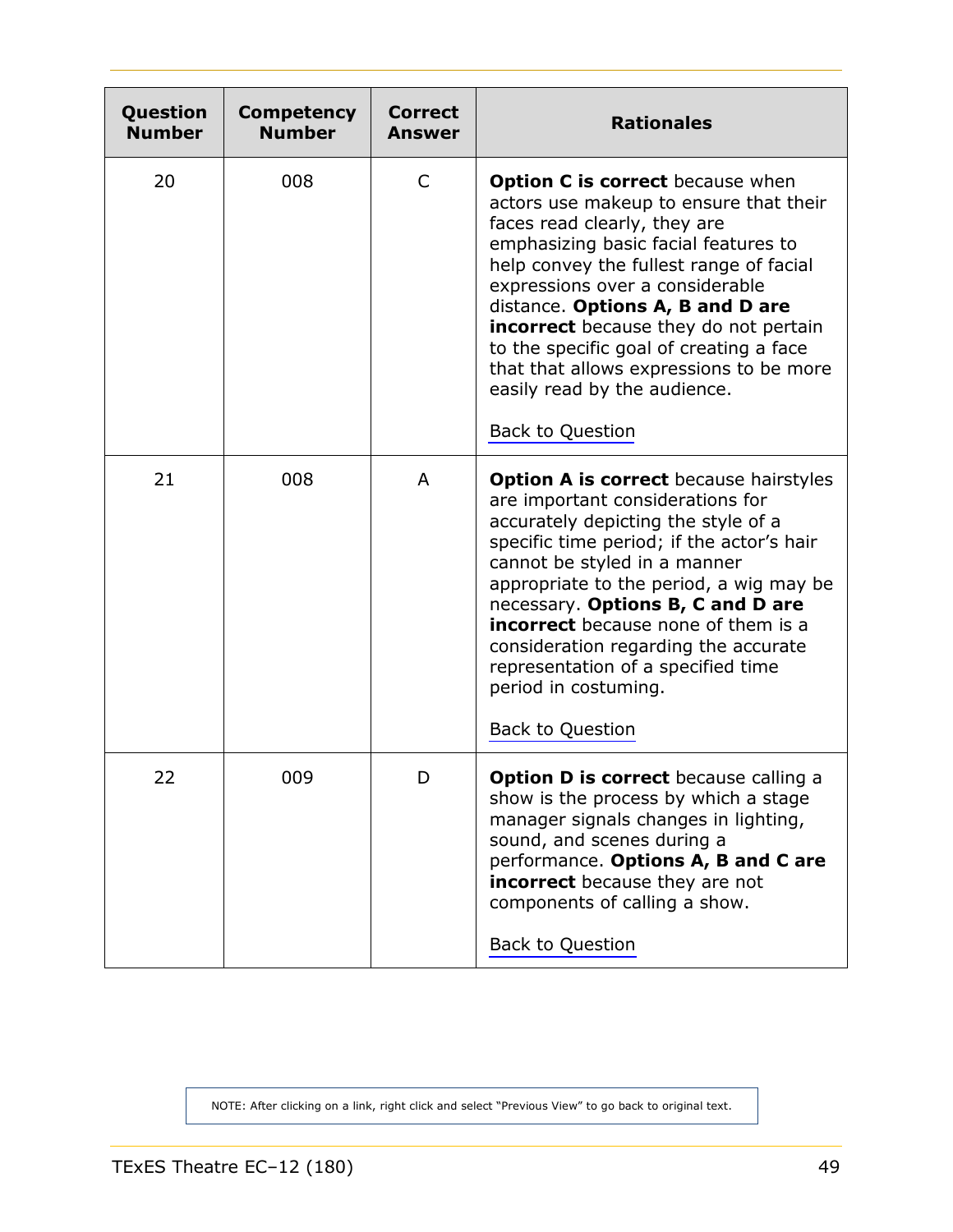<span id="page-48-0"></span>

| Question<br><b>Number</b> | <b>Competency</b><br><b>Number</b> | <b>Correct</b><br>Answer | <b>Rationales</b>                                                                                                                                                                                                                                                                                                                                                                                                                                                            |
|---------------------------|------------------------------------|--------------------------|------------------------------------------------------------------------------------------------------------------------------------------------------------------------------------------------------------------------------------------------------------------------------------------------------------------------------------------------------------------------------------------------------------------------------------------------------------------------------|
| 20                        | 008                                | C                        | <b>Option C is correct</b> because when<br>actors use makeup to ensure that their<br>faces read clearly, they are<br>emphasizing basic facial features to<br>help convey the fullest range of facial<br>expressions over a considerable<br>distance. Options A, B and D are<br><b>incorrect</b> because they do not pertain<br>to the specific goal of creating a face<br>that that allows expressions to be more<br>easily read by the audience.<br><b>Back to Question</b> |
| 21                        | 008                                | A                        | <b>Option A is correct</b> because hairstyles<br>are important considerations for<br>accurately depicting the style of a<br>specific time period; if the actor's hair<br>cannot be styled in a manner<br>appropriate to the period, a wig may be<br>necessary. Options B, C and D are<br><b>incorrect</b> because none of them is a<br>consideration regarding the accurate<br>representation of a specified time<br>period in costuming.<br><b>Back to Question</b>         |
| 22                        | 009                                | D                        | <b>Option D is correct</b> because calling a<br>show is the process by which a stage<br>manager signals changes in lighting,<br>sound, and scenes during a<br>performance. Options A, B and C are<br><b>incorrect</b> because they are not<br>components of calling a show.<br>Back to Question                                                                                                                                                                              |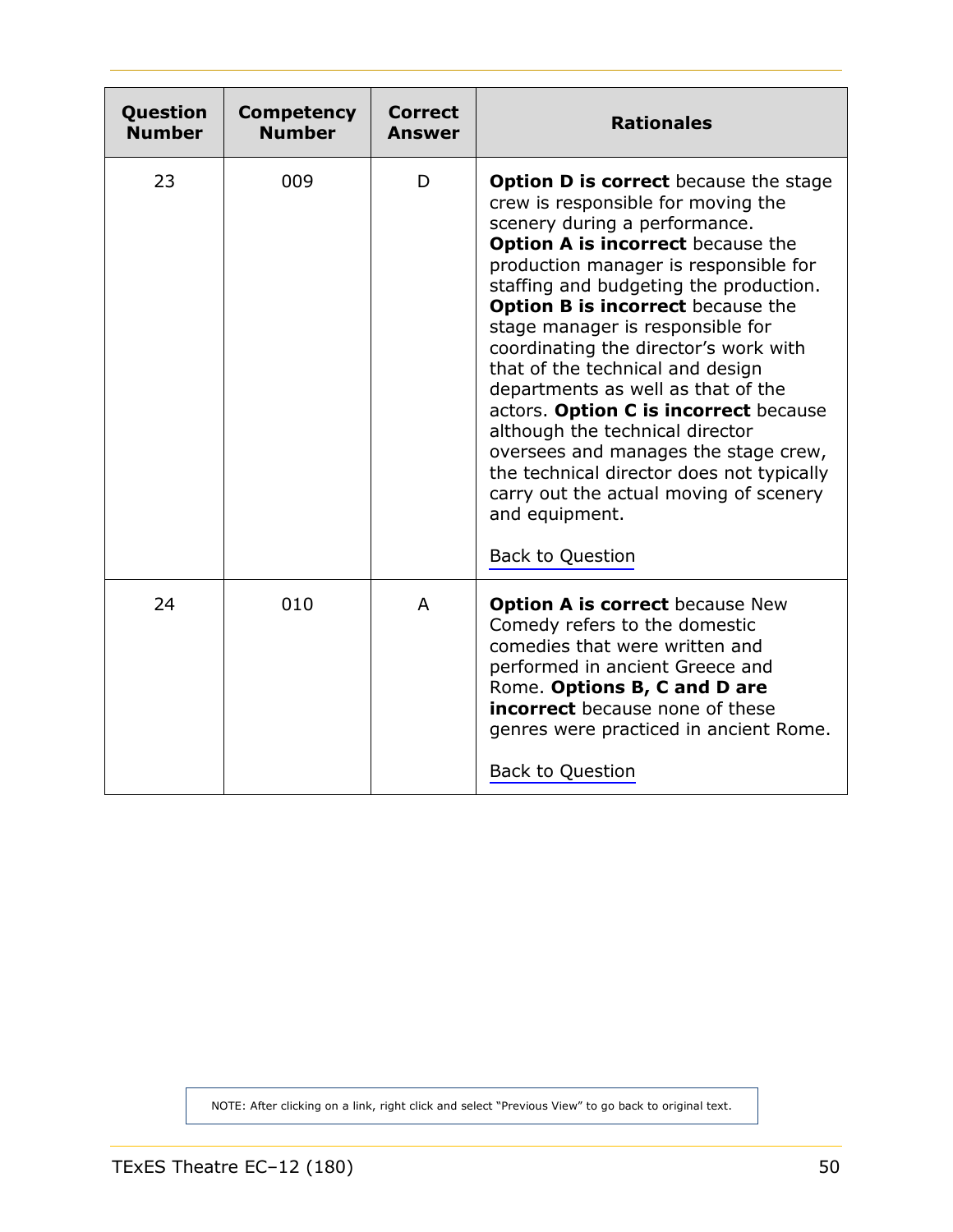<span id="page-49-0"></span>

| Question<br><b>Number</b> | <b>Competency</b><br><b>Number</b> | Correct<br><b>Answer</b> | <b>Rationales</b>                                                                                                                                                                                                                                                                                                                                                                                                                                                                                                                                                                                                                                                                                      |
|---------------------------|------------------------------------|--------------------------|--------------------------------------------------------------------------------------------------------------------------------------------------------------------------------------------------------------------------------------------------------------------------------------------------------------------------------------------------------------------------------------------------------------------------------------------------------------------------------------------------------------------------------------------------------------------------------------------------------------------------------------------------------------------------------------------------------|
| 23                        | 009                                | D                        | <b>Option D is correct</b> because the stage<br>crew is responsible for moving the<br>scenery during a performance.<br>Option A is incorrect because the<br>production manager is responsible for<br>staffing and budgeting the production.<br><b>Option B is incorrect</b> because the<br>stage manager is responsible for<br>coordinating the director's work with<br>that of the technical and design<br>departments as well as that of the<br>actors. Option C is incorrect because<br>although the technical director<br>oversees and manages the stage crew,<br>the technical director does not typically<br>carry out the actual moving of scenery<br>and equipment.<br><b>Back to Question</b> |
| 24                        | 010                                | A                        | <b>Option A is correct because New</b><br>Comedy refers to the domestic<br>comedies that were written and<br>performed in ancient Greece and<br>Rome. Options B, C and D are<br><b>incorrect</b> because none of these<br>genres were practiced in ancient Rome.<br><b>Back to Question</b>                                                                                                                                                                                                                                                                                                                                                                                                            |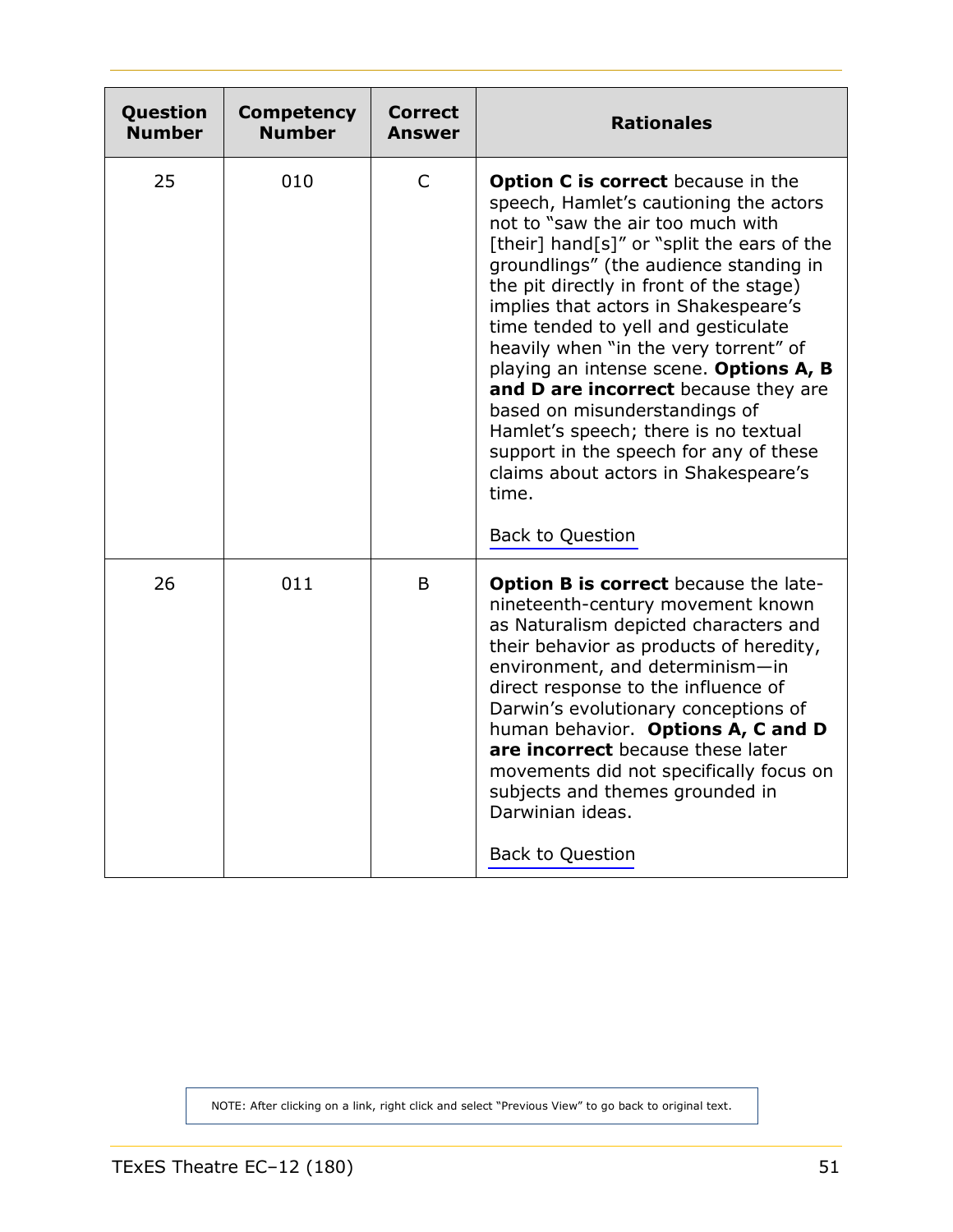<span id="page-50-0"></span>

| Question<br><b>Number</b> | <b>Competency</b><br><b>Number</b> | <b>Correct</b><br>Answer | <b>Rationales</b>                                                                                                                                                                                                                                                                                                                                                                                                                                                                                                                                                                                                                                             |
|---------------------------|------------------------------------|--------------------------|---------------------------------------------------------------------------------------------------------------------------------------------------------------------------------------------------------------------------------------------------------------------------------------------------------------------------------------------------------------------------------------------------------------------------------------------------------------------------------------------------------------------------------------------------------------------------------------------------------------------------------------------------------------|
| 25                        | 010                                | $\mathsf{C}$             | <b>Option C is correct</b> because in the<br>speech, Hamlet's cautioning the actors<br>not to "saw the air too much with<br>[their] hand[s]" or "split the ears of the<br>groundlings" (the audience standing in<br>the pit directly in front of the stage)<br>implies that actors in Shakespeare's<br>time tended to yell and gesticulate<br>heavily when "in the very torrent" of<br>playing an intense scene. Options A, B<br>and D are incorrect because they are<br>based on misunderstandings of<br>Hamlet's speech; there is no textual<br>support in the speech for any of these<br>claims about actors in Shakespeare's<br>time.<br>Back to Question |
| 26                        | 011                                | B                        | <b>Option B is correct</b> because the late-<br>nineteenth-century movement known<br>as Naturalism depicted characters and<br>their behavior as products of heredity,<br>environment, and determinism-in<br>direct response to the influence of<br>Darwin's evolutionary conceptions of<br>human behavior. Options A, C and D<br>are incorrect because these later<br>movements did not specifically focus on<br>subjects and themes grounded in<br>Darwinian ideas.<br>Back to Question                                                                                                                                                                      |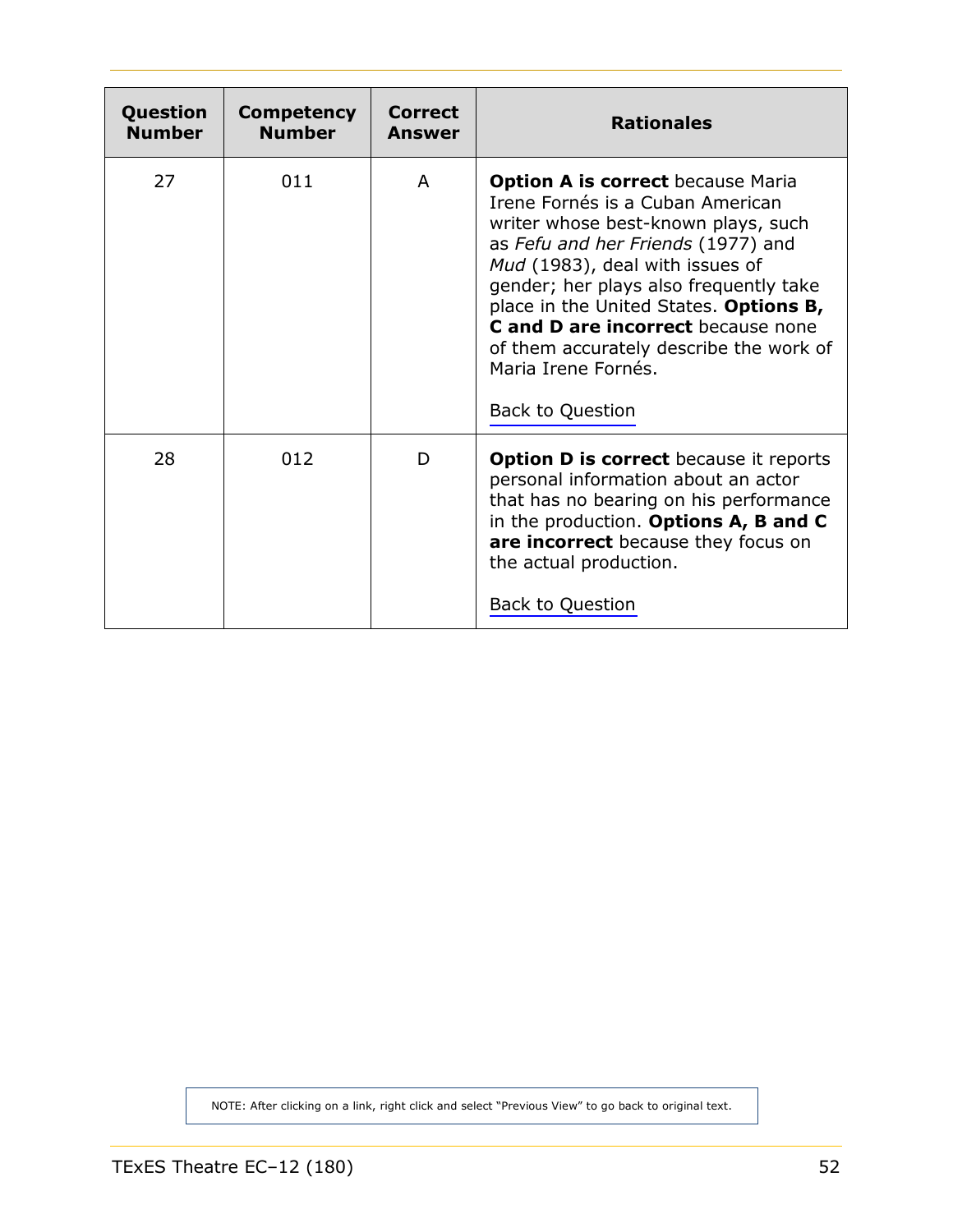<span id="page-51-0"></span>

| Question<br><b>Number</b> | <b>Competency</b><br><b>Number</b> | Correct<br>Answer | <b>Rationales</b>                                                                                                                                                                                                                                                                                                                                                                                                   |
|---------------------------|------------------------------------|-------------------|---------------------------------------------------------------------------------------------------------------------------------------------------------------------------------------------------------------------------------------------------------------------------------------------------------------------------------------------------------------------------------------------------------------------|
| 27                        | 011                                | A                 | <b>Option A is correct because Maria</b><br>Irene Fornés is a Cuban American<br>writer whose best-known plays, such<br>as Fefu and her Friends (1977) and<br>Mud (1983), deal with issues of<br>gender; her plays also frequently take<br>place in the United States. Options B,<br>C and D are incorrect because none<br>of them accurately describe the work of<br>Maria Irene Fornés.<br><b>Back to Question</b> |
| 28                        | 012                                | D                 | <b>Option D is correct</b> because it reports<br>personal information about an actor<br>that has no bearing on his performance<br>in the production. Options A, B and C<br>are incorrect because they focus on<br>the actual production.<br><b>Back to Question</b>                                                                                                                                                 |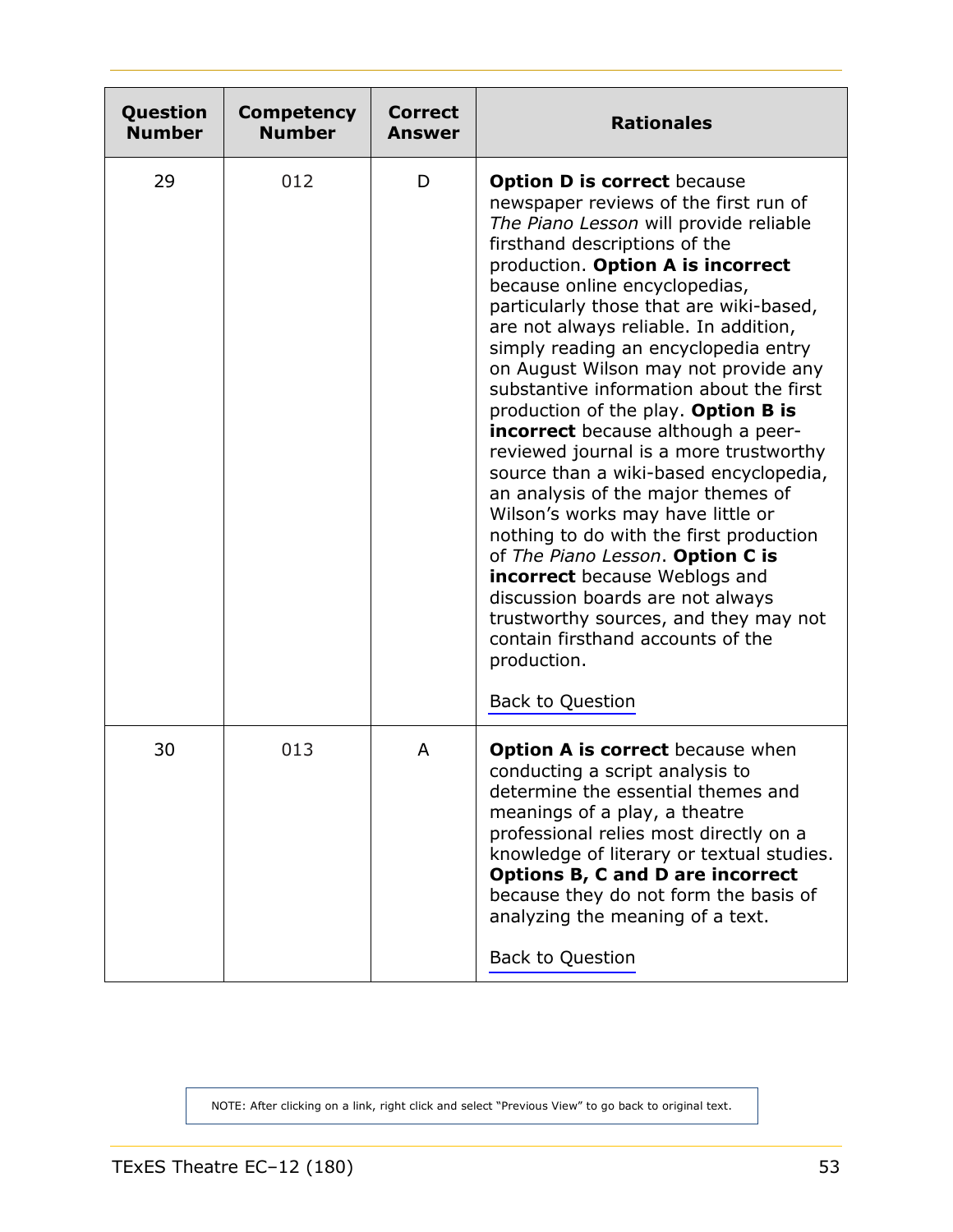<span id="page-52-0"></span>

| Question<br><b>Number</b> | <b>Competency</b><br><b>Number</b> | <b>Correct</b><br><b>Answer</b> | <b>Rationales</b>                                                                                                                                                                                                                                                                                                                                                                                                                                                                                                                                                                                                                                                                                                                                                                                                                                                                                                                                                                 |
|---------------------------|------------------------------------|---------------------------------|-----------------------------------------------------------------------------------------------------------------------------------------------------------------------------------------------------------------------------------------------------------------------------------------------------------------------------------------------------------------------------------------------------------------------------------------------------------------------------------------------------------------------------------------------------------------------------------------------------------------------------------------------------------------------------------------------------------------------------------------------------------------------------------------------------------------------------------------------------------------------------------------------------------------------------------------------------------------------------------|
| 29                        | 012                                | D                               | <b>Option D is correct because</b><br>newspaper reviews of the first run of<br>The Piano Lesson will provide reliable<br>firsthand descriptions of the<br>production. Option A is incorrect<br>because online encyclopedias,<br>particularly those that are wiki-based,<br>are not always reliable. In addition,<br>simply reading an encyclopedia entry<br>on August Wilson may not provide any<br>substantive information about the first<br>production of the play. Option B is<br><b>incorrect</b> because although a peer-<br>reviewed journal is a more trustworthy<br>source than a wiki-based encyclopedia,<br>an analysis of the major themes of<br>Wilson's works may have little or<br>nothing to do with the first production<br>of The Piano Lesson. Option C is<br><b>incorrect</b> because Weblogs and<br>discussion boards are not always<br>trustworthy sources, and they may not<br>contain firsthand accounts of the<br>production.<br><b>Back to Question</b> |
| 30                        | 013                                | A                               | <b>Option A is correct</b> because when<br>conducting a script analysis to<br>determine the essential themes and<br>meanings of a play, a theatre<br>professional relies most directly on a<br>knowledge of literary or textual studies.<br><b>Options B, C and D are incorrect</b><br>because they do not form the basis of<br>analyzing the meaning of a text.<br><b>Back to Question</b>                                                                                                                                                                                                                                                                                                                                                                                                                                                                                                                                                                                       |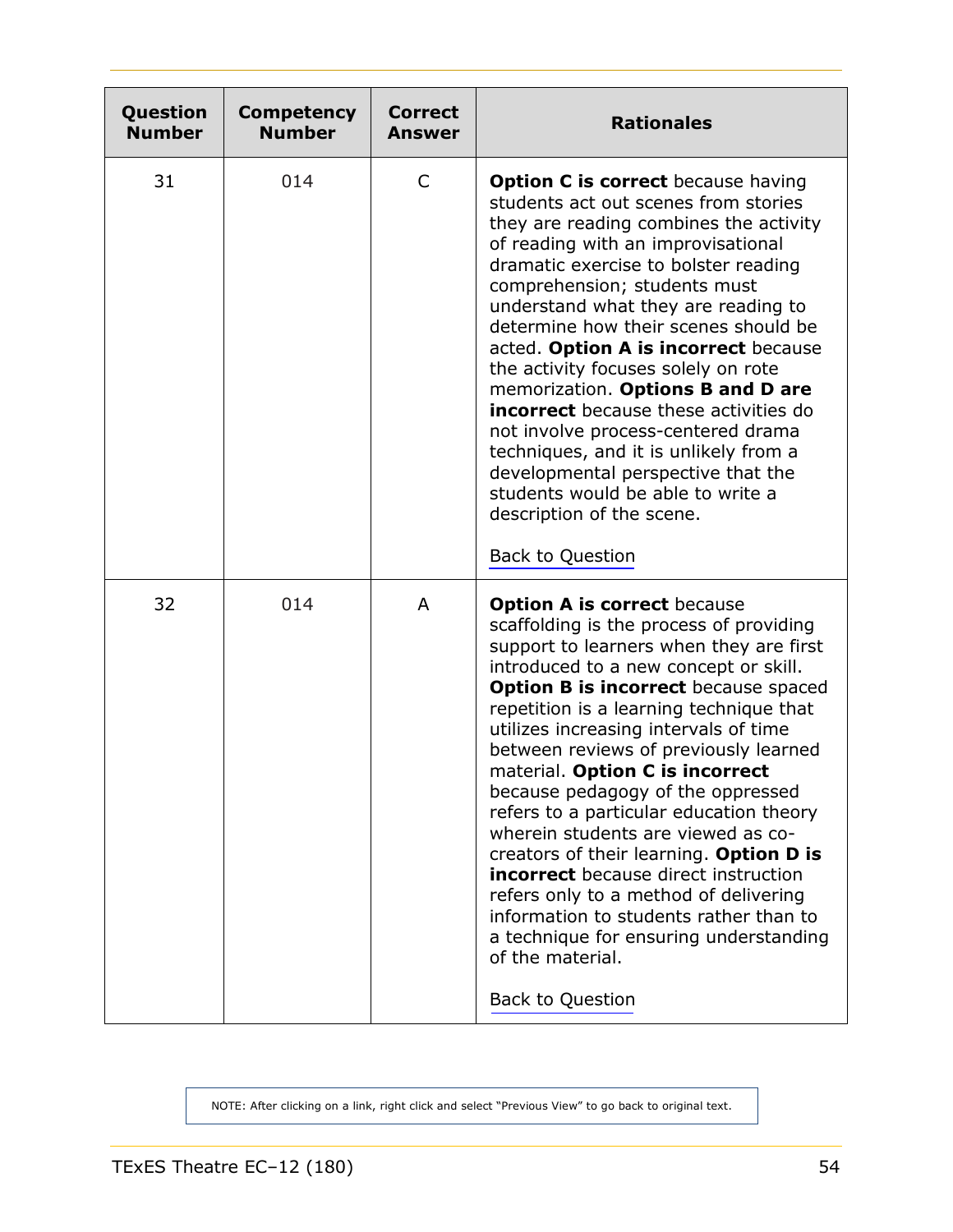<span id="page-53-0"></span>

| Question<br><b>Number</b> | <b>Competency</b><br><b>Number</b> | <b>Correct</b><br>Answer | <b>Rationales</b>                                                                                                                                                                                                                                                                                                                                                                                                                                                                                                                                                                                                                                                                                                                                                            |
|---------------------------|------------------------------------|--------------------------|------------------------------------------------------------------------------------------------------------------------------------------------------------------------------------------------------------------------------------------------------------------------------------------------------------------------------------------------------------------------------------------------------------------------------------------------------------------------------------------------------------------------------------------------------------------------------------------------------------------------------------------------------------------------------------------------------------------------------------------------------------------------------|
| 31                        | 014                                | C                        | <b>Option C is correct</b> because having<br>students act out scenes from stories<br>they are reading combines the activity<br>of reading with an improvisational<br>dramatic exercise to bolster reading<br>comprehension; students must<br>understand what they are reading to<br>determine how their scenes should be<br>acted. Option A is incorrect because<br>the activity focuses solely on rote<br>memorization. Options B and D are<br><b>incorrect</b> because these activities do<br>not involve process-centered drama<br>techniques, and it is unlikely from a<br>developmental perspective that the<br>students would be able to write a<br>description of the scene.<br><b>Back to Question</b>                                                               |
| 32                        | 014                                | A                        | <b>Option A is correct because</b><br>scaffolding is the process of providing<br>support to learners when they are first<br>introduced to a new concept or skill.<br><b>Option B is incorrect</b> because spaced<br>repetition is a learning technique that<br>utilizes increasing intervals of time<br>between reviews of previously learned<br>material. Option C is incorrect<br>because pedagogy of the oppressed<br>refers to a particular education theory<br>wherein students are viewed as co-<br>creators of their learning. Option D is<br><b>incorrect</b> because direct instruction<br>refers only to a method of delivering<br>information to students rather than to<br>a technique for ensuring understanding<br>of the material.<br><b>Back to Question</b> |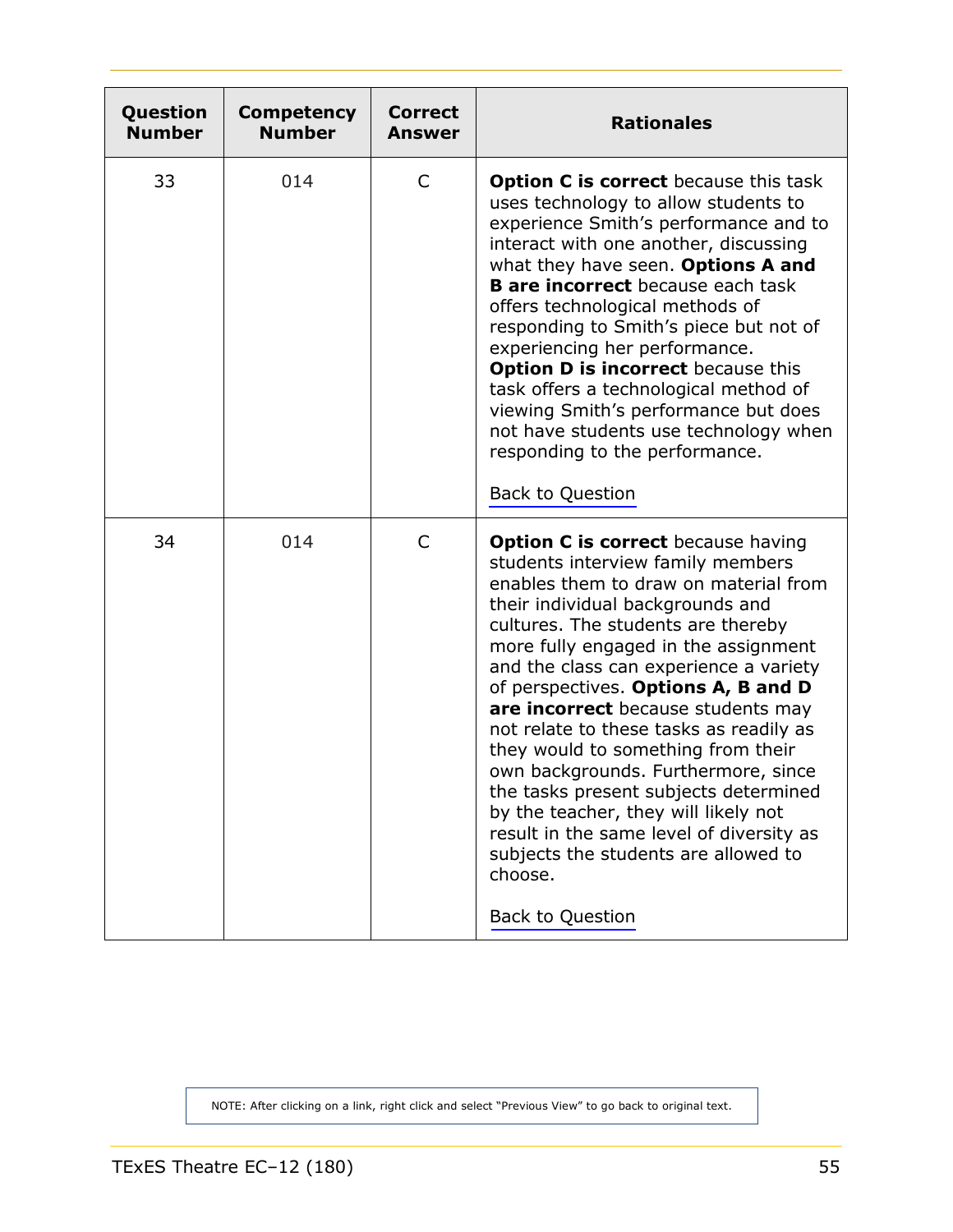<span id="page-54-0"></span>

| Question<br><b>Number</b> | Competency<br><b>Number</b> | <b>Correct</b><br><b>Answer</b> | <b>Rationales</b>                                                                                                                                                                                                                                                                                                                                                                                                                                                                                                                                                                                                                                                                                   |  |
|---------------------------|-----------------------------|---------------------------------|-----------------------------------------------------------------------------------------------------------------------------------------------------------------------------------------------------------------------------------------------------------------------------------------------------------------------------------------------------------------------------------------------------------------------------------------------------------------------------------------------------------------------------------------------------------------------------------------------------------------------------------------------------------------------------------------------------|--|
| 33                        | 014                         | C                               | <b>Option C is correct</b> because this task<br>uses technology to allow students to<br>experience Smith's performance and to<br>interact with one another, discussing<br>what they have seen. Options A and<br><b>B</b> are incorrect because each task<br>offers technological methods of<br>responding to Smith's piece but not of<br>experiencing her performance.<br><b>Option D is incorrect</b> because this<br>task offers a technological method of<br>viewing Smith's performance but does<br>not have students use technology when<br>responding to the performance.<br>Back to Question                                                                                                 |  |
| 34                        | 014                         | C                               | <b>Option C is correct</b> because having<br>students interview family members<br>enables them to draw on material from<br>their individual backgrounds and<br>cultures. The students are thereby<br>more fully engaged in the assignment<br>and the class can experience a variety<br>of perspectives. Options A, B and D<br>are incorrect because students may<br>not relate to these tasks as readily as<br>they would to something from their<br>own backgrounds. Furthermore, since<br>the tasks present subjects determined<br>by the teacher, they will likely not<br>result in the same level of diversity as<br>subjects the students are allowed to<br>choose.<br><b>Back to Question</b> |  |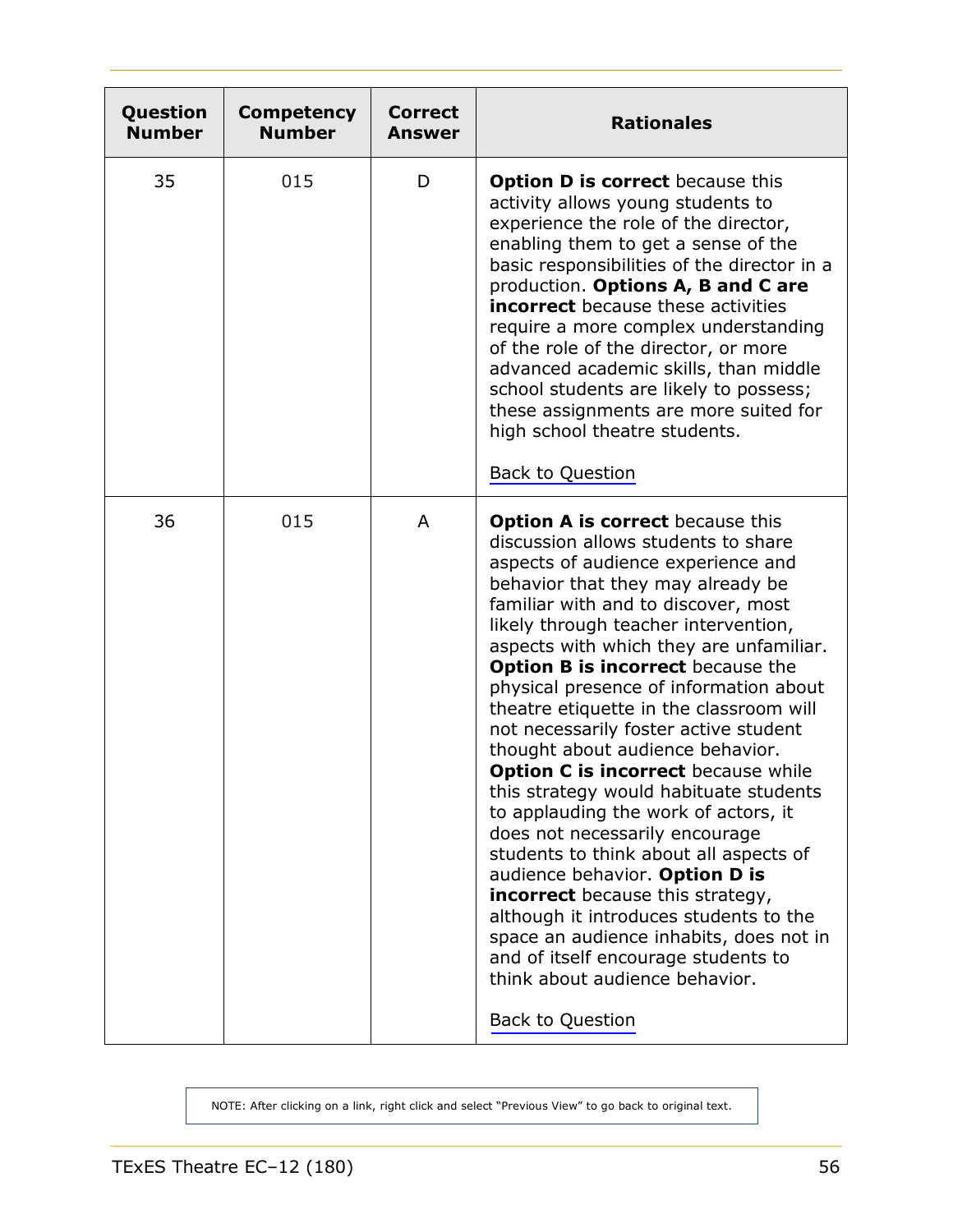<span id="page-55-0"></span>

| Question<br><b>Number</b> | Competency<br><b>Number</b> | <b>Correct</b><br>Answer | <b>Rationales</b>                                                                                                                                                                                                                                                                                                                                                                                                                                                                                                                                                                                                                                                                                                                                                                                                                                                                                                                                                            |
|---------------------------|-----------------------------|--------------------------|------------------------------------------------------------------------------------------------------------------------------------------------------------------------------------------------------------------------------------------------------------------------------------------------------------------------------------------------------------------------------------------------------------------------------------------------------------------------------------------------------------------------------------------------------------------------------------------------------------------------------------------------------------------------------------------------------------------------------------------------------------------------------------------------------------------------------------------------------------------------------------------------------------------------------------------------------------------------------|
| 35                        | 015                         | D                        | <b>Option D is correct</b> because this<br>activity allows young students to<br>experience the role of the director,<br>enabling them to get a sense of the<br>basic responsibilities of the director in a<br>production. Options A, B and C are<br><b>incorrect</b> because these activities<br>require a more complex understanding<br>of the role of the director, or more<br>advanced academic skills, than middle<br>school students are likely to possess;<br>these assignments are more suited for<br>high school theatre students.<br><b>Back to Question</b>                                                                                                                                                                                                                                                                                                                                                                                                        |
| 36                        | 015                         | A                        | <b>Option A is correct</b> because this<br>discussion allows students to share<br>aspects of audience experience and<br>behavior that they may already be<br>familiar with and to discover, most<br>likely through teacher intervention,<br>aspects with which they are unfamiliar.<br><b>Option B is incorrect</b> because the<br>physical presence of information about<br>theatre etiquette in the classroom will<br>not necessarily foster active student<br>thought about audience behavior.<br>Option C is incorrect because while<br>this strategy would habituate students<br>to applauding the work of actors, it<br>does not necessarily encourage<br>students to think about all aspects of<br>audience behavior. Option D is<br><b>incorrect</b> because this strategy,<br>although it introduces students to the<br>space an audience inhabits, does not in<br>and of itself encourage students to<br>think about audience behavior.<br><b>Back to Question</b> |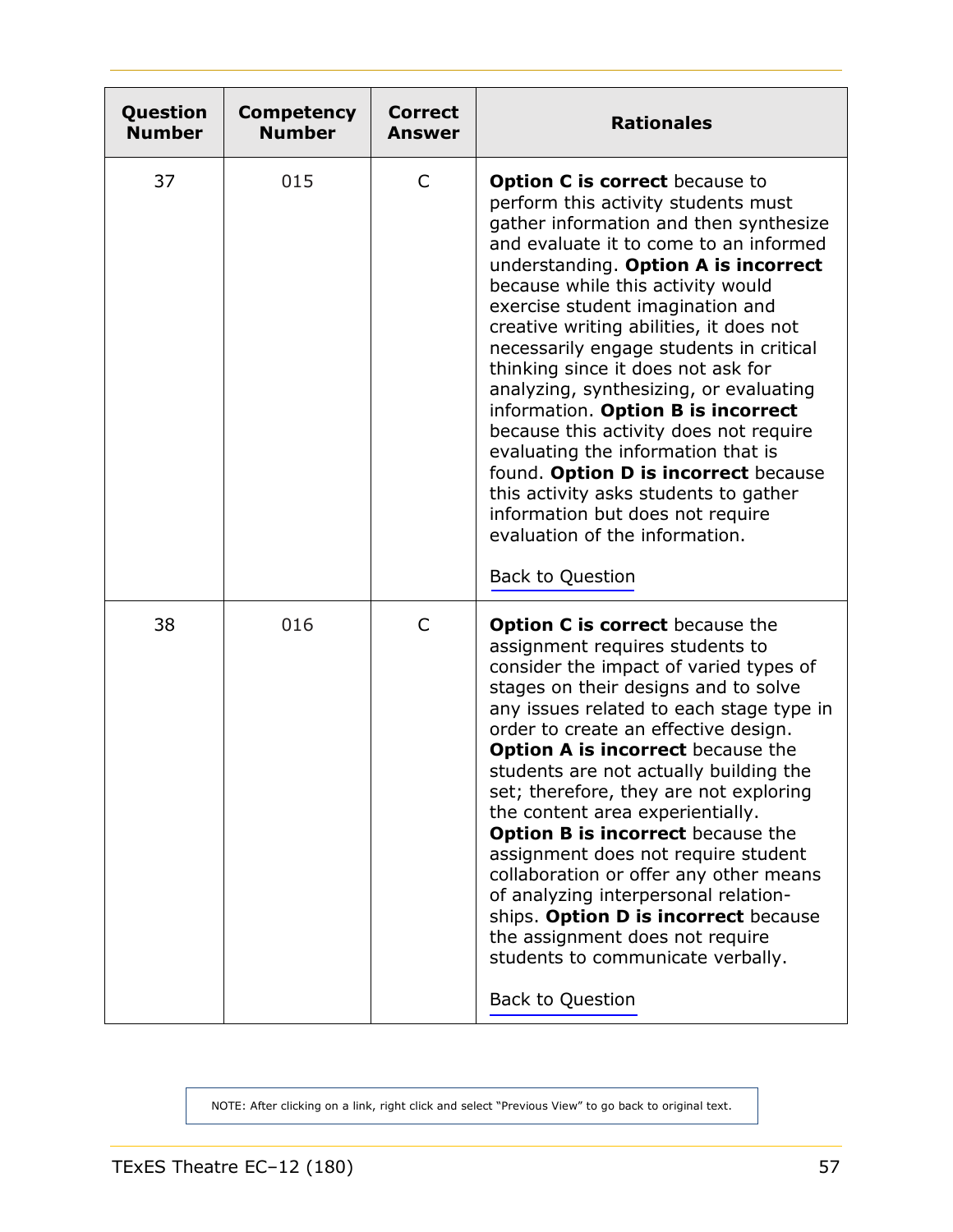<span id="page-56-0"></span>

| Question<br><b>Number</b> | <b>Competency</b><br><b>Number</b> | <b>Correct</b><br><b>Answer</b> | <b>Rationales</b>                                                                                                                                                                                                                                                                                                                                                                                                                                                                                                                                                                                                                                                                                                                                        |
|---------------------------|------------------------------------|---------------------------------|----------------------------------------------------------------------------------------------------------------------------------------------------------------------------------------------------------------------------------------------------------------------------------------------------------------------------------------------------------------------------------------------------------------------------------------------------------------------------------------------------------------------------------------------------------------------------------------------------------------------------------------------------------------------------------------------------------------------------------------------------------|
| 37                        | 015                                | C                               | <b>Option C is correct</b> because to<br>perform this activity students must<br>gather information and then synthesize<br>and evaluate it to come to an informed<br>understanding. Option A is incorrect<br>because while this activity would<br>exercise student imagination and<br>creative writing abilities, it does not<br>necessarily engage students in critical<br>thinking since it does not ask for<br>analyzing, synthesizing, or evaluating<br>information. Option B is incorrect<br>because this activity does not require<br>evaluating the information that is<br>found. Option D is incorrect because<br>this activity asks students to gather<br>information but does not require<br>evaluation of the information.<br>Back to Question |
| 38                        | 016                                | $\mathsf{C}$                    | <b>Option C is correct</b> because the<br>assignment requires students to<br>consider the impact of varied types of<br>stages on their designs and to solve<br>any issues related to each stage type in<br>order to create an effective design.<br><b>Option A is incorrect</b> because the<br>students are not actually building the<br>set; therefore, they are not exploring<br>the content area experientially.<br><b>Option B is incorrect</b> because the<br>assignment does not require student<br>collaboration or offer any other means<br>of analyzing interpersonal relation-<br>ships. Option D is incorrect because<br>the assignment does not require<br>students to communicate verbally.<br><b>Back to Question</b>                      |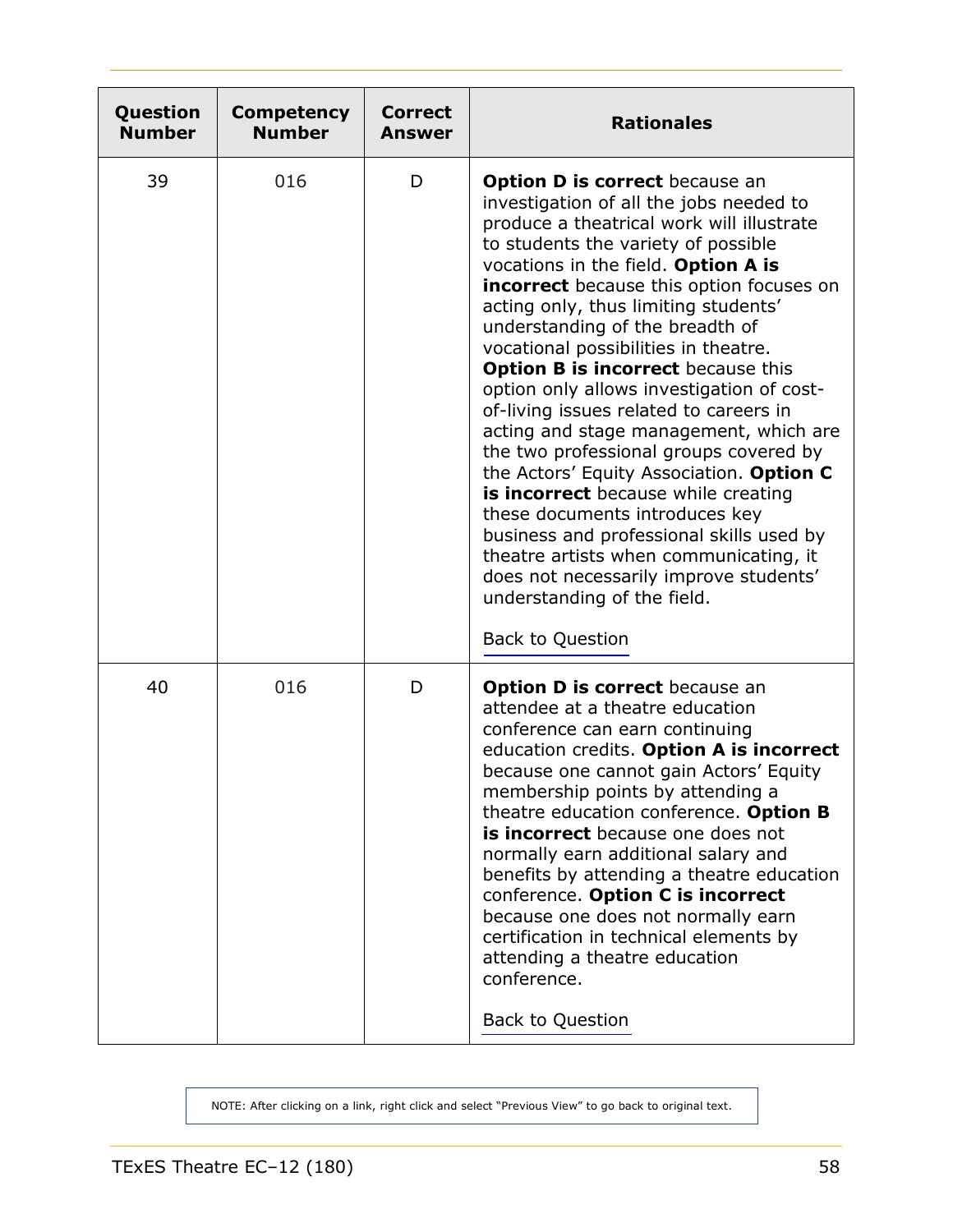<span id="page-57-0"></span>

| Question<br><b>Number</b> | <b>Competency</b><br><b>Number</b> | <b>Correct</b><br><b>Answer</b> | <b>Rationales</b>                                                                                                                                                                                                                                                                                                                                                                                                                                                                                                                                                                                                                                                                                                                                                                                                                                                                                                 |
|---------------------------|------------------------------------|---------------------------------|-------------------------------------------------------------------------------------------------------------------------------------------------------------------------------------------------------------------------------------------------------------------------------------------------------------------------------------------------------------------------------------------------------------------------------------------------------------------------------------------------------------------------------------------------------------------------------------------------------------------------------------------------------------------------------------------------------------------------------------------------------------------------------------------------------------------------------------------------------------------------------------------------------------------|
| 39                        | 016                                | D                               | <b>Option D is correct</b> because an<br>investigation of all the jobs needed to<br>produce a theatrical work will illustrate<br>to students the variety of possible<br>vocations in the field. Option A is<br>incorrect because this option focuses on<br>acting only, thus limiting students'<br>understanding of the breadth of<br>vocational possibilities in theatre.<br><b>Option B is incorrect</b> because this<br>option only allows investigation of cost-<br>of-living issues related to careers in<br>acting and stage management, which are<br>the two professional groups covered by<br>the Actors' Equity Association. Option C<br>is incorrect because while creating<br>these documents introduces key<br>business and professional skills used by<br>theatre artists when communicating, it<br>does not necessarily improve students'<br>understanding of the field.<br><b>Back to Question</b> |
| 40                        | 016                                | D                               | <b>Option D is correct</b> because an<br>attendee at a theatre education<br>conference can earn continuing<br>education credits. Option A is incorrect<br>because one cannot gain Actors' Equity<br>membership points by attending a<br>theatre education conference. Option B<br>is incorrect because one does not<br>normally earn additional salary and<br>benefits by attending a theatre education<br>conference. Option C is incorrect<br>because one does not normally earn<br>certification in technical elements by<br>attending a theatre education<br>conference.<br><b>Back to Question</b>                                                                                                                                                                                                                                                                                                           |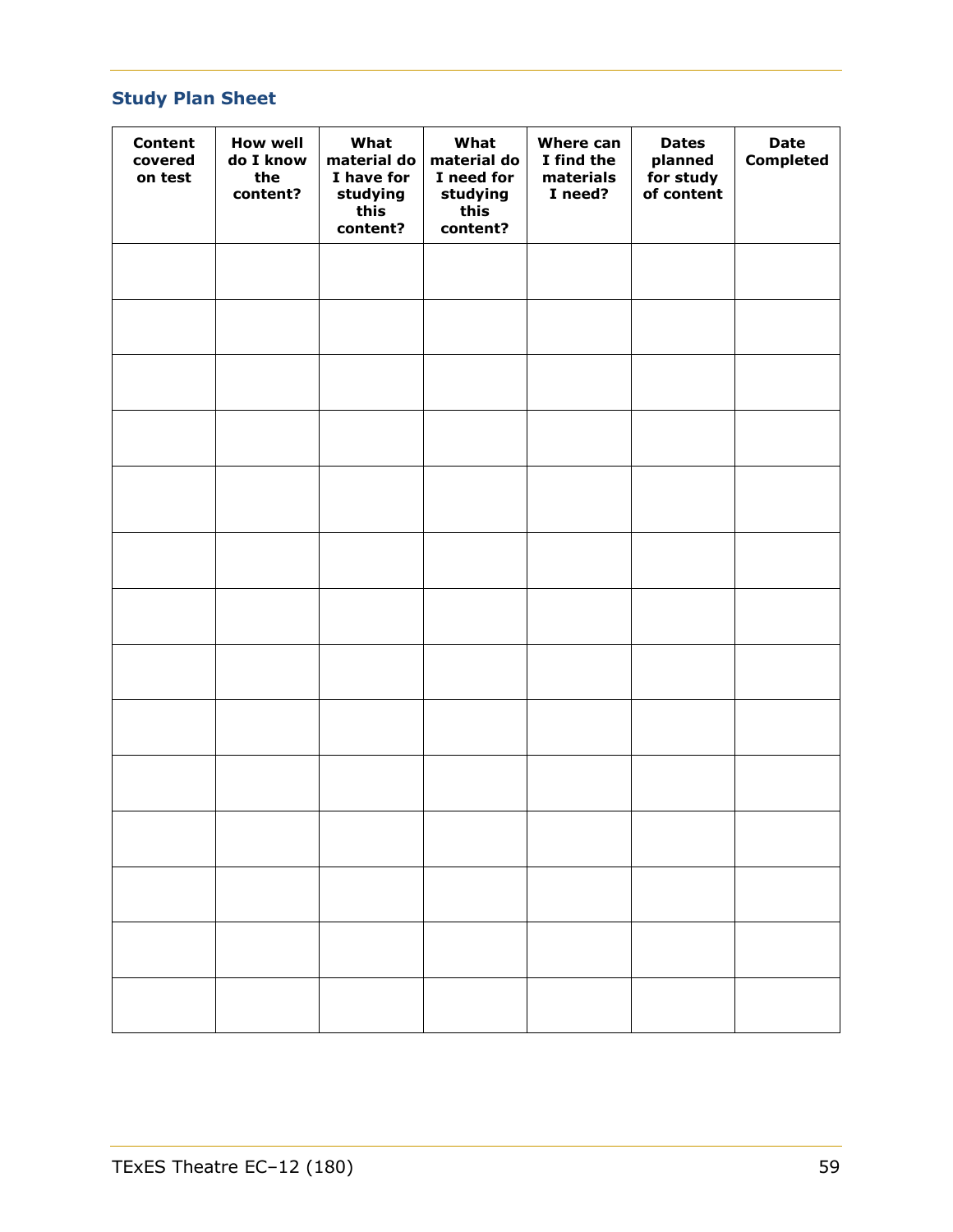# <span id="page-58-0"></span>**Study Plan Sheet**

| <b>Content</b><br>covered<br>on test | <b>How well</b><br>do I know<br>the<br>content? | What<br>material do<br>I have for<br>studying<br>this<br>content? | What<br>material do<br>I need for<br>studying<br>this<br>content? | <b>Where can</b><br>I find the<br>materials<br>I need? | <b>Dates</b><br>planned<br>for study<br>of content | <b>Date</b><br><b>Completed</b> |
|--------------------------------------|-------------------------------------------------|-------------------------------------------------------------------|-------------------------------------------------------------------|--------------------------------------------------------|----------------------------------------------------|---------------------------------|
|                                      |                                                 |                                                                   |                                                                   |                                                        |                                                    |                                 |
|                                      |                                                 |                                                                   |                                                                   |                                                        |                                                    |                                 |
|                                      |                                                 |                                                                   |                                                                   |                                                        |                                                    |                                 |
|                                      |                                                 |                                                                   |                                                                   |                                                        |                                                    |                                 |
|                                      |                                                 |                                                                   |                                                                   |                                                        |                                                    |                                 |
|                                      |                                                 |                                                                   |                                                                   |                                                        |                                                    |                                 |
|                                      |                                                 |                                                                   |                                                                   |                                                        |                                                    |                                 |
|                                      |                                                 |                                                                   |                                                                   |                                                        |                                                    |                                 |
|                                      |                                                 |                                                                   |                                                                   |                                                        |                                                    |                                 |
|                                      |                                                 |                                                                   |                                                                   |                                                        |                                                    |                                 |
|                                      |                                                 |                                                                   |                                                                   |                                                        |                                                    |                                 |
|                                      |                                                 |                                                                   |                                                                   |                                                        |                                                    |                                 |
|                                      |                                                 |                                                                   |                                                                   |                                                        |                                                    |                                 |
|                                      |                                                 |                                                                   |                                                                   |                                                        |                                                    |                                 |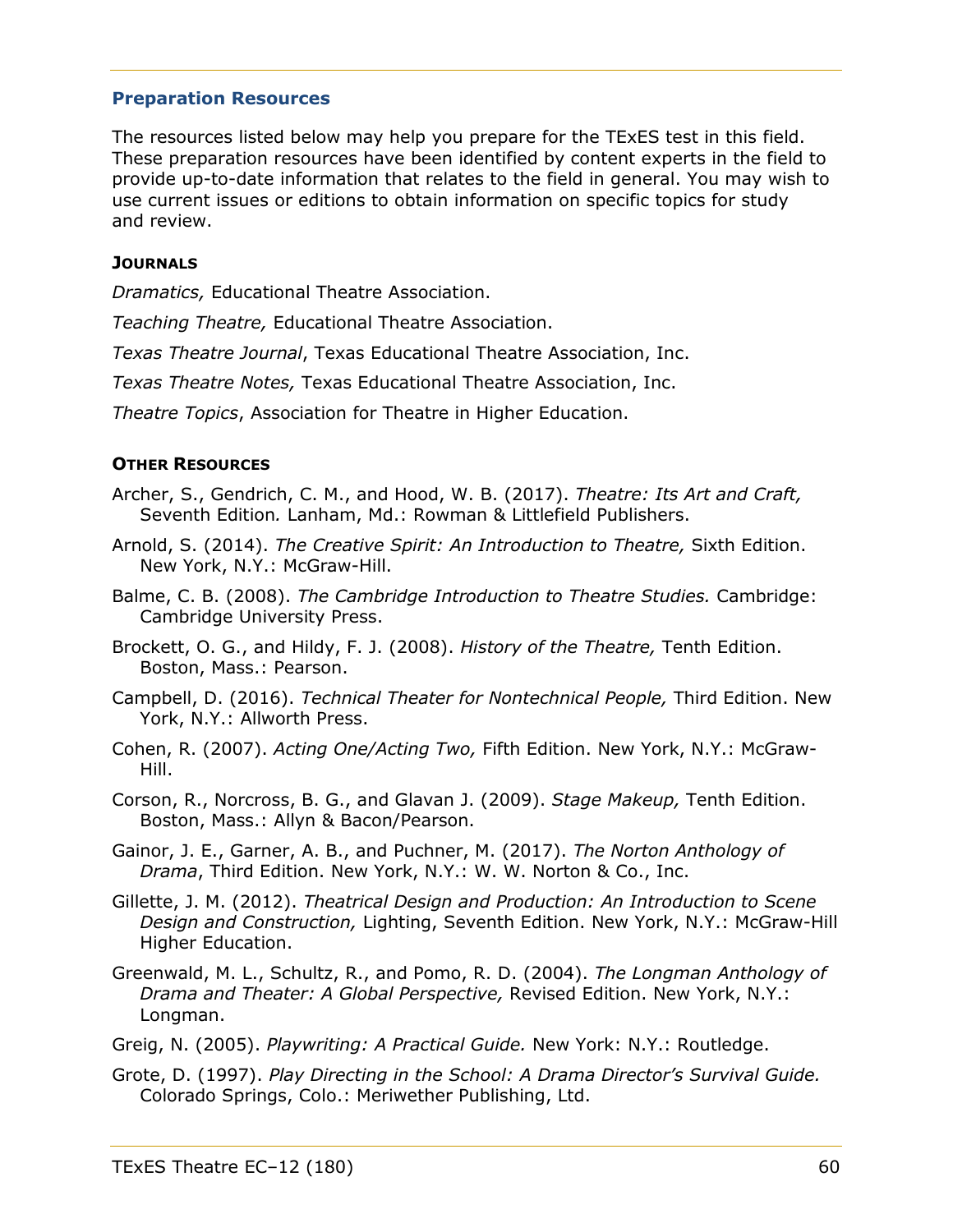# <span id="page-59-0"></span>**Preparation Resources**

The resources listed below may help you prepare for the TExES test in this field. These preparation resources have been identified by content experts in the field to provide up-to-date information that relates to the field in general. You may wish to use current issues or editions to obtain information on specific topics for study and review.

#### **JOURNALS**

*Dramatics,* Educational Theatre Association.

*Teaching Theatre,* Educational Theatre Association.

*Texas Theatre Journal*, Texas Educational Theatre Association, Inc.

*Texas Theatre Notes,* Texas Educational Theatre Association, Inc.

*Theatre Topics*, Association for Theatre in Higher Education.

# **OTHER RESOURCES**

- Archer, S., Gendrich, C. M., and Hood, W. B. (2017). *Theatre: Its Art and Craft,* Seventh Edition*.* Lanham, Md.: Rowman & Littlefield Publishers.
- Arnold, S. (2014). *The Creative Spirit: An Introduction to Theatre,* Sixth Edition. New York, N.Y.: McGraw-Hill.
- Balme, C. B. (2008). *The Cambridge Introduction to Theatre Studies.* Cambridge: Cambridge University Press.
- Brockett, O. G., and Hildy, F. J. (2008). *History of the Theatre,* Tenth Edition. Boston, Mass.: Pearson.
- Campbell, D. (2016). *Technical Theater for Nontechnical People,* Third Edition. New York, N.Y.: Allworth Press.
- Cohen, R. (2007). *Acting One/Acting Two,* Fifth Edition. New York, N.Y.: McGraw-Hill.
- Corson, R., Norcross, B. G., and Glavan J. (2009). *Stage Makeup,* Tenth Edition. Boston, Mass.: Allyn & Bacon/Pearson.
- Gainor, J. E., Garner, A. B., and Puchner, M. (2017). *The Norton Anthology of Drama*, Third Edition. New York, N.Y.: W. W. Norton & Co., Inc.
- Gillette, J. M. (2012). *Theatrical Design and Production: An Introduction to Scene Design and Construction,* Lighting, Seventh Edition. New York, N.Y.: McGraw-Hill Higher Education.
- Greenwald, M. L., Schultz, R., and Pomo, R. D. (2004). *The Longman Anthology of Drama and Theater: A Global Perspective,* Revised Edition. New York, N.Y.: Longman.

Greig, N. (2005). *Playwriting: A Practical Guide.* New York: N.Y.: Routledge.

Grote, D. (1997). *Play Directing in the School: A Drama Director's Survival Guide.* Colorado Springs, Colo.: Meriwether Publishing, Ltd.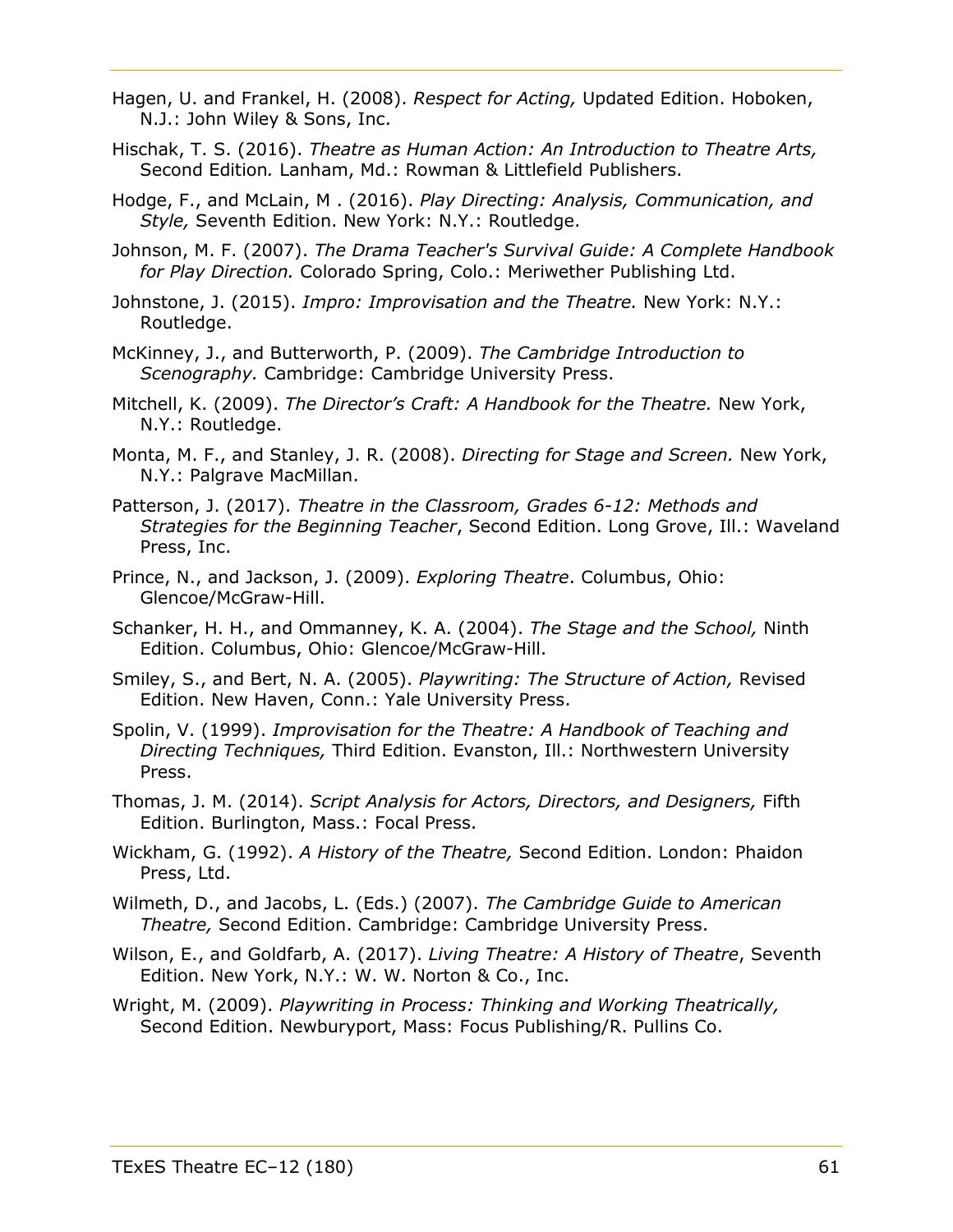- Hagen, U. and Frankel, H. (2008). *Respect for Acting,* Updated Edition. Hoboken, N.J.: John Wiley & Sons, Inc.
- Hischak, T. S. (2016). *Theatre as Human Action: An Introduction to Theatre Arts,* Second Edition*.* Lanham, Md.: Rowman & Littlefield Publishers.
- Hodge, F., and McLain, M . (2016). *Play Directing: Analysis, Communication, and Style,* Seventh Edition. New York: N.Y.: Routledge.
- Johnson, M. F. (2007). *The Drama Teacher's Survival Guide: A Complete Handbook for Play Direction.* Colorado Spring, Colo.: Meriwether Publishing Ltd.
- Johnstone, J. (2015). *Impro: Improvisation and the Theatre.* New York: N.Y.: Routledge.
- McKinney, J., and Butterworth, P. (2009). *The Cambridge Introduction to Scenography.* Cambridge: Cambridge University Press.
- Mitchell, K. (2009). *The Director's Craft: A Handbook for the Theatre.* New York, N.Y.: Routledge.
- Monta, M. F., and Stanley, J. R. (2008). *Directing for Stage and Screen.* New York, N.Y.: Palgrave MacMillan.
- Patterson, J. (2017). *Theatre in the Classroom, Grades 6-12: Methods and Strategies for the Beginning Teacher*, Second Edition. Long Grove, Ill.: Waveland Press, Inc.
- Prince, N., and Jackson, J. (2009). *Exploring Theatre*. Columbus, Ohio: Glencoe/McGraw-Hill.
- Schanker, H. H., and Ommanney, K. A. (2004). *The Stage and the School,* Ninth Edition. Columbus, Ohio: Glencoe/McGraw-Hill.
- Smiley, S., and Bert, N. A. (2005). *Playwriting: The Structure of Action,* Revised Edition. New Haven, Conn.: Yale University Press.
- Spolin, V. (1999). *Improvisation for the Theatre: A Handbook of Teaching and Directing Techniques,* Third Edition. Evanston, Ill.: Northwestern University Press.
- Thomas, J. M. (2014). *Script Analysis for Actors, Directors, and Designers,* Fifth Edition. Burlington, Mass.: Focal Press.
- Wickham, G. (1992). *A History of the Theatre,* Second Edition. London: Phaidon Press, Ltd.
- Wilmeth, D., and Jacobs, L. (Eds.) (2007). *The Cambridge Guide to American Theatre,* Second Edition. Cambridge: Cambridge University Press.
- Wilson, E., and Goldfarb, A. (2017). *Living Theatre: A History of Theatre*, Seventh Edition. New York, N.Y.: W. W. Norton & Co., Inc.
- Wright, M. (2009). *Playwriting in Process: Thinking and Working Theatrically,* Second Edition. Newburyport, Mass: Focus Publishing/R. Pullins Co.